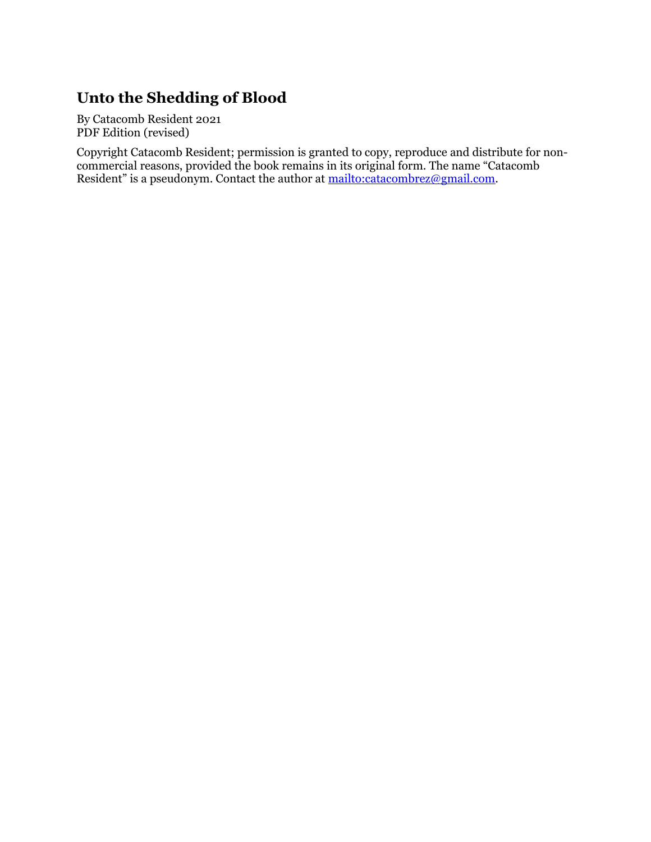# **Unto the Shedding of Blood**

By Catacomb Resident 2021 PDF Edition (revised)

Copyright Catacomb Resident; permission is granted to copy, reproduce and distribute for noncommercial reasons, provided the book remains in its original form. The name "Catacomb Resident" is a pseudonym. Contact the author at [mailto:catacombrez@gmail.com.](mailto:catacombrez@gmail.com)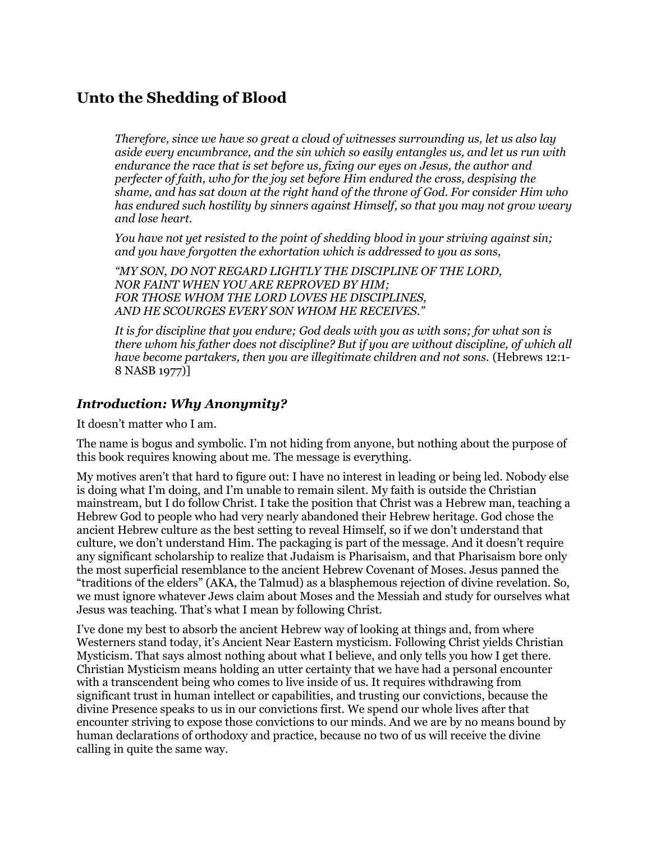## **Unto the Shedding of Blood**

*Therefore, since we have so great a cloud of witnesses surrounding us, let us also lay aside every encumbrance, and the sin which so easily entangles us, and let us run with endurance the race that is set before us, fixing our eyes on Jesus, the author and perfecter of faith, who for the joy set before Him endured the cross, despising the shame, and has sat down at the right hand of the throne of God. For consider Him who has endured such hostility by sinners against Himself, so that you may not grow weary and lose heart.*

*You have not yet resisted to the point of shedding blood in your striving against sin; and you have forgotten the exhortation which is addressed to you as sons,*

*"MY SON, DO NOT REGARD LIGHTLY THE DISCIPLINE OF THE LORD, NOR FAINT WHEN YOU ARE REPROVED BY HIM; FOR THOSE WHOM THE LORD LOVES HE DISCIPLINES, AND HE SCOURGES EVERY SON WHOM HE RECEIVES."*

*It is for discipline that you endure; God deals with you as with sons; for what son is there whom his father does not discipline? But if you are without discipline, of which all have become partakers, then you are illegitimate children and not sons.* (Hebrews 12:1- 8 NASB 1977)]

#### *Introduction: Why Anonymity?*

It doesn't matter who I am.

The name is bogus and symbolic. I'm not hiding from anyone, but nothing about the purpose of this book requires knowing about me. The message is everything.

My motives aren't that hard to figure out: I have no interest in leading or being led. Nobody else is doing what I'm doing, and I'm unable to remain silent. My faith is outside the Christian mainstream, but I do follow Christ. I take the position that Christ was a Hebrew man, teaching a Hebrew God to people who had very nearly abandoned their Hebrew heritage. God chose the ancient Hebrew culture as the best setting to reveal Himself, so if we don't understand that culture, we don't understand Him. The packaging is part of the message. And it doesn't require any significant scholarship to realize that Judaism is Pharisaism, and that Pharisaism bore only the most superficial resemblance to the ancient Hebrew Covenant of Moses. Jesus panned the "traditions of the elders" (AKA, the Talmud) as a blasphemous rejection of divine revelation. So, we must ignore whatever Jews claim about Moses and the Messiah and study for ourselves what Jesus was teaching. That's what I mean by following Christ.

I've done my best to absorb the ancient Hebrew way of looking at things and, from where Westerners stand today, it's Ancient Near Eastern mysticism. Following Christ yields Christian Mysticism. That says almost nothing about what I believe, and only tells you how I get there. Christian Mysticism means holding an utter certainty that we have had a personal encounter with a transcendent being who comes to live inside of us. It requires withdrawing from significant trust in human intellect or capabilities, and trusting our convictions, because the divine Presence speaks to us in our convictions first. We spend our whole lives after that encounter striving to expose those convictions to our minds. And we are by no means bound by human declarations of orthodoxy and practice, because no two of us will receive the divine calling in quite the same way.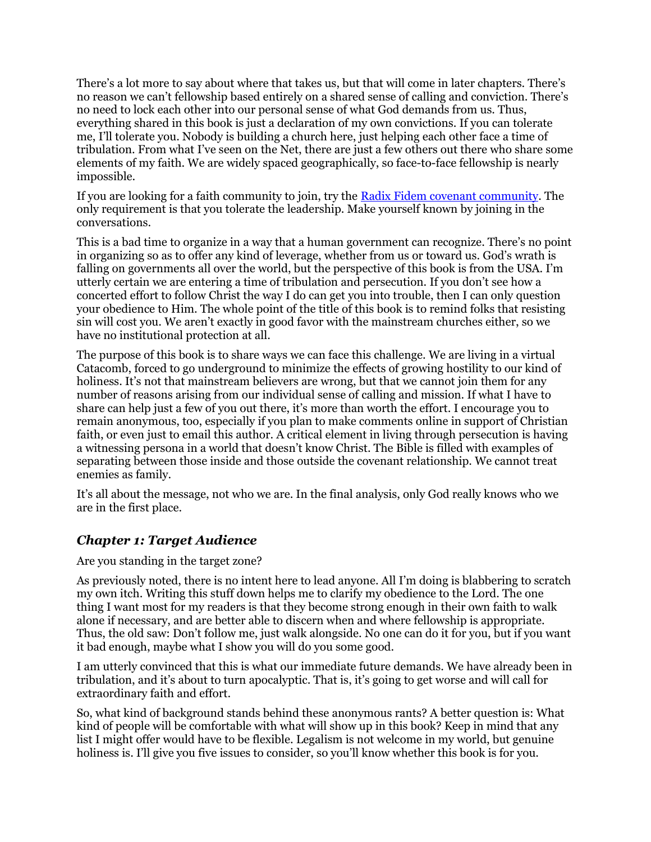There's a lot more to say about where that takes us, but that will come in later chapters. There's no reason we can't fellowship based entirely on a shared sense of calling and conviction. There's no need to lock each other into our personal sense of what God demands from us. Thus, everything shared in this book is just a declaration of my own convictions. If you can tolerate me, I'll tolerate you. Nobody is building a church here, just helping each other face a time of tribulation. From what I've seen on the Net, there are just a few others out there who share some elements of my faith. We are widely spaced geographically, so face-to-face fellowship is nearly impossible.

If you are looking for a faith community to join, try the [Radix Fidem covenant community.](https://radixfidem.org/index.php) The only requirement is that you tolerate the leadership. Make yourself known by joining in the conversations.

This is a bad time to organize in a way that a human government can recognize. There's no point in organizing so as to offer any kind of leverage, whether from us or toward us. God's wrath is falling on governments all over the world, but the perspective of this book is from the USA. I'm utterly certain we are entering a time of tribulation and persecution. If you don't see how a concerted effort to follow Christ the way I do can get you into trouble, then I can only question your obedience to Him. The whole point of the title of this book is to remind folks that resisting sin will cost you. We aren't exactly in good favor with the mainstream churches either, so we have no institutional protection at all.

The purpose of this book is to share ways we can face this challenge. We are living in a virtual Catacomb, forced to go underground to minimize the effects of growing hostility to our kind of holiness. It's not that mainstream believers are wrong, but that we cannot join them for any number of reasons arising from our individual sense of calling and mission. If what I have to share can help just a few of you out there, it's more than worth the effort. I encourage you to remain anonymous, too, especially if you plan to make comments online in support of Christian faith, or even just to email this author. A critical element in living through persecution is having a witnessing persona in a world that doesn't know Christ. The Bible is filled with examples of separating between those inside and those outside the covenant relationship. We cannot treat enemies as family.

It's all about the message, not who we are. In the final analysis, only God really knows who we are in the first place.

### *Chapter 1: Target Audience*

Are you standing in the target zone?

As previously noted, there is no intent here to lead anyone. All I'm doing is blabbering to scratch my own itch. Writing this stuff down helps me to clarify my obedience to the Lord. The one thing I want most for my readers is that they become strong enough in their own faith to walk alone if necessary, and are better able to discern when and where fellowship is appropriate. Thus, the old saw: Don't follow me, just walk alongside. No one can do it for you, but if you want it bad enough, maybe what I show you will do you some good.

I am utterly convinced that this is what our immediate future demands. We have already been in tribulation, and it's about to turn apocalyptic. That is, it's going to get worse and will call for extraordinary faith and effort.

So, what kind of background stands behind these anonymous rants? A better question is: What kind of people will be comfortable with what will show up in this book? Keep in mind that any list I might offer would have to be flexible. Legalism is not welcome in my world, but genuine holiness is. I'll give you five issues to consider, so you'll know whether this book is for you.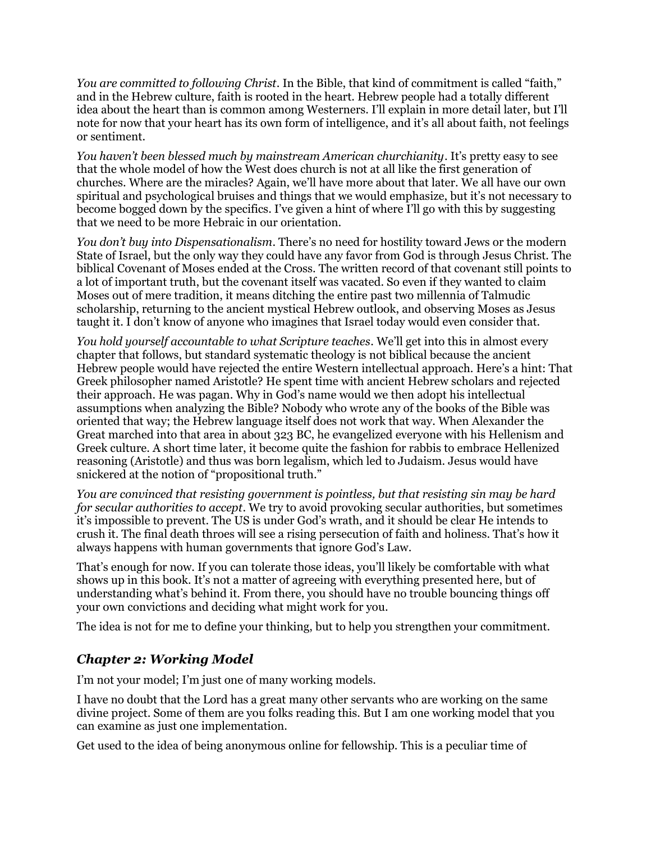*You are committed to following Christ*. In the Bible, that kind of commitment is called "faith," and in the Hebrew culture, faith is rooted in the heart. Hebrew people had a totally different idea about the heart than is common among Westerners. I'll explain in more detail later, but I'll note for now that your heart has its own form of intelligence, and it's all about faith, not feelings or sentiment.

*You haven't been blessed much by mainstream American churchianity*. It's pretty easy to see that the whole model of how the West does church is not at all like the first generation of churches. Where are the miracles? Again, we'll have more about that later. We all have our own spiritual and psychological bruises and things that we would emphasize, but it's not necessary to become bogged down by the specifics. I've given a hint of where I'll go with this by suggesting that we need to be more Hebraic in our orientation.

*You don't buy into Dispensationalism*. There's no need for hostility toward Jews or the modern State of Israel, but the only way they could have any favor from God is through Jesus Christ. The biblical Covenant of Moses ended at the Cross. The written record of that covenant still points to a lot of important truth, but the covenant itself was vacated. So even if they wanted to claim Moses out of mere tradition, it means ditching the entire past two millennia of Talmudic scholarship, returning to the ancient mystical Hebrew outlook, and observing Moses as Jesus taught it. I don't know of anyone who imagines that Israel today would even consider that.

*You hold yourself accountable to what Scripture teaches*. We'll get into this in almost every chapter that follows, but standard systematic theology is not biblical because the ancient Hebrew people would have rejected the entire Western intellectual approach. Here's a hint: That Greek philosopher named Aristotle? He spent time with ancient Hebrew scholars and rejected their approach. He was pagan. Why in God's name would we then adopt his intellectual assumptions when analyzing the Bible? Nobody who wrote any of the books of the Bible was oriented that way; the Hebrew language itself does not work that way. When Alexander the Great marched into that area in about 323 BC, he evangelized everyone with his Hellenism and Greek culture. A short time later, it become quite the fashion for rabbis to embrace Hellenized reasoning (Aristotle) and thus was born legalism, which led to Judaism. Jesus would have snickered at the notion of "propositional truth."

*You are convinced that resisting government is pointless, but that resisting sin may be hard for secular authorities to accept*. We try to avoid provoking secular authorities, but sometimes it's impossible to prevent. The US is under God's wrath, and it should be clear He intends to crush it. The final death throes will see a rising persecution of faith and holiness. That's how it always happens with human governments that ignore God's Law.

That's enough for now. If you can tolerate those ideas, you'll likely be comfortable with what shows up in this book. It's not a matter of agreeing with everything presented here, but of understanding what's behind it. From there, you should have no trouble bouncing things off your own convictions and deciding what might work for you.

The idea is not for me to define your thinking, but to help you strengthen your commitment.

### *Chapter 2: Working Model*

I'm not your model; I'm just one of many working models.

I have no doubt that the Lord has a great many other servants who are working on the same divine project. Some of them are you folks reading this. But I am one working model that you can examine as just one implementation.

Get used to the idea of being anonymous online for fellowship. This is a peculiar time of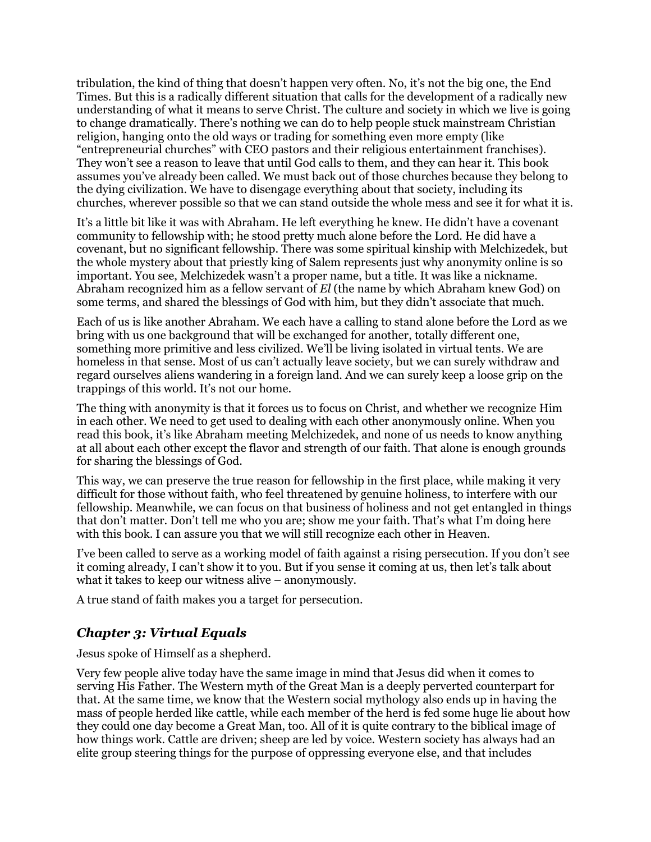tribulation, the kind of thing that doesn't happen very often. No, it's not the big one, the End Times. But this is a radically different situation that calls for the development of a radically new understanding of what it means to serve Christ. The culture and society in which we live is going to change dramatically. There's nothing we can do to help people stuck mainstream Christian religion, hanging onto the old ways or trading for something even more empty (like "entrepreneurial churches" with CEO pastors and their religious entertainment franchises). They won't see a reason to leave that until God calls to them, and they can hear it. This book assumes you've already been called. We must back out of those churches because they belong to the dying civilization. We have to disengage everything about that society, including its churches, wherever possible so that we can stand outside the whole mess and see it for what it is.

It's a little bit like it was with Abraham. He left everything he knew. He didn't have a covenant community to fellowship with; he stood pretty much alone before the Lord. He did have a covenant, but no significant fellowship. There was some spiritual kinship with Melchizedek, but the whole mystery about that priestly king of Salem represents just why anonymity online is so important. You see, Melchizedek wasn't a proper name, but a title. It was like a nickname. Abraham recognized him as a fellow servant of *El* (the name by which Abraham knew God) on some terms, and shared the blessings of God with him, but they didn't associate that much.

Each of us is like another Abraham. We each have a calling to stand alone before the Lord as we bring with us one background that will be exchanged for another, totally different one, something more primitive and less civilized. We'll be living isolated in virtual tents. We are homeless in that sense. Most of us can't actually leave society, but we can surely withdraw and regard ourselves aliens wandering in a foreign land. And we can surely keep a loose grip on the trappings of this world. It's not our home.

The thing with anonymity is that it forces us to focus on Christ, and whether we recognize Him in each other. We need to get used to dealing with each other anonymously online. When you read this book, it's like Abraham meeting Melchizedek, and none of us needs to know anything at all about each other except the flavor and strength of our faith. That alone is enough grounds for sharing the blessings of God.

This way, we can preserve the true reason for fellowship in the first place, while making it very difficult for those without faith, who feel threatened by genuine holiness, to interfere with our fellowship. Meanwhile, we can focus on that business of holiness and not get entangled in things that don't matter. Don't tell me who you are; show me your faith. That's what I'm doing here with this book. I can assure you that we will still recognize each other in Heaven.

I've been called to serve as a working model of faith against a rising persecution. If you don't see it coming already, I can't show it to you. But if you sense it coming at us, then let's talk about what it takes to keep our witness alive – anonymously.

A true stand of faith makes you a target for persecution.

### *Chapter 3: Virtual Equals*

Jesus spoke of Himself as a shepherd.

Very few people alive today have the same image in mind that Jesus did when it comes to serving His Father. The Western myth of the Great Man is a deeply perverted counterpart for that. At the same time, we know that the Western social mythology also ends up in having the mass of people herded like cattle, while each member of the herd is fed some huge lie about how they could one day become a Great Man, too. All of it is quite contrary to the biblical image of how things work. Cattle are driven; sheep are led by voice. Western society has always had an elite group steering things for the purpose of oppressing everyone else, and that includes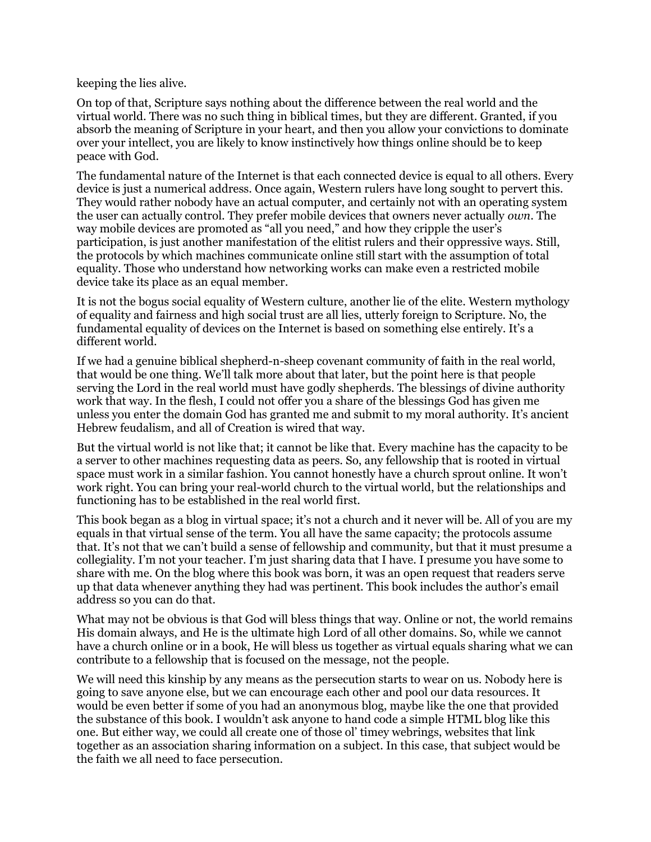keeping the lies alive.

On top of that, Scripture says nothing about the difference between the real world and the virtual world. There was no such thing in biblical times, but they are different. Granted, if you absorb the meaning of Scripture in your heart, and then you allow your convictions to dominate over your intellect, you are likely to know instinctively how things online should be to keep peace with God.

The fundamental nature of the Internet is that each connected device is equal to all others. Every device is just a numerical address. Once again, Western rulers have long sought to pervert this. They would rather nobody have an actual computer, and certainly not with an operating system the user can actually control. They prefer mobile devices that owners never actually *own*. The way mobile devices are promoted as "all you need," and how they cripple the user's participation, is just another manifestation of the elitist rulers and their oppressive ways. Still, the protocols by which machines communicate online still start with the assumption of total equality. Those who understand how networking works can make even a restricted mobile device take its place as an equal member.

It is not the bogus social equality of Western culture, another lie of the elite. Western mythology of equality and fairness and high social trust are all lies, utterly foreign to Scripture. No, the fundamental equality of devices on the Internet is based on something else entirely. It's a different world.

If we had a genuine biblical shepherd-n-sheep covenant community of faith in the real world, that would be one thing. We'll talk more about that later, but the point here is that people serving the Lord in the real world must have godly shepherds. The blessings of divine authority work that way. In the flesh, I could not offer you a share of the blessings God has given me unless you enter the domain God has granted me and submit to my moral authority. It's ancient Hebrew feudalism, and all of Creation is wired that way.

But the virtual world is not like that; it cannot be like that. Every machine has the capacity to be a server to other machines requesting data as peers. So, any fellowship that is rooted in virtual space must work in a similar fashion. You cannot honestly have a church sprout online. It won't work right. You can bring your real-world church to the virtual world, but the relationships and functioning has to be established in the real world first.

This book began as a blog in virtual space; it's not a church and it never will be. All of you are my equals in that virtual sense of the term. You all have the same capacity; the protocols assume that. It's not that we can't build a sense of fellowship and community, but that it must presume a collegiality. I'm not your teacher. I'm just sharing data that I have. I presume you have some to share with me. On the blog where this book was born, it was an open request that readers serve up that data whenever anything they had was pertinent. This book includes the author's email address so you can do that.

What may not be obvious is that God will bless things that way. Online or not, the world remains His domain always, and He is the ultimate high Lord of all other domains. So, while we cannot have a church online or in a book, He will bless us together as virtual equals sharing what we can contribute to a fellowship that is focused on the message, not the people.

We will need this kinship by any means as the persecution starts to wear on us. Nobody here is going to save anyone else, but we can encourage each other and pool our data resources. It would be even better if some of you had an anonymous blog, maybe like the one that provided the substance of this book. I wouldn't ask anyone to hand code a simple HTML blog like this one. But either way, we could all create one of those ol' timey webrings, websites that link together as an association sharing information on a subject. In this case, that subject would be the faith we all need to face persecution.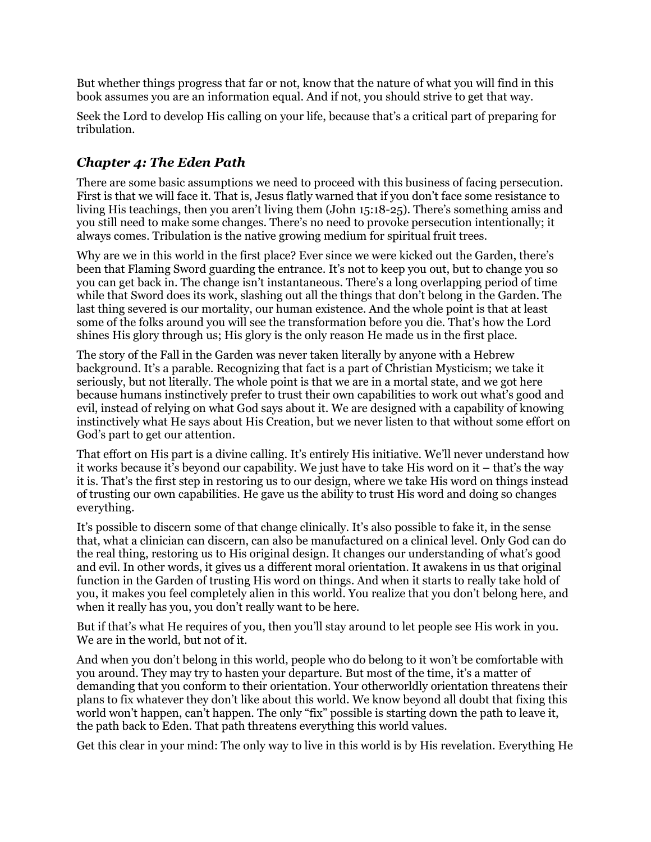But whether things progress that far or not, know that the nature of what you will find in this book assumes you are an information equal. And if not, you should strive to get that way.

Seek the Lord to develop His calling on your life, because that's a critical part of preparing for tribulation.

### *Chapter 4: The Eden Path*

There are some basic assumptions we need to proceed with this business of facing persecution. First is that we will face it. That is, Jesus flatly warned that if you don't face some resistance to living His teachings, then you aren't living them (John 15:18-25). There's something amiss and you still need to make some changes. There's no need to provoke persecution intentionally; it always comes. Tribulation is the native growing medium for spiritual fruit trees.

Why are we in this world in the first place? Ever since we were kicked out the Garden, there's been that Flaming Sword guarding the entrance. It's not to keep you out, but to change you so you can get back in. The change isn't instantaneous. There's a long overlapping period of time while that Sword does its work, slashing out all the things that don't belong in the Garden. The last thing severed is our mortality, our human existence. And the whole point is that at least some of the folks around you will see the transformation before you die. That's how the Lord shines His glory through us; His glory is the only reason He made us in the first place.

The story of the Fall in the Garden was never taken literally by anyone with a Hebrew background. It's a parable. Recognizing that fact is a part of Christian Mysticism; we take it seriously, but not literally. The whole point is that we are in a mortal state, and we got here because humans instinctively prefer to trust their own capabilities to work out what's good and evil, instead of relying on what God says about it. We are designed with a capability of knowing instinctively what He says about His Creation, but we never listen to that without some effort on God's part to get our attention.

That effort on His part is a divine calling. It's entirely His initiative. We'll never understand how it works because it's beyond our capability. We just have to take His word on it – that's the way it is. That's the first step in restoring us to our design, where we take His word on things instead of trusting our own capabilities. He gave us the ability to trust His word and doing so changes everything.

It's possible to discern some of that change clinically. It's also possible to fake it, in the sense that, what a clinician can discern, can also be manufactured on a clinical level. Only God can do the real thing, restoring us to His original design. It changes our understanding of what's good and evil. In other words, it gives us a different moral orientation. It awakens in us that original function in the Garden of trusting His word on things. And when it starts to really take hold of you, it makes you feel completely alien in this world. You realize that you don't belong here, and when it really has you, you don't really want to be here.

But if that's what He requires of you, then you'll stay around to let people see His work in you. We are in the world, but not of it.

And when you don't belong in this world, people who do belong to it won't be comfortable with you around. They may try to hasten your departure. But most of the time, it's a matter of demanding that you conform to their orientation. Your otherworldly orientation threatens their plans to fix whatever they don't like about this world. We know beyond all doubt that fixing this world won't happen, can't happen. The only "fix" possible is starting down the path to leave it, the path back to Eden. That path threatens everything this world values.

Get this clear in your mind: The only way to live in this world is by His revelation. Everything He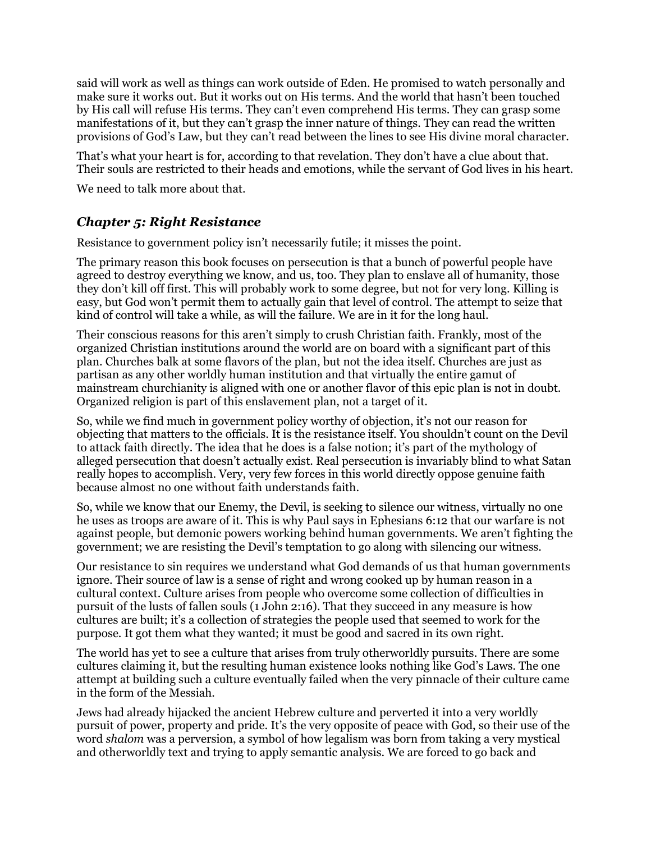said will work as well as things can work outside of Eden. He promised to watch personally and make sure it works out. But it works out on His terms. And the world that hasn't been touched by His call will refuse His terms. They can't even comprehend His terms. They can grasp some manifestations of it, but they can't grasp the inner nature of things. They can read the written provisions of God's Law, but they can't read between the lines to see His divine moral character.

That's what your heart is for, according to that revelation. They don't have a clue about that. Their souls are restricted to their heads and emotions, while the servant of God lives in his heart.

We need to talk more about that.

### *Chapter 5: Right Resistance*

Resistance to government policy isn't necessarily futile; it misses the point.

The primary reason this book focuses on persecution is that a bunch of powerful people have agreed to destroy everything we know, and us, too. They plan to enslave all of humanity, those they don't kill off first. This will probably work to some degree, but not for very long. Killing is easy, but God won't permit them to actually gain that level of control. The attempt to seize that kind of control will take a while, as will the failure. We are in it for the long haul.

Their conscious reasons for this aren't simply to crush Christian faith. Frankly, most of the organized Christian institutions around the world are on board with a significant part of this plan. Churches balk at some flavors of the plan, but not the idea itself. Churches are just as partisan as any other worldly human institution and that virtually the entire gamut of mainstream churchianity is aligned with one or another flavor of this epic plan is not in doubt. Organized religion is part of this enslavement plan, not a target of it.

So, while we find much in government policy worthy of objection, it's not our reason for objecting that matters to the officials. It is the resistance itself. You shouldn't count on the Devil to attack faith directly. The idea that he does is a false notion; it's part of the mythology of alleged persecution that doesn't actually exist. Real persecution is invariably blind to what Satan really hopes to accomplish. Very, very few forces in this world directly oppose genuine faith because almost no one without faith understands faith.

So, while we know that our Enemy, the Devil, is seeking to silence our witness, virtually no one he uses as troops are aware of it. This is why Paul says in Ephesians 6:12 that our warfare is not against people, but demonic powers working behind human governments. We aren't fighting the government; we are resisting the Devil's temptation to go along with silencing our witness.

Our resistance to sin requires we understand what God demands of us that human governments ignore. Their source of law is a sense of right and wrong cooked up by human reason in a cultural context. Culture arises from people who overcome some collection of difficulties in pursuit of the lusts of fallen souls (1 John 2:16). That they succeed in any measure is how cultures are built; it's a collection of strategies the people used that seemed to work for the purpose. It got them what they wanted; it must be good and sacred in its own right.

The world has yet to see a culture that arises from truly otherworldly pursuits. There are some cultures claiming it, but the resulting human existence looks nothing like God's Laws. The one attempt at building such a culture eventually failed when the very pinnacle of their culture came in the form of the Messiah.

Jews had already hijacked the ancient Hebrew culture and perverted it into a very worldly pursuit of power, property and pride. It's the very opposite of peace with God, so their use of the word *shalom* was a perversion, a symbol of how legalism was born from taking a very mystical and otherworldly text and trying to apply semantic analysis. We are forced to go back and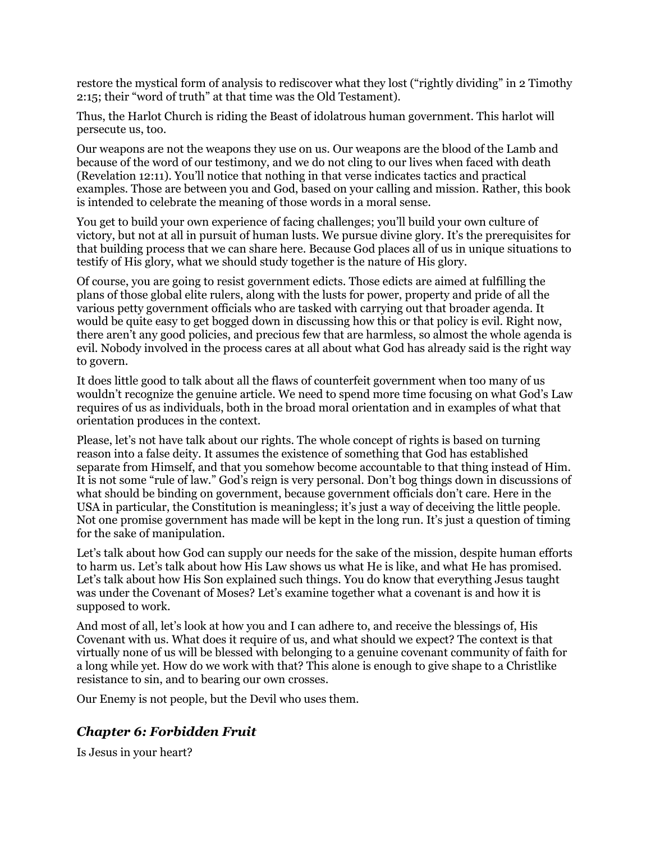restore the mystical form of analysis to rediscover what they lost ("rightly dividing" in 2 Timothy 2:15; their "word of truth" at that time was the Old Testament).

Thus, the Harlot Church is riding the Beast of idolatrous human government. This harlot will persecute us, too.

Our weapons are not the weapons they use on us. Our weapons are the blood of the Lamb and because of the word of our testimony, and we do not cling to our lives when faced with death (Revelation 12:11). You'll notice that nothing in that verse indicates tactics and practical examples. Those are between you and God, based on your calling and mission. Rather, this book is intended to celebrate the meaning of those words in a moral sense.

You get to build your own experience of facing challenges; you'll build your own culture of victory, but not at all in pursuit of human lusts. We pursue divine glory. It's the prerequisites for that building process that we can share here. Because God places all of us in unique situations to testify of His glory, what we should study together is the nature of His glory.

Of course, you are going to resist government edicts. Those edicts are aimed at fulfilling the plans of those global elite rulers, along with the lusts for power, property and pride of all the various petty government officials who are tasked with carrying out that broader agenda. It would be quite easy to get bogged down in discussing how this or that policy is evil. Right now, there aren't any good policies, and precious few that are harmless, so almost the whole agenda is evil. Nobody involved in the process cares at all about what God has already said is the right way to govern.

It does little good to talk about all the flaws of counterfeit government when too many of us wouldn't recognize the genuine article. We need to spend more time focusing on what God's Law requires of us as individuals, both in the broad moral orientation and in examples of what that orientation produces in the context.

Please, let's not have talk about our rights. The whole concept of rights is based on turning reason into a false deity. It assumes the existence of something that God has established separate from Himself, and that you somehow become accountable to that thing instead of Him. It is not some "rule of law." God's reign is very personal. Don't bog things down in discussions of what should be binding on government, because government officials don't care. Here in the USA in particular, the Constitution is meaningless; it's just a way of deceiving the little people. Not one promise government has made will be kept in the long run. It's just a question of timing for the sake of manipulation.

Let's talk about how God can supply our needs for the sake of the mission, despite human efforts to harm us. Let's talk about how His Law shows us what He is like, and what He has promised. Let's talk about how His Son explained such things. You do know that everything Jesus taught was under the Covenant of Moses? Let's examine together what a covenant is and how it is supposed to work.

And most of all, let's look at how you and I can adhere to, and receive the blessings of, His Covenant with us. What does it require of us, and what should we expect? The context is that virtually none of us will be blessed with belonging to a genuine covenant community of faith for a long while yet. How do we work with that? This alone is enough to give shape to a Christlike resistance to sin, and to bearing our own crosses.

Our Enemy is not people, but the Devil who uses them.

#### *Chapter 6: Forbidden Fruit*

Is Jesus in your heart?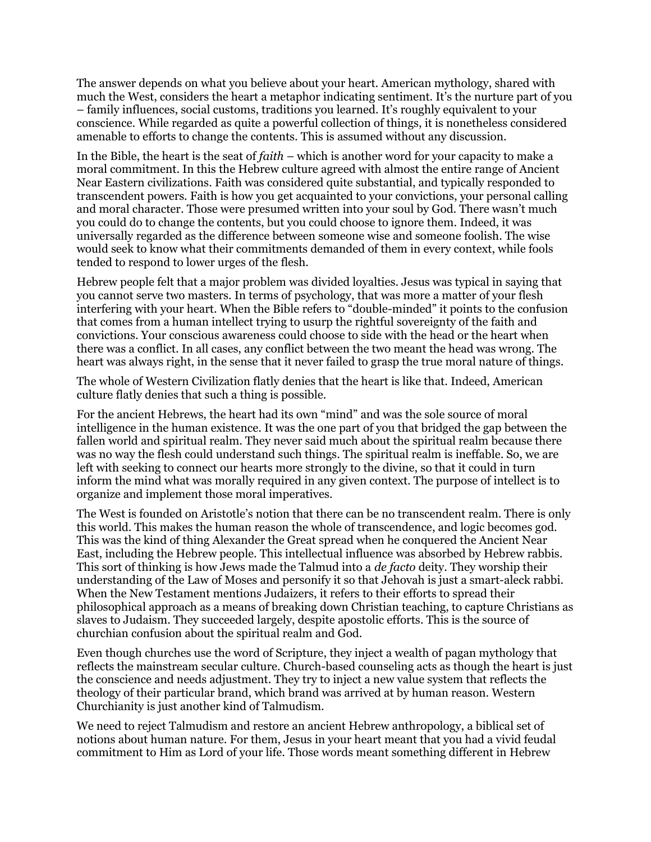The answer depends on what you believe about your heart. American mythology, shared with much the West, considers the heart a metaphor indicating sentiment. It's the nurture part of you – family influences, social customs, traditions you learned. It's roughly equivalent to your conscience. While regarded as quite a powerful collection of things, it is nonetheless considered amenable to efforts to change the contents. This is assumed without any discussion.

In the Bible, the heart is the seat of *faith* – which is another word for your capacity to make a moral commitment. In this the Hebrew culture agreed with almost the entire range of Ancient Near Eastern civilizations. Faith was considered quite substantial, and typically responded to transcendent powers. Faith is how you get acquainted to your convictions, your personal calling and moral character. Those were presumed written into your soul by God. There wasn't much you could do to change the contents, but you could choose to ignore them. Indeed, it was universally regarded as the difference between someone wise and someone foolish. The wise would seek to know what their commitments demanded of them in every context, while fools tended to respond to lower urges of the flesh.

Hebrew people felt that a major problem was divided loyalties. Jesus was typical in saying that you cannot serve two masters. In terms of psychology, that was more a matter of your flesh interfering with your heart. When the Bible refers to "double-minded" it points to the confusion that comes from a human intellect trying to usurp the rightful sovereignty of the faith and convictions. Your conscious awareness could choose to side with the head or the heart when there was a conflict. In all cases, any conflict between the two meant the head was wrong. The heart was always right, in the sense that it never failed to grasp the true moral nature of things.

The whole of Western Civilization flatly denies that the heart is like that. Indeed, American culture flatly denies that such a thing is possible.

For the ancient Hebrews, the heart had its own "mind" and was the sole source of moral intelligence in the human existence. It was the one part of you that bridged the gap between the fallen world and spiritual realm. They never said much about the spiritual realm because there was no way the flesh could understand such things. The spiritual realm is ineffable. So, we are left with seeking to connect our hearts more strongly to the divine, so that it could in turn inform the mind what was morally required in any given context. The purpose of intellect is to organize and implement those moral imperatives.

The West is founded on Aristotle's notion that there can be no transcendent realm. There is only this world. This makes the human reason the whole of transcendence, and logic becomes god. This was the kind of thing Alexander the Great spread when he conquered the Ancient Near East, including the Hebrew people. This intellectual influence was absorbed by Hebrew rabbis. This sort of thinking is how Jews made the Talmud into a *de facto* deity. They worship their understanding of the Law of Moses and personify it so that Jehovah is just a smart-aleck rabbi. When the New Testament mentions Judaizers, it refers to their efforts to spread their philosophical approach as a means of breaking down Christian teaching, to capture Christians as slaves to Judaism. They succeeded largely, despite apostolic efforts. This is the source of churchian confusion about the spiritual realm and God.

Even though churches use the word of Scripture, they inject a wealth of pagan mythology that reflects the mainstream secular culture. Church-based counseling acts as though the heart is just the conscience and needs adjustment. They try to inject a new value system that reflects the theology of their particular brand, which brand was arrived at by human reason. Western Churchianity is just another kind of Talmudism.

We need to reject Talmudism and restore an ancient Hebrew anthropology, a biblical set of notions about human nature. For them, Jesus in your heart meant that you had a vivid feudal commitment to Him as Lord of your life. Those words meant something different in Hebrew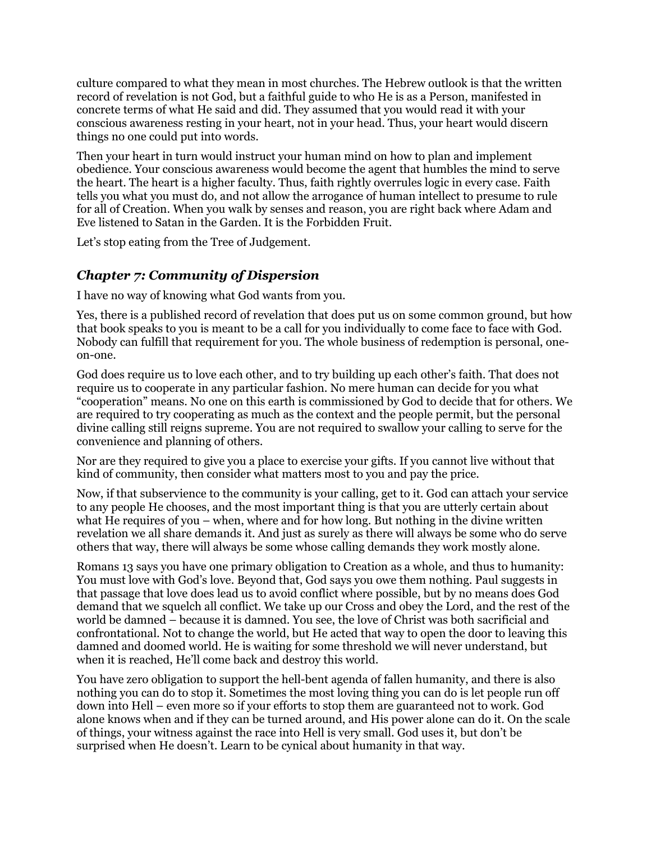culture compared to what they mean in most churches. The Hebrew outlook is that the written record of revelation is not God, but a faithful guide to who He is as a Person, manifested in concrete terms of what He said and did. They assumed that you would read it with your conscious awareness resting in your heart, not in your head. Thus, your heart would discern things no one could put into words.

Then your heart in turn would instruct your human mind on how to plan and implement obedience. Your conscious awareness would become the agent that humbles the mind to serve the heart. The heart is a higher faculty. Thus, faith rightly overrules logic in every case. Faith tells you what you must do, and not allow the arrogance of human intellect to presume to rule for all of Creation. When you walk by senses and reason, you are right back where Adam and Eve listened to Satan in the Garden. It is the Forbidden Fruit.

Let's stop eating from the Tree of Judgement.

### *Chapter 7: Community of Dispersion*

I have no way of knowing what God wants from you.

Yes, there is a published record of revelation that does put us on some common ground, but how that book speaks to you is meant to be a call for you individually to come face to face with God. Nobody can fulfill that requirement for you. The whole business of redemption is personal, oneon-one.

God does require us to love each other, and to try building up each other's faith. That does not require us to cooperate in any particular fashion. No mere human can decide for you what "cooperation" means. No one on this earth is commissioned by God to decide that for others. We are required to try cooperating as much as the context and the people permit, but the personal divine calling still reigns supreme. You are not required to swallow your calling to serve for the convenience and planning of others.

Nor are they required to give you a place to exercise your gifts. If you cannot live without that kind of community, then consider what matters most to you and pay the price.

Now, if that subservience to the community is your calling, get to it. God can attach your service to any people He chooses, and the most important thing is that you are utterly certain about what He requires of you – when, where and for how long. But nothing in the divine written revelation we all share demands it. And just as surely as there will always be some who do serve others that way, there will always be some whose calling demands they work mostly alone.

Romans 13 says you have one primary obligation to Creation as a whole, and thus to humanity: You must love with God's love. Beyond that, God says you owe them nothing. Paul suggests in that passage that love does lead us to avoid conflict where possible, but by no means does God demand that we squelch all conflict. We take up our Cross and obey the Lord, and the rest of the world be damned – because it is damned. You see, the love of Christ was both sacrificial and confrontational. Not to change the world, but He acted that way to open the door to leaving this damned and doomed world. He is waiting for some threshold we will never understand, but when it is reached, He'll come back and destroy this world.

You have zero obligation to support the hell-bent agenda of fallen humanity, and there is also nothing you can do to stop it. Sometimes the most loving thing you can do is let people run off down into Hell – even more so if your efforts to stop them are guaranteed not to work. God alone knows when and if they can be turned around, and His power alone can do it. On the scale of things, your witness against the race into Hell is very small. God uses it, but don't be surprised when He doesn't. Learn to be cynical about humanity in that way.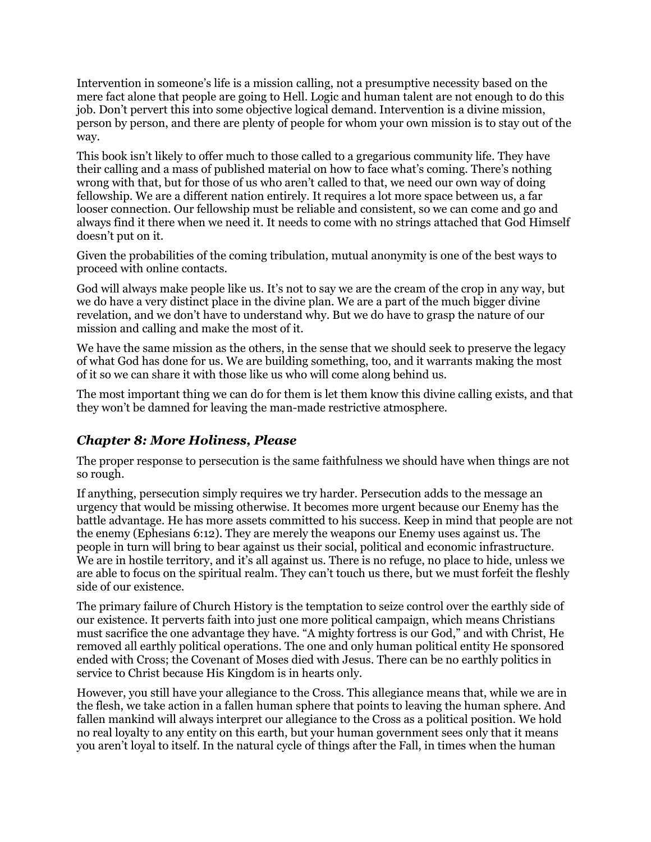Intervention in someone's life is a mission calling, not a presumptive necessity based on the mere fact alone that people are going to Hell. Logic and human talent are not enough to do this job. Don't pervert this into some objective logical demand. Intervention is a divine mission, person by person, and there are plenty of people for whom your own mission is to stay out of the way.

This book isn't likely to offer much to those called to a gregarious community life. They have their calling and a mass of published material on how to face what's coming. There's nothing wrong with that, but for those of us who aren't called to that, we need our own way of doing fellowship. We are a different nation entirely. It requires a lot more space between us, a far looser connection. Our fellowship must be reliable and consistent, so we can come and go and always find it there when we need it. It needs to come with no strings attached that God Himself doesn't put on it.

Given the probabilities of the coming tribulation, mutual anonymity is one of the best ways to proceed with online contacts.

God will always make people like us. It's not to say we are the cream of the crop in any way, but we do have a very distinct place in the divine plan. We are a part of the much bigger divine revelation, and we don't have to understand why. But we do have to grasp the nature of our mission and calling and make the most of it.

We have the same mission as the others, in the sense that we should seek to preserve the legacy of what God has done for us. We are building something, too, and it warrants making the most of it so we can share it with those like us who will come along behind us.

The most important thing we can do for them is let them know this divine calling exists, and that they won't be damned for leaving the man-made restrictive atmosphere.

#### *Chapter 8: More Holiness, Please*

The proper response to persecution is the same faithfulness we should have when things are not so rough.

If anything, persecution simply requires we try harder. Persecution adds to the message an urgency that would be missing otherwise. It becomes more urgent because our Enemy has the battle advantage. He has more assets committed to his success. Keep in mind that people are not the enemy (Ephesians 6:12). They are merely the weapons our Enemy uses against us. The people in turn will bring to bear against us their social, political and economic infrastructure. We are in hostile territory, and it's all against us. There is no refuge, no place to hide, unless we are able to focus on the spiritual realm. They can't touch us there, but we must forfeit the fleshly side of our existence.

The primary failure of Church History is the temptation to seize control over the earthly side of our existence. It perverts faith into just one more political campaign, which means Christians must sacrifice the one advantage they have. "A mighty fortress is our God," and with Christ, He removed all earthly political operations. The one and only human political entity He sponsored ended with Cross; the Covenant of Moses died with Jesus. There can be no earthly politics in service to Christ because His Kingdom is in hearts only.

However, you still have your allegiance to the Cross. This allegiance means that, while we are in the flesh, we take action in a fallen human sphere that points to leaving the human sphere. And fallen mankind will always interpret our allegiance to the Cross as a political position. We hold no real loyalty to any entity on this earth, but your human government sees only that it means you aren't loyal to itself. In the natural cycle of things after the Fall, in times when the human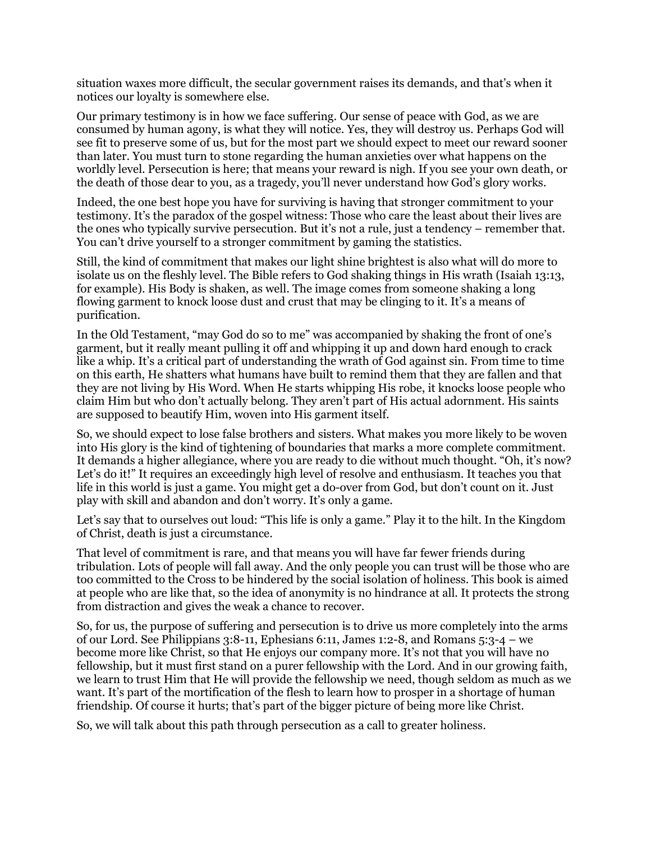situation waxes more difficult, the secular government raises its demands, and that's when it notices our loyalty is somewhere else.

Our primary testimony is in how we face suffering. Our sense of peace with God, as we are consumed by human agony, is what they will notice. Yes, they will destroy us. Perhaps God will see fit to preserve some of us, but for the most part we should expect to meet our reward sooner than later. You must turn to stone regarding the human anxieties over what happens on the worldly level. Persecution is here; that means your reward is nigh. If you see your own death, or the death of those dear to you, as a tragedy, you'll never understand how God's glory works.

Indeed, the one best hope you have for surviving is having that stronger commitment to your testimony. It's the paradox of the gospel witness: Those who care the least about their lives are the ones who typically survive persecution. But it's not a rule, just a tendency – remember that. You can't drive yourself to a stronger commitment by gaming the statistics.

Still, the kind of commitment that makes our light shine brightest is also what will do more to isolate us on the fleshly level. The Bible refers to God shaking things in His wrath (Isaiah 13:13, for example). His Body is shaken, as well. The image comes from someone shaking a long flowing garment to knock loose dust and crust that may be clinging to it. It's a means of purification.

In the Old Testament, "may God do so to me" was accompanied by shaking the front of one's garment, but it really meant pulling it off and whipping it up and down hard enough to crack like a whip. It's a critical part of understanding the wrath of God against sin. From time to time on this earth, He shatters what humans have built to remind them that they are fallen and that they are not living by His Word. When He starts whipping His robe, it knocks loose people who claim Him but who don't actually belong. They aren't part of His actual adornment. His saints are supposed to beautify Him, woven into His garment itself.

So, we should expect to lose false brothers and sisters. What makes you more likely to be woven into His glory is the kind of tightening of boundaries that marks a more complete commitment. It demands a higher allegiance, where you are ready to die without much thought. "Oh, it's now? Let's do it!" It requires an exceedingly high level of resolve and enthusiasm. It teaches you that life in this world is just a game. You might get a do-over from God, but don't count on it. Just play with skill and abandon and don't worry. It's only a game.

Let's say that to ourselves out loud: "This life is only a game." Play it to the hilt. In the Kingdom of Christ, death is just a circumstance.

That level of commitment is rare, and that means you will have far fewer friends during tribulation. Lots of people will fall away. And the only people you can trust will be those who are too committed to the Cross to be hindered by the social isolation of holiness. This book is aimed at people who are like that, so the idea of anonymity is no hindrance at all. It protects the strong from distraction and gives the weak a chance to recover.

So, for us, the purpose of suffering and persecution is to drive us more completely into the arms of our Lord. See Philippians 3:8-11, Ephesians 6:11, James 1:2-8, and Romans 5:3-4 – we become more like Christ, so that He enjoys our company more. It's not that you will have no fellowship, but it must first stand on a purer fellowship with the Lord. And in our growing faith, we learn to trust Him that He will provide the fellowship we need, though seldom as much as we want. It's part of the mortification of the flesh to learn how to prosper in a shortage of human friendship. Of course it hurts; that's part of the bigger picture of being more like Christ.

So, we will talk about this path through persecution as a call to greater holiness.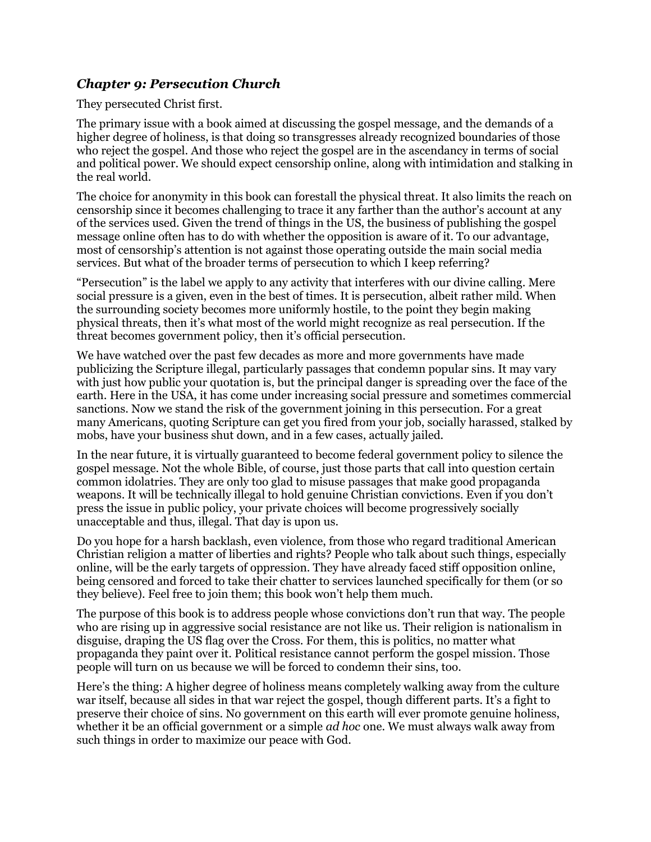#### *Chapter 9: Persecution Church*

They persecuted Christ first.

The primary issue with a book aimed at discussing the gospel message, and the demands of a higher degree of holiness, is that doing so transgresses already recognized boundaries of those who reject the gospel. And those who reject the gospel are in the ascendancy in terms of social and political power. We should expect censorship online, along with intimidation and stalking in the real world.

The choice for anonymity in this book can forestall the physical threat. It also limits the reach on censorship since it becomes challenging to trace it any farther than the author's account at any of the services used. Given the trend of things in the US, the business of publishing the gospel message online often has to do with whether the opposition is aware of it. To our advantage, most of censorship's attention is not against those operating outside the main social media services. But what of the broader terms of persecution to which I keep referring?

"Persecution" is the label we apply to any activity that interferes with our divine calling. Mere social pressure is a given, even in the best of times. It is persecution, albeit rather mild. When the surrounding society becomes more uniformly hostile, to the point they begin making physical threats, then it's what most of the world might recognize as real persecution. If the threat becomes government policy, then it's official persecution.

We have watched over the past few decades as more and more governments have made publicizing the Scripture illegal, particularly passages that condemn popular sins. It may vary with just how public your quotation is, but the principal danger is spreading over the face of the earth. Here in the USA, it has come under increasing social pressure and sometimes commercial sanctions. Now we stand the risk of the government joining in this persecution. For a great many Americans, quoting Scripture can get you fired from your job, socially harassed, stalked by mobs, have your business shut down, and in a few cases, actually jailed.

In the near future, it is virtually guaranteed to become federal government policy to silence the gospel message. Not the whole Bible, of course, just those parts that call into question certain common idolatries. They are only too glad to misuse passages that make good propaganda weapons. It will be technically illegal to hold genuine Christian convictions. Even if you don't press the issue in public policy, your private choices will become progressively socially unacceptable and thus, illegal. That day is upon us.

Do you hope for a harsh backlash, even violence, from those who regard traditional American Christian religion a matter of liberties and rights? People who talk about such things, especially online, will be the early targets of oppression. They have already faced stiff opposition online, being censored and forced to take their chatter to services launched specifically for them (or so they believe). Feel free to join them; this book won't help them much.

The purpose of this book is to address people whose convictions don't run that way. The people who are rising up in aggressive social resistance are not like us. Their religion is nationalism in disguise, draping the US flag over the Cross. For them, this is politics, no matter what propaganda they paint over it. Political resistance cannot perform the gospel mission. Those people will turn on us because we will be forced to condemn their sins, too.

Here's the thing: A higher degree of holiness means completely walking away from the culture war itself, because all sides in that war reject the gospel, though different parts. It's a fight to preserve their choice of sins. No government on this earth will ever promote genuine holiness, whether it be an official government or a simple *ad hoc* one. We must always walk away from such things in order to maximize our peace with God.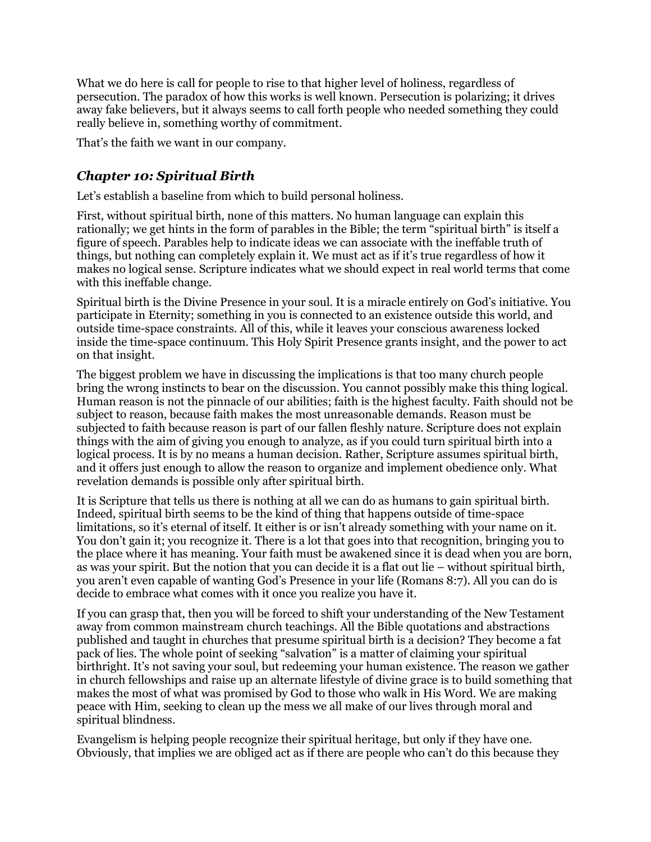What we do here is call for people to rise to that higher level of holiness, regardless of persecution. The paradox of how this works is well known. Persecution is polarizing; it drives away fake believers, but it always seems to call forth people who needed something they could really believe in, something worthy of commitment.

That's the faith we want in our company.

### *Chapter 10: Spiritual Birth*

Let's establish a baseline from which to build personal holiness.

First, without spiritual birth, none of this matters. No human language can explain this rationally; we get hints in the form of parables in the Bible; the term "spiritual birth" is itself a figure of speech. Parables help to indicate ideas we can associate with the ineffable truth of things, but nothing can completely explain it. We must act as if it's true regardless of how it makes no logical sense. Scripture indicates what we should expect in real world terms that come with this ineffable change.

Spiritual birth is the Divine Presence in your soul. It is a miracle entirely on God's initiative. You participate in Eternity; something in you is connected to an existence outside this world, and outside time-space constraints. All of this, while it leaves your conscious awareness locked inside the time-space continuum. This Holy Spirit Presence grants insight, and the power to act on that insight.

The biggest problem we have in discussing the implications is that too many church people bring the wrong instincts to bear on the discussion. You cannot possibly make this thing logical. Human reason is not the pinnacle of our abilities; faith is the highest faculty. Faith should not be subject to reason, because faith makes the most unreasonable demands. Reason must be subjected to faith because reason is part of our fallen fleshly nature. Scripture does not explain things with the aim of giving you enough to analyze, as if you could turn spiritual birth into a logical process. It is by no means a human decision. Rather, Scripture assumes spiritual birth, and it offers just enough to allow the reason to organize and implement obedience only. What revelation demands is possible only after spiritual birth.

It is Scripture that tells us there is nothing at all we can do as humans to gain spiritual birth. Indeed, spiritual birth seems to be the kind of thing that happens outside of time-space limitations, so it's eternal of itself. It either is or isn't already something with your name on it. You don't gain it; you recognize it. There is a lot that goes into that recognition, bringing you to the place where it has meaning. Your faith must be awakened since it is dead when you are born, as was your spirit. But the notion that you can decide it is a flat out lie – without spiritual birth, you aren't even capable of wanting God's Presence in your life (Romans 8:7). All you can do is decide to embrace what comes with it once you realize you have it.

If you can grasp that, then you will be forced to shift your understanding of the New Testament away from common mainstream church teachings. All the Bible quotations and abstractions published and taught in churches that presume spiritual birth is a decision? They become a fat pack of lies. The whole point of seeking "salvation" is a matter of claiming your spiritual birthright. It's not saving your soul, but redeeming your human existence. The reason we gather in church fellowships and raise up an alternate lifestyle of divine grace is to build something that makes the most of what was promised by God to those who walk in His Word. We are making peace with Him, seeking to clean up the mess we all make of our lives through moral and spiritual blindness.

Evangelism is helping people recognize their spiritual heritage, but only if they have one. Obviously, that implies we are obliged act as if there are people who can't do this because they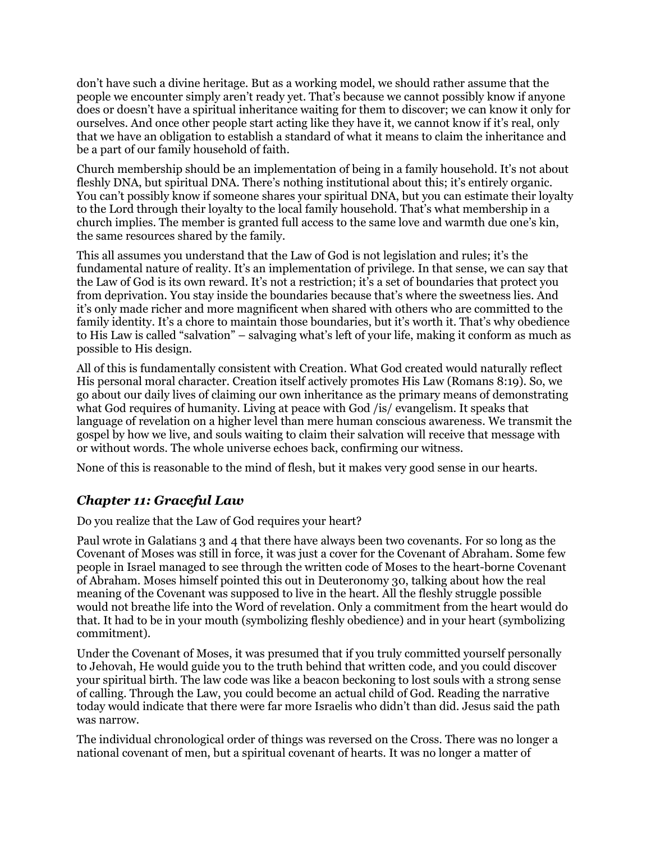don't have such a divine heritage. But as a working model, we should rather assume that the people we encounter simply aren't ready yet. That's because we cannot possibly know if anyone does or doesn't have a spiritual inheritance waiting for them to discover; we can know it only for ourselves. And once other people start acting like they have it, we cannot know if it's real, only that we have an obligation to establish a standard of what it means to claim the inheritance and be a part of our family household of faith.

Church membership should be an implementation of being in a family household. It's not about fleshly DNA, but spiritual DNA. There's nothing institutional about this; it's entirely organic. You can't possibly know if someone shares your spiritual DNA, but you can estimate their loyalty to the Lord through their loyalty to the local family household. That's what membership in a church implies. The member is granted full access to the same love and warmth due one's kin, the same resources shared by the family.

This all assumes you understand that the Law of God is not legislation and rules; it's the fundamental nature of reality. It's an implementation of privilege. In that sense, we can say that the Law of God is its own reward. It's not a restriction; it's a set of boundaries that protect you from deprivation. You stay inside the boundaries because that's where the sweetness lies. And it's only made richer and more magnificent when shared with others who are committed to the family identity. It's a chore to maintain those boundaries, but it's worth it. That's why obedience to His Law is called "salvation" – salvaging what's left of your life, making it conform as much as possible to His design.

All of this is fundamentally consistent with Creation. What God created would naturally reflect His personal moral character. Creation itself actively promotes His Law (Romans 8:19). So, we go about our daily lives of claiming our own inheritance as the primary means of demonstrating what God requires of humanity. Living at peace with God /is/ evangelism. It speaks that language of revelation on a higher level than mere human conscious awareness. We transmit the gospel by how we live, and souls waiting to claim their salvation will receive that message with or without words. The whole universe echoes back, confirming our witness.

None of this is reasonable to the mind of flesh, but it makes very good sense in our hearts.

## *Chapter 11: Graceful Law*

Do you realize that the Law of God requires your heart?

Paul wrote in Galatians 3 and 4 that there have always been two covenants. For so long as the Covenant of Moses was still in force, it was just a cover for the Covenant of Abraham. Some few people in Israel managed to see through the written code of Moses to the heart-borne Covenant of Abraham. Moses himself pointed this out in Deuteronomy 30, talking about how the real meaning of the Covenant was supposed to live in the heart. All the fleshly struggle possible would not breathe life into the Word of revelation. Only a commitment from the heart would do that. It had to be in your mouth (symbolizing fleshly obedience) and in your heart (symbolizing commitment).

Under the Covenant of Moses, it was presumed that if you truly committed yourself personally to Jehovah, He would guide you to the truth behind that written code, and you could discover your spiritual birth. The law code was like a beacon beckoning to lost souls with a strong sense of calling. Through the Law, you could become an actual child of God. Reading the narrative today would indicate that there were far more Israelis who didn't than did. Jesus said the path was narrow.

The individual chronological order of things was reversed on the Cross. There was no longer a national covenant of men, but a spiritual covenant of hearts. It was no longer a matter of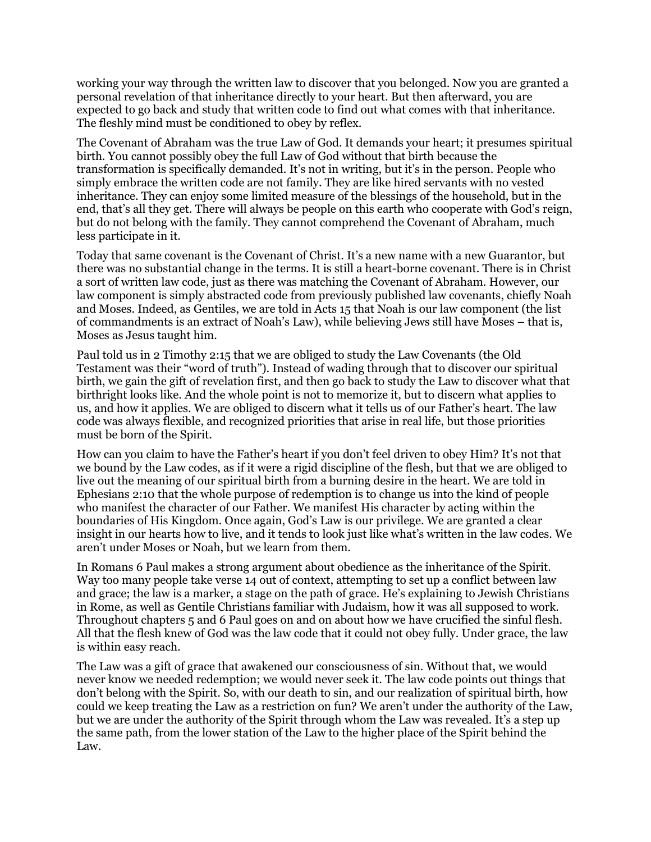working your way through the written law to discover that you belonged. Now you are granted a personal revelation of that inheritance directly to your heart. But then afterward, you are expected to go back and study that written code to find out what comes with that inheritance. The fleshly mind must be conditioned to obey by reflex.

The Covenant of Abraham was the true Law of God. It demands your heart; it presumes spiritual birth. You cannot possibly obey the full Law of God without that birth because the transformation is specifically demanded. It's not in writing, but it's in the person. People who simply embrace the written code are not family. They are like hired servants with no vested inheritance. They can enjoy some limited measure of the blessings of the household, but in the end, that's all they get. There will always be people on this earth who cooperate with God's reign, but do not belong with the family. They cannot comprehend the Covenant of Abraham, much less participate in it.

Today that same covenant is the Covenant of Christ. It's a new name with a new Guarantor, but there was no substantial change in the terms. It is still a heart-borne covenant. There is in Christ a sort of written law code, just as there was matching the Covenant of Abraham. However, our law component is simply abstracted code from previously published law covenants, chiefly Noah and Moses. Indeed, as Gentiles, we are told in Acts 15 that Noah is our law component (the list of commandments is an extract of Noah's Law), while believing Jews still have Moses – that is, Moses as Jesus taught him.

Paul told us in 2 Timothy 2:15 that we are obliged to study the Law Covenants (the Old Testament was their "word of truth"). Instead of wading through that to discover our spiritual birth, we gain the gift of revelation first, and then go back to study the Law to discover what that birthright looks like. And the whole point is not to memorize it, but to discern what applies to us, and how it applies. We are obliged to discern what it tells us of our Father's heart. The law code was always flexible, and recognized priorities that arise in real life, but those priorities must be born of the Spirit.

How can you claim to have the Father's heart if you don't feel driven to obey Him? It's not that we bound by the Law codes, as if it were a rigid discipline of the flesh, but that we are obliged to live out the meaning of our spiritual birth from a burning desire in the heart. We are told in Ephesians 2:10 that the whole purpose of redemption is to change us into the kind of people who manifest the character of our Father. We manifest His character by acting within the boundaries of His Kingdom. Once again, God's Law is our privilege. We are granted a clear insight in our hearts how to live, and it tends to look just like what's written in the law codes. We aren't under Moses or Noah, but we learn from them.

In Romans 6 Paul makes a strong argument about obedience as the inheritance of the Spirit. Way too many people take verse 14 out of context, attempting to set up a conflict between law and grace; the law is a marker, a stage on the path of grace. He's explaining to Jewish Christians in Rome, as well as Gentile Christians familiar with Judaism, how it was all supposed to work. Throughout chapters 5 and 6 Paul goes on and on about how we have crucified the sinful flesh. All that the flesh knew of God was the law code that it could not obey fully. Under grace, the law is within easy reach.

The Law was a gift of grace that awakened our consciousness of sin. Without that, we would never know we needed redemption; we would never seek it. The law code points out things that don't belong with the Spirit. So, with our death to sin, and our realization of spiritual birth, how could we keep treating the Law as a restriction on fun? We aren't under the authority of the Law, but we are under the authority of the Spirit through whom the Law was revealed. It's a step up the same path, from the lower station of the Law to the higher place of the Spirit behind the Law.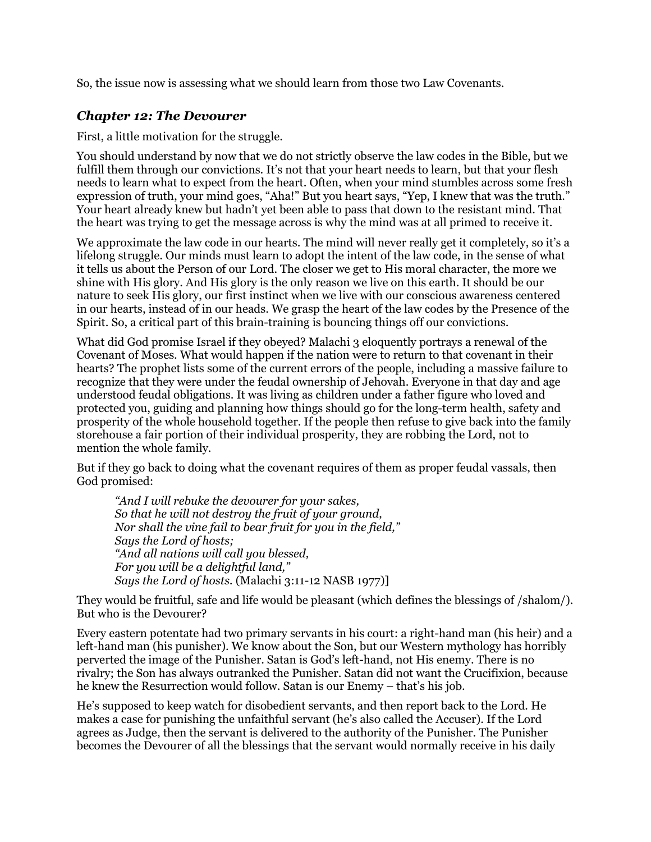So, the issue now is assessing what we should learn from those two Law Covenants.

#### *Chapter 12: The Devourer*

First, a little motivation for the struggle.

You should understand by now that we do not strictly observe the law codes in the Bible, but we fulfill them through our convictions. It's not that your heart needs to learn, but that your flesh needs to learn what to expect from the heart. Often, when your mind stumbles across some fresh expression of truth, your mind goes, "Aha!" But you heart says, "Yep, I knew that was the truth." Your heart already knew but hadn't yet been able to pass that down to the resistant mind. That the heart was trying to get the message across is why the mind was at all primed to receive it.

We approximate the law code in our hearts. The mind will never really get it completely, so it's a lifelong struggle. Our minds must learn to adopt the intent of the law code, in the sense of what it tells us about the Person of our Lord. The closer we get to His moral character, the more we shine with His glory. And His glory is the only reason we live on this earth. It should be our nature to seek His glory, our first instinct when we live with our conscious awareness centered in our hearts, instead of in our heads. We grasp the heart of the law codes by the Presence of the Spirit. So, a critical part of this brain-training is bouncing things off our convictions.

What did God promise Israel if they obeyed? Malachi 3 eloquently portrays a renewal of the Covenant of Moses. What would happen if the nation were to return to that covenant in their hearts? The prophet lists some of the current errors of the people, including a massive failure to recognize that they were under the feudal ownership of Jehovah. Everyone in that day and age understood feudal obligations. It was living as children under a father figure who loved and protected you, guiding and planning how things should go for the long-term health, safety and prosperity of the whole household together. If the people then refuse to give back into the family storehouse a fair portion of their individual prosperity, they are robbing the Lord, not to mention the whole family.

But if they go back to doing what the covenant requires of them as proper feudal vassals, then God promised:

*"And I will rebuke the devourer for your sakes, So that he will not destroy the fruit of your ground, Nor shall the vine fail to bear fruit for you in the field," Says the Lord of hosts; "And all nations will call you blessed, For you will be a delightful land," Says the Lord of hosts.* (Malachi 3:11-12 NASB 1977)]

They would be fruitful, safe and life would be pleasant (which defines the blessings of /shalom/). But who is the Devourer?

Every eastern potentate had two primary servants in his court: a right-hand man (his heir) and a left-hand man (his punisher). We know about the Son, but our Western mythology has horribly perverted the image of the Punisher. Satan is God's left-hand, not His enemy. There is no rivalry; the Son has always outranked the Punisher. Satan did not want the Crucifixion, because he knew the Resurrection would follow. Satan is our Enemy – that's his job.

He's supposed to keep watch for disobedient servants, and then report back to the Lord. He makes a case for punishing the unfaithful servant (he's also called the Accuser). If the Lord agrees as Judge, then the servant is delivered to the authority of the Punisher. The Punisher becomes the Devourer of all the blessings that the servant would normally receive in his daily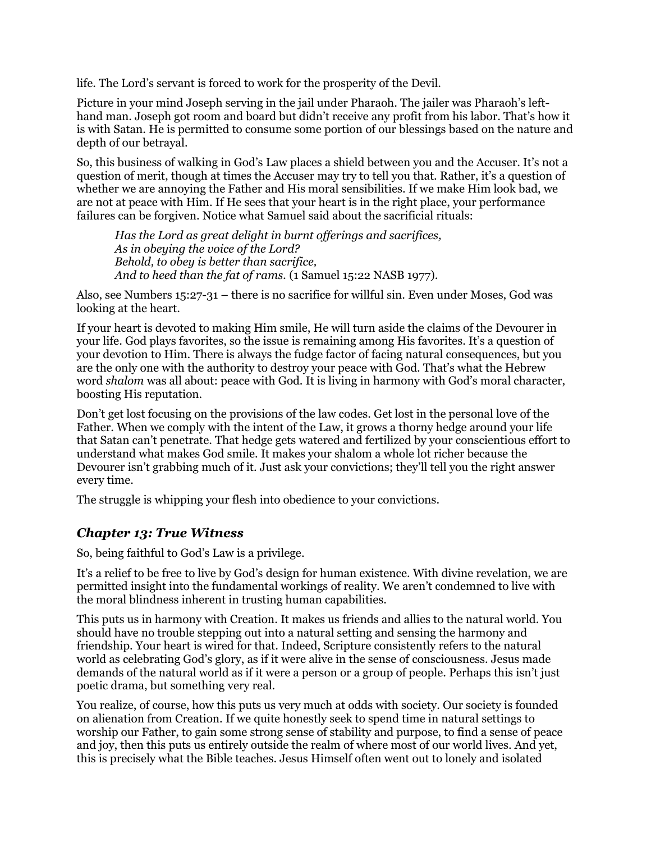life. The Lord's servant is forced to work for the prosperity of the Devil.

Picture in your mind Joseph serving in the jail under Pharaoh. The jailer was Pharaoh's lefthand man. Joseph got room and board but didn't receive any profit from his labor. That's how it is with Satan. He is permitted to consume some portion of our blessings based on the nature and depth of our betrayal.

So, this business of walking in God's Law places a shield between you and the Accuser. It's not a question of merit, though at times the Accuser may try to tell you that. Rather, it's a question of whether we are annoying the Father and His moral sensibilities. If we make Him look bad, we are not at peace with Him. If He sees that your heart is in the right place, your performance failures can be forgiven. Notice what Samuel said about the sacrificial rituals:

*Has the Lord as great delight in burnt offerings and sacrifices, As in obeying the voice of the Lord? Behold, to obey is better than sacrifice,* And to heed than the fat of rams. (1 Samuel 15:22 NASB 1977).

Also, see Numbers 15:27-31 – there is no sacrifice for willful sin. Even under Moses, God was looking at the heart.

If your heart is devoted to making Him smile, He will turn aside the claims of the Devourer in your life. God plays favorites, so the issue is remaining among His favorites. It's a question of your devotion to Him. There is always the fudge factor of facing natural consequences, but you are the only one with the authority to destroy your peace with God. That's what the Hebrew word *shalom* was all about: peace with God. It is living in harmony with God's moral character, boosting His reputation.

Don't get lost focusing on the provisions of the law codes. Get lost in the personal love of the Father. When we comply with the intent of the Law, it grows a thorny hedge around your life that Satan can't penetrate. That hedge gets watered and fertilized by your conscientious effort to understand what makes God smile. It makes your shalom a whole lot richer because the Devourer isn't grabbing much of it. Just ask your convictions; they'll tell you the right answer every time.

The struggle is whipping your flesh into obedience to your convictions.

#### *Chapter 13: True Witness*

So, being faithful to God's Law is a privilege.

It's a relief to be free to live by God's design for human existence. With divine revelation, we are permitted insight into the fundamental workings of reality. We aren't condemned to live with the moral blindness inherent in trusting human capabilities.

This puts us in harmony with Creation. It makes us friends and allies to the natural world. You should have no trouble stepping out into a natural setting and sensing the harmony and friendship. Your heart is wired for that. Indeed, Scripture consistently refers to the natural world as celebrating God's glory, as if it were alive in the sense of consciousness. Jesus made demands of the natural world as if it were a person or a group of people. Perhaps this isn't just poetic drama, but something very real.

You realize, of course, how this puts us very much at odds with society. Our society is founded on alienation from Creation. If we quite honestly seek to spend time in natural settings to worship our Father, to gain some strong sense of stability and purpose, to find a sense of peace and joy, then this puts us entirely outside the realm of where most of our world lives. And yet, this is precisely what the Bible teaches. Jesus Himself often went out to lonely and isolated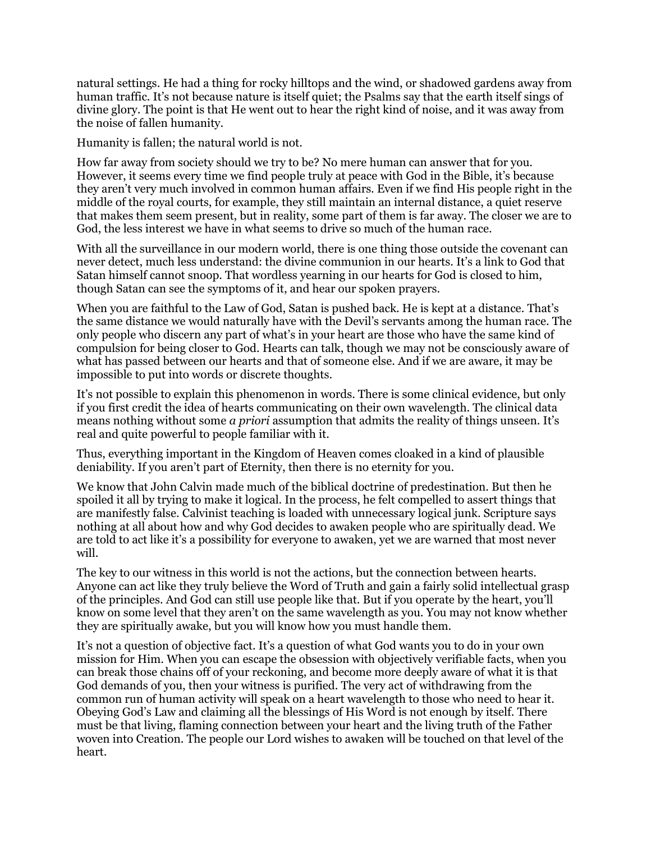natural settings. He had a thing for rocky hilltops and the wind, or shadowed gardens away from human traffic. It's not because nature is itself quiet; the Psalms say that the earth itself sings of divine glory. The point is that He went out to hear the right kind of noise, and it was away from the noise of fallen humanity.

Humanity is fallen; the natural world is not.

How far away from society should we try to be? No mere human can answer that for you. However, it seems every time we find people truly at peace with God in the Bible, it's because they aren't very much involved in common human affairs. Even if we find His people right in the middle of the royal courts, for example, they still maintain an internal distance, a quiet reserve that makes them seem present, but in reality, some part of them is far away. The closer we are to God, the less interest we have in what seems to drive so much of the human race.

With all the surveillance in our modern world, there is one thing those outside the covenant can never detect, much less understand: the divine communion in our hearts. It's a link to God that Satan himself cannot snoop. That wordless yearning in our hearts for God is closed to him, though Satan can see the symptoms of it, and hear our spoken prayers.

When you are faithful to the Law of God, Satan is pushed back. He is kept at a distance. That's the same distance we would naturally have with the Devil's servants among the human race. The only people who discern any part of what's in your heart are those who have the same kind of compulsion for being closer to God. Hearts can talk, though we may not be consciously aware of what has passed between our hearts and that of someone else. And if we are aware, it may be impossible to put into words or discrete thoughts.

It's not possible to explain this phenomenon in words. There is some clinical evidence, but only if you first credit the idea of hearts communicating on their own wavelength. The clinical data means nothing without some *a priori* assumption that admits the reality of things unseen. It's real and quite powerful to people familiar with it.

Thus, everything important in the Kingdom of Heaven comes cloaked in a kind of plausible deniability. If you aren't part of Eternity, then there is no eternity for you.

We know that John Calvin made much of the biblical doctrine of predestination. But then he spoiled it all by trying to make it logical. In the process, he felt compelled to assert things that are manifestly false. Calvinist teaching is loaded with unnecessary logical junk. Scripture says nothing at all about how and why God decides to awaken people who are spiritually dead. We are told to act like it's a possibility for everyone to awaken, yet we are warned that most never will.

The key to our witness in this world is not the actions, but the connection between hearts. Anyone can act like they truly believe the Word of Truth and gain a fairly solid intellectual grasp of the principles. And God can still use people like that. But if you operate by the heart, you'll know on some level that they aren't on the same wavelength as you. You may not know whether they are spiritually awake, but you will know how you must handle them.

It's not a question of objective fact. It's a question of what God wants you to do in your own mission for Him. When you can escape the obsession with objectively verifiable facts, when you can break those chains off of your reckoning, and become more deeply aware of what it is that God demands of you, then your witness is purified. The very act of withdrawing from the common run of human activity will speak on a heart wavelength to those who need to hear it. Obeying God's Law and claiming all the blessings of His Word is not enough by itself. There must be that living, flaming connection between your heart and the living truth of the Father woven into Creation. The people our Lord wishes to awaken will be touched on that level of the heart.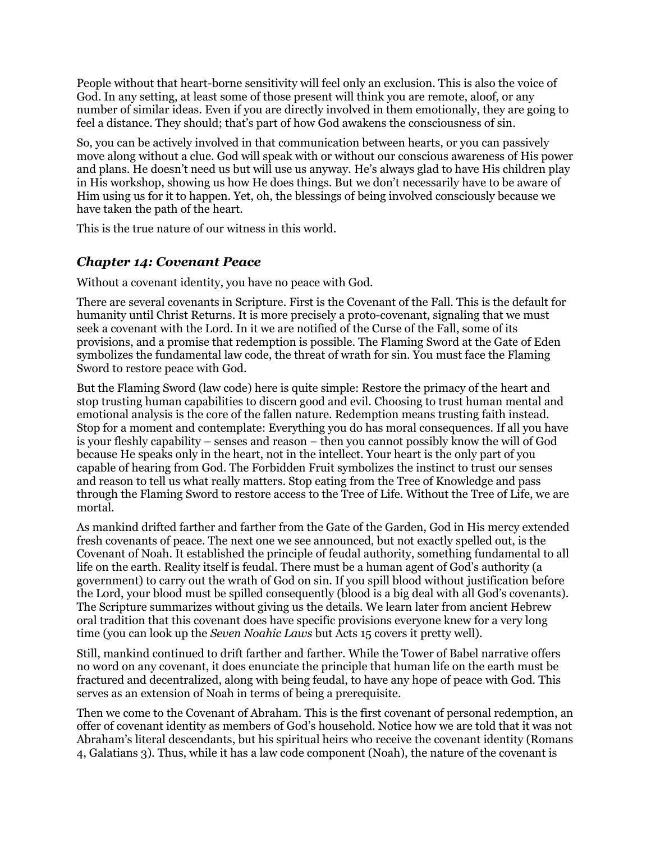People without that heart-borne sensitivity will feel only an exclusion. This is also the voice of God. In any setting, at least some of those present will think you are remote, aloof, or any number of similar ideas. Even if you are directly involved in them emotionally, they are going to feel a distance. They should; that's part of how God awakens the consciousness of sin.

So, you can be actively involved in that communication between hearts, or you can passively move along without a clue. God will speak with or without our conscious awareness of His power and plans. He doesn't need us but will use us anyway. He's always glad to have His children play in His workshop, showing us how He does things. But we don't necessarily have to be aware of Him using us for it to happen. Yet, oh, the blessings of being involved consciously because we have taken the path of the heart.

This is the true nature of our witness in this world.

### *Chapter 14: Covenant Peace*

Without a covenant identity, you have no peace with God.

There are several covenants in Scripture. First is the Covenant of the Fall. This is the default for humanity until Christ Returns. It is more precisely a proto-covenant, signaling that we must seek a covenant with the Lord. In it we are notified of the Curse of the Fall, some of its provisions, and a promise that redemption is possible. The Flaming Sword at the Gate of Eden symbolizes the fundamental law code, the threat of wrath for sin. You must face the Flaming Sword to restore peace with God.

But the Flaming Sword (law code) here is quite simple: Restore the primacy of the heart and stop trusting human capabilities to discern good and evil. Choosing to trust human mental and emotional analysis is the core of the fallen nature. Redemption means trusting faith instead. Stop for a moment and contemplate: Everything you do has moral consequences. If all you have is your fleshly capability – senses and reason – then you cannot possibly know the will of God because He speaks only in the heart, not in the intellect. Your heart is the only part of you capable of hearing from God. The Forbidden Fruit symbolizes the instinct to trust our senses and reason to tell us what really matters. Stop eating from the Tree of Knowledge and pass through the Flaming Sword to restore access to the Tree of Life. Without the Tree of Life, we are mortal.

As mankind drifted farther and farther from the Gate of the Garden, God in His mercy extended fresh covenants of peace. The next one we see announced, but not exactly spelled out, is the Covenant of Noah. It established the principle of feudal authority, something fundamental to all life on the earth. Reality itself is feudal. There must be a human agent of God's authority (a government) to carry out the wrath of God on sin. If you spill blood without justification before the Lord, your blood must be spilled consequently (blood is a big deal with all God's covenants). The Scripture summarizes without giving us the details. We learn later from ancient Hebrew oral tradition that this covenant does have specific provisions everyone knew for a very long time (you can look up the *Seven Noahic Laws* but Acts 15 covers it pretty well).

Still, mankind continued to drift farther and farther. While the Tower of Babel narrative offers no word on any covenant, it does enunciate the principle that human life on the earth must be fractured and decentralized, along with being feudal, to have any hope of peace with God. This serves as an extension of Noah in terms of being a prerequisite.

Then we come to the Covenant of Abraham. This is the first covenant of personal redemption, an offer of covenant identity as members of God's household. Notice how we are told that it was not Abraham's literal descendants, but his spiritual heirs who receive the covenant identity (Romans 4, Galatians 3). Thus, while it has a law code component (Noah), the nature of the covenant is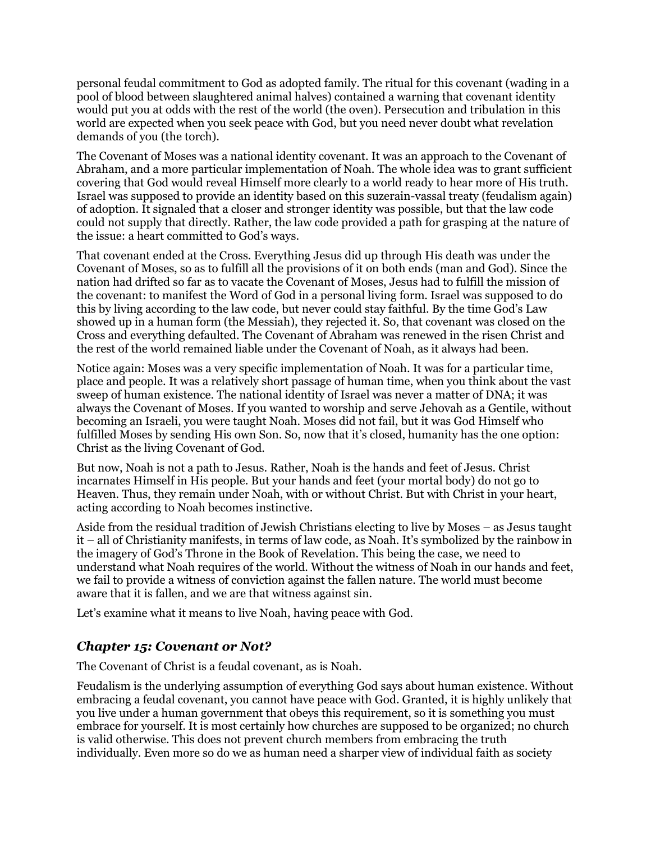personal feudal commitment to God as adopted family. The ritual for this covenant (wading in a pool of blood between slaughtered animal halves) contained a warning that covenant identity would put you at odds with the rest of the world (the oven). Persecution and tribulation in this world are expected when you seek peace with God, but you need never doubt what revelation demands of you (the torch).

The Covenant of Moses was a national identity covenant. It was an approach to the Covenant of Abraham, and a more particular implementation of Noah. The whole idea was to grant sufficient covering that God would reveal Himself more clearly to a world ready to hear more of His truth. Israel was supposed to provide an identity based on this suzerain-vassal treaty (feudalism again) of adoption. It signaled that a closer and stronger identity was possible, but that the law code could not supply that directly. Rather, the law code provided a path for grasping at the nature of the issue: a heart committed to God's ways.

That covenant ended at the Cross. Everything Jesus did up through His death was under the Covenant of Moses, so as to fulfill all the provisions of it on both ends (man and God). Since the nation had drifted so far as to vacate the Covenant of Moses, Jesus had to fulfill the mission of the covenant: to manifest the Word of God in a personal living form. Israel was supposed to do this by living according to the law code, but never could stay faithful. By the time God's Law showed up in a human form (the Messiah), they rejected it. So, that covenant was closed on the Cross and everything defaulted. The Covenant of Abraham was renewed in the risen Christ and the rest of the world remained liable under the Covenant of Noah, as it always had been.

Notice again: Moses was a very specific implementation of Noah. It was for a particular time, place and people. It was a relatively short passage of human time, when you think about the vast sweep of human existence. The national identity of Israel was never a matter of DNA; it was always the Covenant of Moses. If you wanted to worship and serve Jehovah as a Gentile, without becoming an Israeli, you were taught Noah. Moses did not fail, but it was God Himself who fulfilled Moses by sending His own Son. So, now that it's closed, humanity has the one option: Christ as the living Covenant of God.

But now, Noah is not a path to Jesus. Rather, Noah is the hands and feet of Jesus. Christ incarnates Himself in His people. But your hands and feet (your mortal body) do not go to Heaven. Thus, they remain under Noah, with or without Christ. But with Christ in your heart, acting according to Noah becomes instinctive.

Aside from the residual tradition of Jewish Christians electing to live by Moses – as Jesus taught it – all of Christianity manifests, in terms of law code, as Noah. It's symbolized by the rainbow in the imagery of God's Throne in the Book of Revelation. This being the case, we need to understand what Noah requires of the world. Without the witness of Noah in our hands and feet, we fail to provide a witness of conviction against the fallen nature. The world must become aware that it is fallen, and we are that witness against sin.

Let's examine what it means to live Noah, having peace with God.

### *Chapter 15: Covenant or Not?*

The Covenant of Christ is a feudal covenant, as is Noah.

Feudalism is the underlying assumption of everything God says about human existence. Without embracing a feudal covenant, you cannot have peace with God. Granted, it is highly unlikely that you live under a human government that obeys this requirement, so it is something you must embrace for yourself. It is most certainly how churches are supposed to be organized; no church is valid otherwise. This does not prevent church members from embracing the truth individually. Even more so do we as human need a sharper view of individual faith as society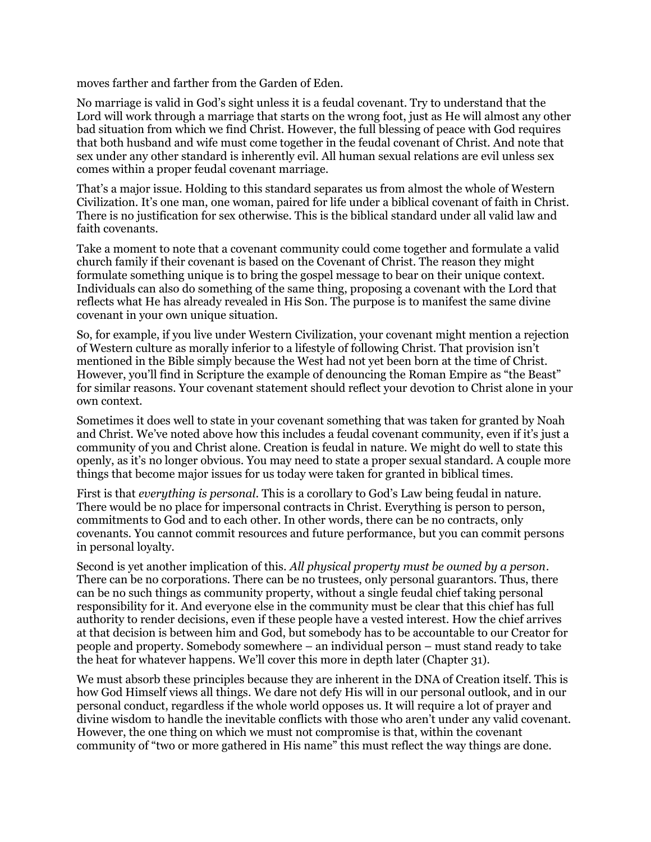moves farther and farther from the Garden of Eden.

No marriage is valid in God's sight unless it is a feudal covenant. Try to understand that the Lord will work through a marriage that starts on the wrong foot, just as He will almost any other bad situation from which we find Christ. However, the full blessing of peace with God requires that both husband and wife must come together in the feudal covenant of Christ. And note that sex under any other standard is inherently evil. All human sexual relations are evil unless sex comes within a proper feudal covenant marriage.

That's a major issue. Holding to this standard separates us from almost the whole of Western Civilization. It's one man, one woman, paired for life under a biblical covenant of faith in Christ. There is no justification for sex otherwise. This is the biblical standard under all valid law and faith covenants.

Take a moment to note that a covenant community could come together and formulate a valid church family if their covenant is based on the Covenant of Christ. The reason they might formulate something unique is to bring the gospel message to bear on their unique context. Individuals can also do something of the same thing, proposing a covenant with the Lord that reflects what He has already revealed in His Son. The purpose is to manifest the same divine covenant in your own unique situation.

So, for example, if you live under Western Civilization, your covenant might mention a rejection of Western culture as morally inferior to a lifestyle of following Christ. That provision isn't mentioned in the Bible simply because the West had not yet been born at the time of Christ. However, you'll find in Scripture the example of denouncing the Roman Empire as "the Beast" for similar reasons. Your covenant statement should reflect your devotion to Christ alone in your own context.

Sometimes it does well to state in your covenant something that was taken for granted by Noah and Christ. We've noted above how this includes a feudal covenant community, even if it's just a community of you and Christ alone. Creation is feudal in nature. We might do well to state this openly, as it's no longer obvious. You may need to state a proper sexual standard. A couple more things that become major issues for us today were taken for granted in biblical times.

First is that *everything is personal*. This is a corollary to God's Law being feudal in nature. There would be no place for impersonal contracts in Christ. Everything is person to person, commitments to God and to each other. In other words, there can be no contracts, only covenants. You cannot commit resources and future performance, but you can commit persons in personal loyalty.

Second is yet another implication of this. *All physical property must be owned by a person*. There can be no corporations. There can be no trustees, only personal guarantors. Thus, there can be no such things as community property, without a single feudal chief taking personal responsibility for it. And everyone else in the community must be clear that this chief has full authority to render decisions, even if these people have a vested interest. How the chief arrives at that decision is between him and God, but somebody has to be accountable to our Creator for people and property. Somebody somewhere – an individual person – must stand ready to take the heat for whatever happens. We'll cover this more in depth later (Chapter 31).

We must absorb these principles because they are inherent in the DNA of Creation itself. This is how God Himself views all things. We dare not defy His will in our personal outlook, and in our personal conduct, regardless if the whole world opposes us. It will require a lot of prayer and divine wisdom to handle the inevitable conflicts with those who aren't under any valid covenant. However, the one thing on which we must not compromise is that, within the covenant community of "two or more gathered in His name" this must reflect the way things are done.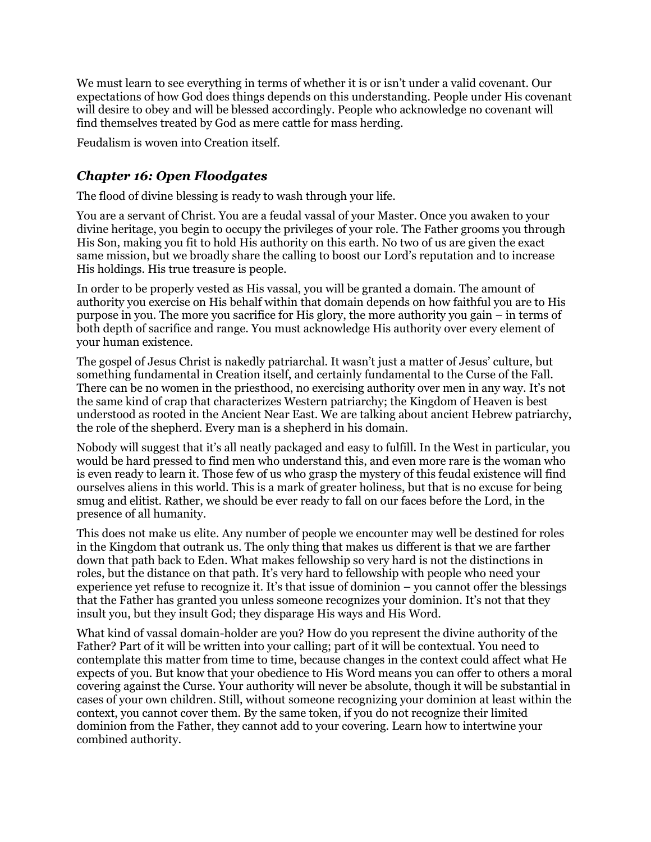We must learn to see everything in terms of whether it is or isn't under a valid covenant. Our expectations of how God does things depends on this understanding. People under His covenant will desire to obey and will be blessed accordingly. People who acknowledge no covenant will find themselves treated by God as mere cattle for mass herding.

Feudalism is woven into Creation itself.

### *Chapter 16: Open Floodgates*

The flood of divine blessing is ready to wash through your life.

You are a servant of Christ. You are a feudal vassal of your Master. Once you awaken to your divine heritage, you begin to occupy the privileges of your role. The Father grooms you through His Son, making you fit to hold His authority on this earth. No two of us are given the exact same mission, but we broadly share the calling to boost our Lord's reputation and to increase His holdings. His true treasure is people.

In order to be properly vested as His vassal, you will be granted a domain. The amount of authority you exercise on His behalf within that domain depends on how faithful you are to His purpose in you. The more you sacrifice for His glory, the more authority you gain – in terms of both depth of sacrifice and range. You must acknowledge His authority over every element of your human existence.

The gospel of Jesus Christ is nakedly patriarchal. It wasn't just a matter of Jesus' culture, but something fundamental in Creation itself, and certainly fundamental to the Curse of the Fall. There can be no women in the priesthood, no exercising authority over men in any way. It's not the same kind of crap that characterizes Western patriarchy; the Kingdom of Heaven is best understood as rooted in the Ancient Near East. We are talking about ancient Hebrew patriarchy, the role of the shepherd. Every man is a shepherd in his domain.

Nobody will suggest that it's all neatly packaged and easy to fulfill. In the West in particular, you would be hard pressed to find men who understand this, and even more rare is the woman who is even ready to learn it. Those few of us who grasp the mystery of this feudal existence will find ourselves aliens in this world. This is a mark of greater holiness, but that is no excuse for being smug and elitist. Rather, we should be ever ready to fall on our faces before the Lord, in the presence of all humanity.

This does not make us elite. Any number of people we encounter may well be destined for roles in the Kingdom that outrank us. The only thing that makes us different is that we are farther down that path back to Eden. What makes fellowship so very hard is not the distinctions in roles, but the distance on that path. It's very hard to fellowship with people who need your experience yet refuse to recognize it. It's that issue of dominion – you cannot offer the blessings that the Father has granted you unless someone recognizes your dominion. It's not that they insult you, but they insult God; they disparage His ways and His Word.

What kind of vassal domain-holder are you? How do you represent the divine authority of the Father? Part of it will be written into your calling; part of it will be contextual. You need to contemplate this matter from time to time, because changes in the context could affect what He expects of you. But know that your obedience to His Word means you can offer to others a moral covering against the Curse. Your authority will never be absolute, though it will be substantial in cases of your own children. Still, without someone recognizing your dominion at least within the context, you cannot cover them. By the same token, if you do not recognize their limited dominion from the Father, they cannot add to your covering. Learn how to intertwine your combined authority.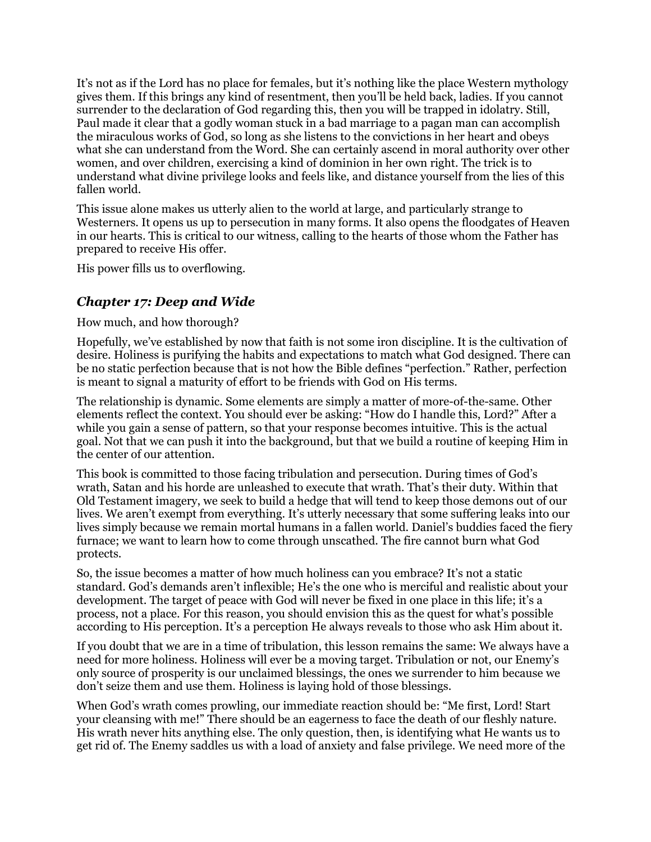It's not as if the Lord has no place for females, but it's nothing like the place Western mythology gives them. If this brings any kind of resentment, then you'll be held back, ladies. If you cannot surrender to the declaration of God regarding this, then you will be trapped in idolatry. Still, Paul made it clear that a godly woman stuck in a bad marriage to a pagan man can accomplish the miraculous works of God, so long as she listens to the convictions in her heart and obeys what she can understand from the Word. She can certainly ascend in moral authority over other women, and over children, exercising a kind of dominion in her own right. The trick is to understand what divine privilege looks and feels like, and distance yourself from the lies of this fallen world.

This issue alone makes us utterly alien to the world at large, and particularly strange to Westerners. It opens us up to persecution in many forms. It also opens the floodgates of Heaven in our hearts. This is critical to our witness, calling to the hearts of those whom the Father has prepared to receive His offer.

His power fills us to overflowing.

#### *Chapter 17: Deep and Wide*

How much, and how thorough?

Hopefully, we've established by now that faith is not some iron discipline. It is the cultivation of desire. Holiness is purifying the habits and expectations to match what God designed. There can be no static perfection because that is not how the Bible defines "perfection." Rather, perfection is meant to signal a maturity of effort to be friends with God on His terms.

The relationship is dynamic. Some elements are simply a matter of more-of-the-same. Other elements reflect the context. You should ever be asking: "How do I handle this, Lord?" After a while you gain a sense of pattern, so that your response becomes intuitive. This is the actual goal. Not that we can push it into the background, but that we build a routine of keeping Him in the center of our attention.

This book is committed to those facing tribulation and persecution. During times of God's wrath, Satan and his horde are unleashed to execute that wrath. That's their duty. Within that Old Testament imagery, we seek to build a hedge that will tend to keep those demons out of our lives. We aren't exempt from everything. It's utterly necessary that some suffering leaks into our lives simply because we remain mortal humans in a fallen world. Daniel's buddies faced the fiery furnace; we want to learn how to come through unscathed. The fire cannot burn what God protects.

So, the issue becomes a matter of how much holiness can you embrace? It's not a static standard. God's demands aren't inflexible; He's the one who is merciful and realistic about your development. The target of peace with God will never be fixed in one place in this life; it's a process, not a place. For this reason, you should envision this as the quest for what's possible according to His perception. It's a perception He always reveals to those who ask Him about it.

If you doubt that we are in a time of tribulation, this lesson remains the same: We always have a need for more holiness. Holiness will ever be a moving target. Tribulation or not, our Enemy's only source of prosperity is our unclaimed blessings, the ones we surrender to him because we don't seize them and use them. Holiness is laying hold of those blessings.

When God's wrath comes prowling, our immediate reaction should be: "Me first, Lord! Start your cleansing with me!" There should be an eagerness to face the death of our fleshly nature. His wrath never hits anything else. The only question, then, is identifying what He wants us to get rid of. The Enemy saddles us with a load of anxiety and false privilege. We need more of the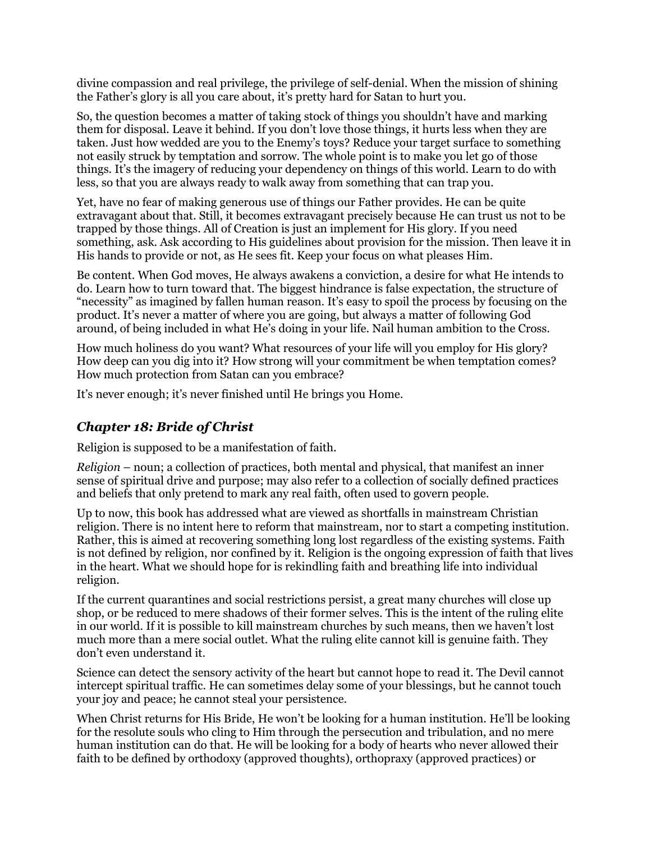divine compassion and real privilege, the privilege of self-denial. When the mission of shining the Father's glory is all you care about, it's pretty hard for Satan to hurt you.

So, the question becomes a matter of taking stock of things you shouldn't have and marking them for disposal. Leave it behind. If you don't love those things, it hurts less when they are taken. Just how wedded are you to the Enemy's toys? Reduce your target surface to something not easily struck by temptation and sorrow. The whole point is to make you let go of those things. It's the imagery of reducing your dependency on things of this world. Learn to do with less, so that you are always ready to walk away from something that can trap you.

Yet, have no fear of making generous use of things our Father provides. He can be quite extravagant about that. Still, it becomes extravagant precisely because He can trust us not to be trapped by those things. All of Creation is just an implement for His glory. If you need something, ask. Ask according to His guidelines about provision for the mission. Then leave it in His hands to provide or not, as He sees fit. Keep your focus on what pleases Him.

Be content. When God moves, He always awakens a conviction, a desire for what He intends to do. Learn how to turn toward that. The biggest hindrance is false expectation, the structure of "necessity" as imagined by fallen human reason. It's easy to spoil the process by focusing on the product. It's never a matter of where you are going, but always a matter of following God around, of being included in what He's doing in your life. Nail human ambition to the Cross.

How much holiness do you want? What resources of your life will you employ for His glory? How deep can you dig into it? How strong will your commitment be when temptation comes? How much protection from Satan can you embrace?

It's never enough; it's never finished until He brings you Home.

### *Chapter 18: Bride of Christ*

Religion is supposed to be a manifestation of faith.

*Religion* – noun; a collection of practices, both mental and physical, that manifest an inner sense of spiritual drive and purpose; may also refer to a collection of socially defined practices and beliefs that only pretend to mark any real faith, often used to govern people.

Up to now, this book has addressed what are viewed as shortfalls in mainstream Christian religion. There is no intent here to reform that mainstream, nor to start a competing institution. Rather, this is aimed at recovering something long lost regardless of the existing systems. Faith is not defined by religion, nor confined by it. Religion is the ongoing expression of faith that lives in the heart. What we should hope for is rekindling faith and breathing life into individual religion.

If the current quarantines and social restrictions persist, a great many churches will close up shop, or be reduced to mere shadows of their former selves. This is the intent of the ruling elite in our world. If it is possible to kill mainstream churches by such means, then we haven't lost much more than a mere social outlet. What the ruling elite cannot kill is genuine faith. They don't even understand it.

Science can detect the sensory activity of the heart but cannot hope to read it. The Devil cannot intercept spiritual traffic. He can sometimes delay some of your blessings, but he cannot touch your joy and peace; he cannot steal your persistence.

When Christ returns for His Bride, He won't be looking for a human institution. He'll be looking for the resolute souls who cling to Him through the persecution and tribulation, and no mere human institution can do that. He will be looking for a body of hearts who never allowed their faith to be defined by orthodoxy (approved thoughts), orthopraxy (approved practices) or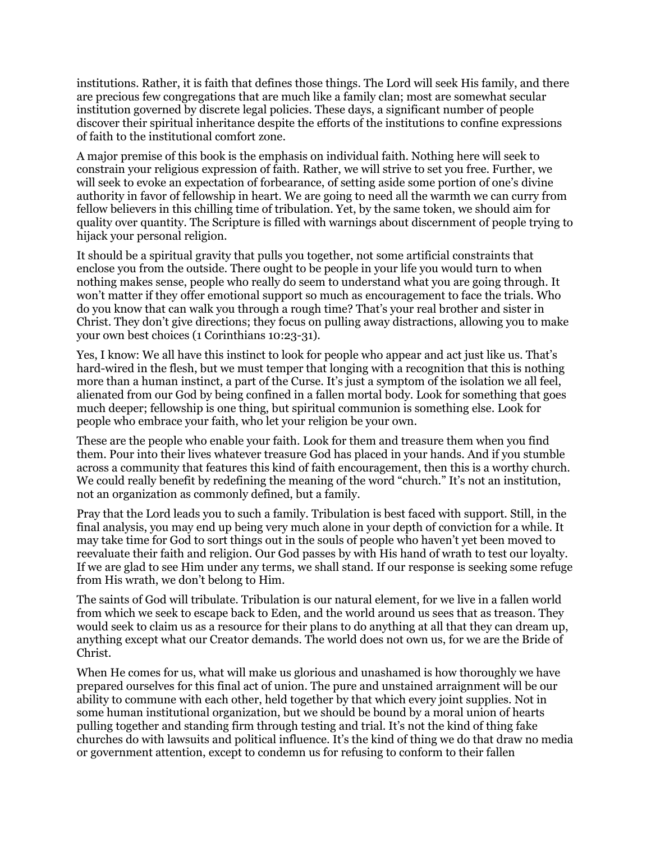institutions. Rather, it is faith that defines those things. The Lord will seek His family, and there are precious few congregations that are much like a family clan; most are somewhat secular institution governed by discrete legal policies. These days, a significant number of people discover their spiritual inheritance despite the efforts of the institutions to confine expressions of faith to the institutional comfort zone.

A major premise of this book is the emphasis on individual faith. Nothing here will seek to constrain your religious expression of faith. Rather, we will strive to set you free. Further, we will seek to evoke an expectation of forbearance, of setting aside some portion of one's divine authority in favor of fellowship in heart. We are going to need all the warmth we can curry from fellow believers in this chilling time of tribulation. Yet, by the same token, we should aim for quality over quantity. The Scripture is filled with warnings about discernment of people trying to hijack your personal religion.

It should be a spiritual gravity that pulls you together, not some artificial constraints that enclose you from the outside. There ought to be people in your life you would turn to when nothing makes sense, people who really do seem to understand what you are going through. It won't matter if they offer emotional support so much as encouragement to face the trials. Who do you know that can walk you through a rough time? That's your real brother and sister in Christ. They don't give directions; they focus on pulling away distractions, allowing you to make your own best choices (1 Corinthians 10:23-31).

Yes, I know: We all have this instinct to look for people who appear and act just like us. That's hard-wired in the flesh, but we must temper that longing with a recognition that this is nothing more than a human instinct, a part of the Curse. It's just a symptom of the isolation we all feel, alienated from our God by being confined in a fallen mortal body. Look for something that goes much deeper; fellowship is one thing, but spiritual communion is something else. Look for people who embrace your faith, who let your religion be your own.

These are the people who enable your faith. Look for them and treasure them when you find them. Pour into their lives whatever treasure God has placed in your hands. And if you stumble across a community that features this kind of faith encouragement, then this is a worthy church. We could really benefit by redefining the meaning of the word "church." It's not an institution, not an organization as commonly defined, but a family.

Pray that the Lord leads you to such a family. Tribulation is best faced with support. Still, in the final analysis, you may end up being very much alone in your depth of conviction for a while. It may take time for God to sort things out in the souls of people who haven't yet been moved to reevaluate their faith and religion. Our God passes by with His hand of wrath to test our loyalty. If we are glad to see Him under any terms, we shall stand. If our response is seeking some refuge from His wrath, we don't belong to Him.

The saints of God will tribulate. Tribulation is our natural element, for we live in a fallen world from which we seek to escape back to Eden, and the world around us sees that as treason. They would seek to claim us as a resource for their plans to do anything at all that they can dream up, anything except what our Creator demands. The world does not own us, for we are the Bride of Christ.

When He comes for us, what will make us glorious and unashamed is how thoroughly we have prepared ourselves for this final act of union. The pure and unstained arraignment will be our ability to commune with each other, held together by that which every joint supplies. Not in some human institutional organization, but we should be bound by a moral union of hearts pulling together and standing firm through testing and trial. It's not the kind of thing fake churches do with lawsuits and political influence. It's the kind of thing we do that draw no media or government attention, except to condemn us for refusing to conform to their fallen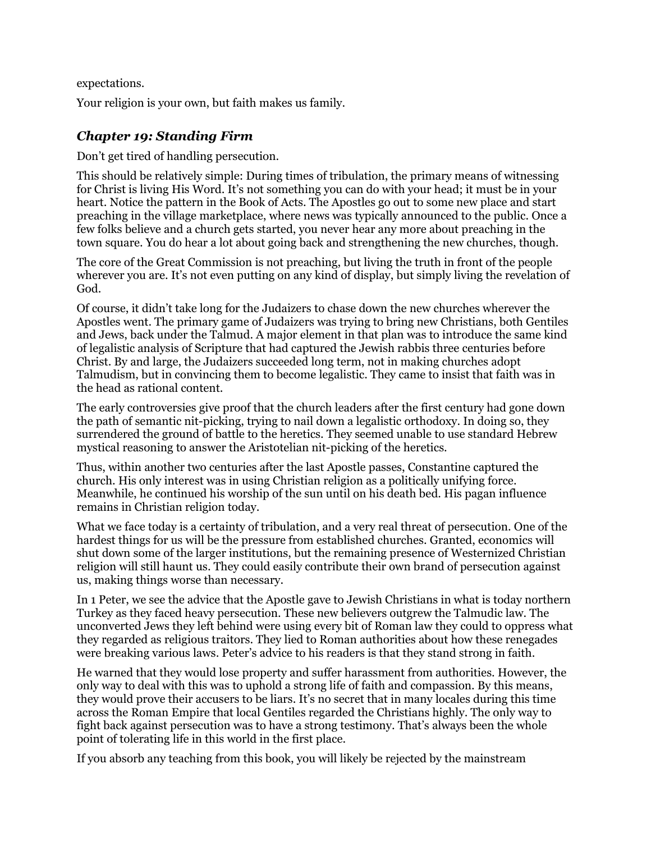expectations.

Your religion is your own, but faith makes us family.

### *Chapter 19: Standing Firm*

Don't get tired of handling persecution.

This should be relatively simple: During times of tribulation, the primary means of witnessing for Christ is living His Word. It's not something you can do with your head; it must be in your heart. Notice the pattern in the Book of Acts. The Apostles go out to some new place and start preaching in the village marketplace, where news was typically announced to the public. Once a few folks believe and a church gets started, you never hear any more about preaching in the town square. You do hear a lot about going back and strengthening the new churches, though.

The core of the Great Commission is not preaching, but living the truth in front of the people wherever you are. It's not even putting on any kind of display, but simply living the revelation of God.

Of course, it didn't take long for the Judaizers to chase down the new churches wherever the Apostles went. The primary game of Judaizers was trying to bring new Christians, both Gentiles and Jews, back under the Talmud. A major element in that plan was to introduce the same kind of legalistic analysis of Scripture that had captured the Jewish rabbis three centuries before Christ. By and large, the Judaizers succeeded long term, not in making churches adopt Talmudism, but in convincing them to become legalistic. They came to insist that faith was in the head as rational content.

The early controversies give proof that the church leaders after the first century had gone down the path of semantic nit-picking, trying to nail down a legalistic orthodoxy. In doing so, they surrendered the ground of battle to the heretics. They seemed unable to use standard Hebrew mystical reasoning to answer the Aristotelian nit-picking of the heretics.

Thus, within another two centuries after the last Apostle passes, Constantine captured the church. His only interest was in using Christian religion as a politically unifying force. Meanwhile, he continued his worship of the sun until on his death bed. His pagan influence remains in Christian religion today.

What we face today is a certainty of tribulation, and a very real threat of persecution. One of the hardest things for us will be the pressure from established churches. Granted, economics will shut down some of the larger institutions, but the remaining presence of Westernized Christian religion will still haunt us. They could easily contribute their own brand of persecution against us, making things worse than necessary.

In 1 Peter, we see the advice that the Apostle gave to Jewish Christians in what is today northern Turkey as they faced heavy persecution. These new believers outgrew the Talmudic law. The unconverted Jews they left behind were using every bit of Roman law they could to oppress what they regarded as religious traitors. They lied to Roman authorities about how these renegades were breaking various laws. Peter's advice to his readers is that they stand strong in faith.

He warned that they would lose property and suffer harassment from authorities. However, the only way to deal with this was to uphold a strong life of faith and compassion. By this means, they would prove their accusers to be liars. It's no secret that in many locales during this time across the Roman Empire that local Gentiles regarded the Christians highly. The only way to fight back against persecution was to have a strong testimony. That's always been the whole point of tolerating life in this world in the first place.

If you absorb any teaching from this book, you will likely be rejected by the mainstream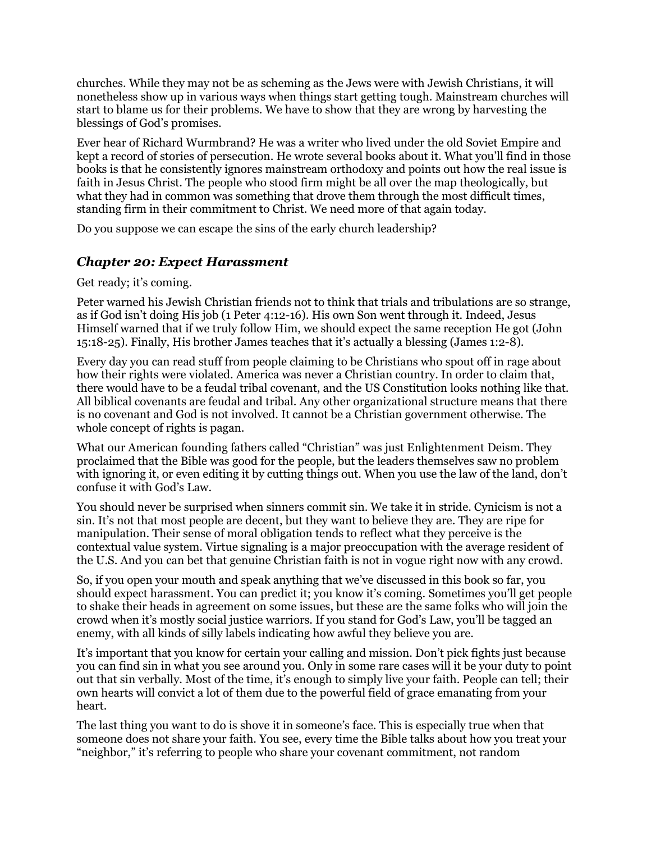churches. While they may not be as scheming as the Jews were with Jewish Christians, it will nonetheless show up in various ways when things start getting tough. Mainstream churches will start to blame us for their problems. We have to show that they are wrong by harvesting the blessings of God's promises.

Ever hear of Richard Wurmbrand? He was a writer who lived under the old Soviet Empire and kept a record of stories of persecution. He wrote several books about it. What you'll find in those books is that he consistently ignores mainstream orthodoxy and points out how the real issue is faith in Jesus Christ. The people who stood firm might be all over the map theologically, but what they had in common was something that drove them through the most difficult times, standing firm in their commitment to Christ. We need more of that again today.

Do you suppose we can escape the sins of the early church leadership?

#### *Chapter 20: Expect Harassment*

Get ready; it's coming.

Peter warned his Jewish Christian friends not to think that trials and tribulations are so strange, as if God isn't doing His job (1 Peter 4:12-16). His own Son went through it. Indeed, Jesus Himself warned that if we truly follow Him, we should expect the same reception He got (John 15:18-25). Finally, His brother James teaches that it's actually a blessing (James 1:2-8).

Every day you can read stuff from people claiming to be Christians who spout off in rage about how their rights were violated. America was never a Christian country. In order to claim that, there would have to be a feudal tribal covenant, and the US Constitution looks nothing like that. All biblical covenants are feudal and tribal. Any other organizational structure means that there is no covenant and God is not involved. It cannot be a Christian government otherwise. The whole concept of rights is pagan.

What our American founding fathers called "Christian" was just Enlightenment Deism. They proclaimed that the Bible was good for the people, but the leaders themselves saw no problem with ignoring it, or even editing it by cutting things out. When you use the law of the land, don't confuse it with God's Law.

You should never be surprised when sinners commit sin. We take it in stride. Cynicism is not a sin. It's not that most people are decent, but they want to believe they are. They are ripe for manipulation. Their sense of moral obligation tends to reflect what they perceive is the contextual value system. Virtue signaling is a major preoccupation with the average resident of the U.S. And you can bet that genuine Christian faith is not in vogue right now with any crowd.

So, if you open your mouth and speak anything that we've discussed in this book so far, you should expect harassment. You can predict it; you know it's coming. Sometimes you'll get people to shake their heads in agreement on some issues, but these are the same folks who will join the crowd when it's mostly social justice warriors. If you stand for God's Law, you'll be tagged an enemy, with all kinds of silly labels indicating how awful they believe you are.

It's important that you know for certain your calling and mission. Don't pick fights just because you can find sin in what you see around you. Only in some rare cases will it be your duty to point out that sin verbally. Most of the time, it's enough to simply live your faith. People can tell; their own hearts will convict a lot of them due to the powerful field of grace emanating from your heart.

The last thing you want to do is shove it in someone's face. This is especially true when that someone does not share your faith. You see, every time the Bible talks about how you treat your "neighbor," it's referring to people who share your covenant commitment, not random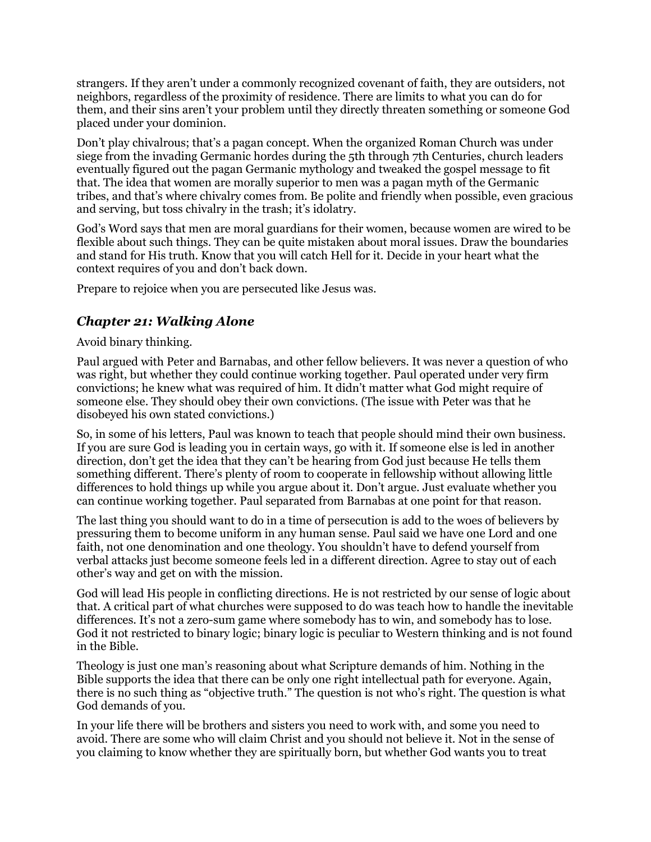strangers. If they aren't under a commonly recognized covenant of faith, they are outsiders, not neighbors, regardless of the proximity of residence. There are limits to what you can do for them, and their sins aren't your problem until they directly threaten something or someone God placed under your dominion.

Don't play chivalrous; that's a pagan concept. When the organized Roman Church was under siege from the invading Germanic hordes during the 5th through 7th Centuries, church leaders eventually figured out the pagan Germanic mythology and tweaked the gospel message to fit that. The idea that women are morally superior to men was a pagan myth of the Germanic tribes, and that's where chivalry comes from. Be polite and friendly when possible, even gracious and serving, but toss chivalry in the trash; it's idolatry.

God's Word says that men are moral guardians for their women, because women are wired to be flexible about such things. They can be quite mistaken about moral issues. Draw the boundaries and stand for His truth. Know that you will catch Hell for it. Decide in your heart what the context requires of you and don't back down.

Prepare to rejoice when you are persecuted like Jesus was.

### *Chapter 21: Walking Alone*

Avoid binary thinking.

Paul argued with Peter and Barnabas, and other fellow believers. It was never a question of who was right, but whether they could continue working together. Paul operated under very firm convictions; he knew what was required of him. It didn't matter what God might require of someone else. They should obey their own convictions. (The issue with Peter was that he disobeyed his own stated convictions.)

So, in some of his letters, Paul was known to teach that people should mind their own business. If you are sure God is leading you in certain ways, go with it. If someone else is led in another direction, don't get the idea that they can't be hearing from God just because He tells them something different. There's plenty of room to cooperate in fellowship without allowing little differences to hold things up while you argue about it. Don't argue. Just evaluate whether you can continue working together. Paul separated from Barnabas at one point for that reason.

The last thing you should want to do in a time of persecution is add to the woes of believers by pressuring them to become uniform in any human sense. Paul said we have one Lord and one faith, not one denomination and one theology. You shouldn't have to defend yourself from verbal attacks just become someone feels led in a different direction. Agree to stay out of each other's way and get on with the mission.

God will lead His people in conflicting directions. He is not restricted by our sense of logic about that. A critical part of what churches were supposed to do was teach how to handle the inevitable differences. It's not a zero-sum game where somebody has to win, and somebody has to lose. God it not restricted to binary logic; binary logic is peculiar to Western thinking and is not found in the Bible.

Theology is just one man's reasoning about what Scripture demands of him. Nothing in the Bible supports the idea that there can be only one right intellectual path for everyone. Again, there is no such thing as "objective truth." The question is not who's right. The question is what God demands of you.

In your life there will be brothers and sisters you need to work with, and some you need to avoid. There are some who will claim Christ and you should not believe it. Not in the sense of you claiming to know whether they are spiritually born, but whether God wants you to treat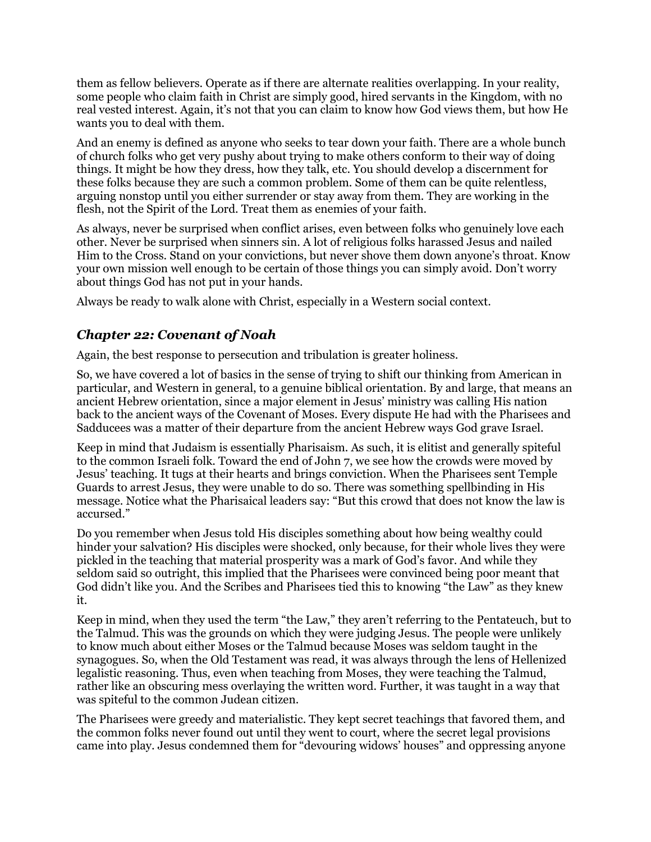them as fellow believers. Operate as if there are alternate realities overlapping. In your reality, some people who claim faith in Christ are simply good, hired servants in the Kingdom, with no real vested interest. Again, it's not that you can claim to know how God views them, but how He wants you to deal with them.

And an enemy is defined as anyone who seeks to tear down your faith. There are a whole bunch of church folks who get very pushy about trying to make others conform to their way of doing things. It might be how they dress, how they talk, etc. You should develop a discernment for these folks because they are such a common problem. Some of them can be quite relentless, arguing nonstop until you either surrender or stay away from them. They are working in the flesh, not the Spirit of the Lord. Treat them as enemies of your faith.

As always, never be surprised when conflict arises, even between folks who genuinely love each other. Never be surprised when sinners sin. A lot of religious folks harassed Jesus and nailed Him to the Cross. Stand on your convictions, but never shove them down anyone's throat. Know your own mission well enough to be certain of those things you can simply avoid. Don't worry about things God has not put in your hands.

Always be ready to walk alone with Christ, especially in a Western social context.

### *Chapter 22: Covenant of Noah*

Again, the best response to persecution and tribulation is greater holiness.

So, we have covered a lot of basics in the sense of trying to shift our thinking from American in particular, and Western in general, to a genuine biblical orientation. By and large, that means an ancient Hebrew orientation, since a major element in Jesus' ministry was calling His nation back to the ancient ways of the Covenant of Moses. Every dispute He had with the Pharisees and Sadducees was a matter of their departure from the ancient Hebrew ways God grave Israel.

Keep in mind that Judaism is essentially Pharisaism. As such, it is elitist and generally spiteful to the common Israeli folk. Toward the end of John 7, we see how the crowds were moved by Jesus' teaching. It tugs at their hearts and brings conviction. When the Pharisees sent Temple Guards to arrest Jesus, they were unable to do so. There was something spellbinding in His message. Notice what the Pharisaical leaders say: "But this crowd that does not know the law is accursed."

Do you remember when Jesus told His disciples something about how being wealthy could hinder your salvation? His disciples were shocked, only because, for their whole lives they were pickled in the teaching that material prosperity was a mark of God's favor. And while they seldom said so outright, this implied that the Pharisees were convinced being poor meant that God didn't like you. And the Scribes and Pharisees tied this to knowing "the Law" as they knew it.

Keep in mind, when they used the term "the Law," they aren't referring to the Pentateuch, but to the Talmud. This was the grounds on which they were judging Jesus. The people were unlikely to know much about either Moses or the Talmud because Moses was seldom taught in the synagogues. So, when the Old Testament was read, it was always through the lens of Hellenized legalistic reasoning. Thus, even when teaching from Moses, they were teaching the Talmud, rather like an obscuring mess overlaying the written word. Further, it was taught in a way that was spiteful to the common Judean citizen.

The Pharisees were greedy and materialistic. They kept secret teachings that favored them, and the common folks never found out until they went to court, where the secret legal provisions came into play. Jesus condemned them for "devouring widows' houses" and oppressing anyone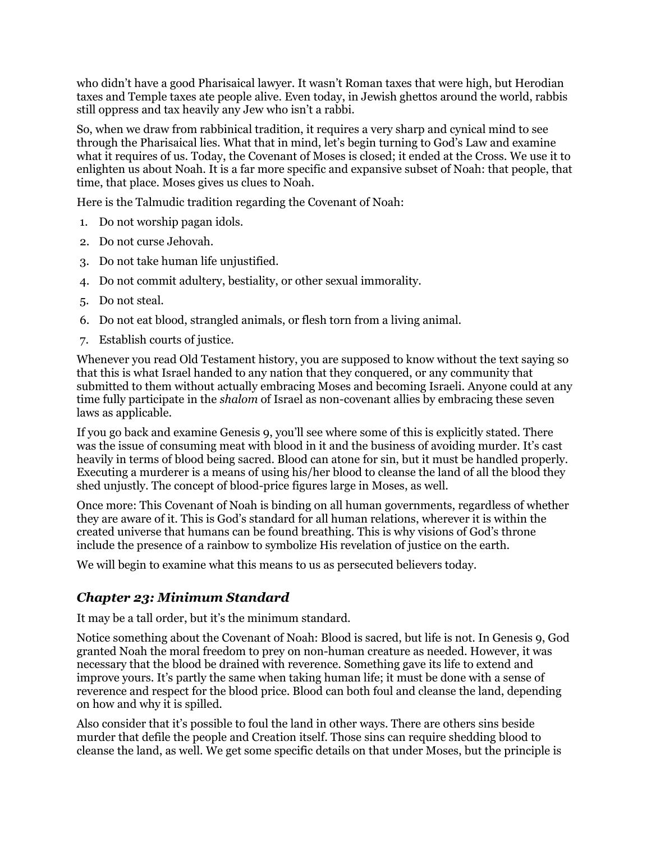who didn't have a good Pharisaical lawyer. It wasn't Roman taxes that were high, but Herodian taxes and Temple taxes ate people alive. Even today, in Jewish ghettos around the world, rabbis still oppress and tax heavily any Jew who isn't a rabbi.

So, when we draw from rabbinical tradition, it requires a very sharp and cynical mind to see through the Pharisaical lies. What that in mind, let's begin turning to God's Law and examine what it requires of us. Today, the Covenant of Moses is closed; it ended at the Cross. We use it to enlighten us about Noah. It is a far more specific and expansive subset of Noah: that people, that time, that place. Moses gives us clues to Noah.

Here is the Talmudic tradition regarding the Covenant of Noah:

- 1. Do not worship pagan idols.
- 2. Do not curse Jehovah.
- 3. Do not take human life unjustified.
- 4. Do not commit adultery, bestiality, or other sexual immorality.
- 5. Do not steal.
- 6. Do not eat blood, strangled animals, or flesh torn from a living animal.
- 7. Establish courts of justice.

Whenever you read Old Testament history, you are supposed to know without the text saying so that this is what Israel handed to any nation that they conquered, or any community that submitted to them without actually embracing Moses and becoming Israeli. Anyone could at any time fully participate in the *shalom* of Israel as non-covenant allies by embracing these seven laws as applicable.

If you go back and examine Genesis 9, you'll see where some of this is explicitly stated. There was the issue of consuming meat with blood in it and the business of avoiding murder. It's cast heavily in terms of blood being sacred. Blood can atone for sin, but it must be handled properly. Executing a murderer is a means of using his/her blood to cleanse the land of all the blood they shed unjustly. The concept of blood-price figures large in Moses, as well.

Once more: This Covenant of Noah is binding on all human governments, regardless of whether they are aware of it. This is God's standard for all human relations, wherever it is within the created universe that humans can be found breathing. This is why visions of God's throne include the presence of a rainbow to symbolize His revelation of justice on the earth.

We will begin to examine what this means to us as persecuted believers today.

### *Chapter 23: Minimum Standard*

It may be a tall order, but it's the minimum standard.

Notice something about the Covenant of Noah: Blood is sacred, but life is not. In Genesis 9, God granted Noah the moral freedom to prey on non-human creature as needed. However, it was necessary that the blood be drained with reverence. Something gave its life to extend and improve yours. It's partly the same when taking human life; it must be done with a sense of reverence and respect for the blood price. Blood can both foul and cleanse the land, depending on how and why it is spilled.

Also consider that it's possible to foul the land in other ways. There are others sins beside murder that defile the people and Creation itself. Those sins can require shedding blood to cleanse the land, as well. We get some specific details on that under Moses, but the principle is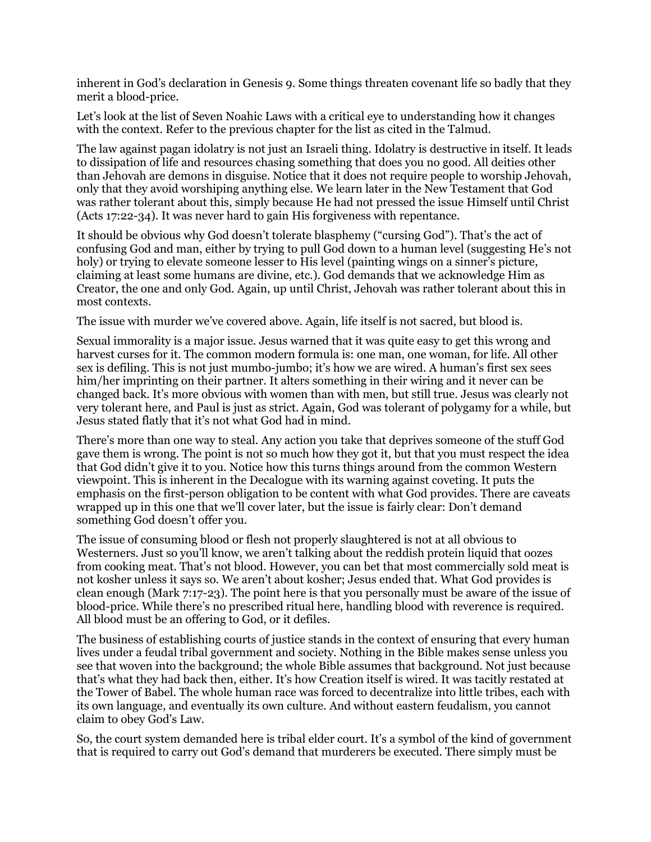inherent in God's declaration in Genesis 9. Some things threaten covenant life so badly that they merit a blood-price.

Let's look at the list of Seven Noahic Laws with a critical eye to understanding how it changes with the context. Refer to the previous chapter for the list as cited in the Talmud.

The law against pagan idolatry is not just an Israeli thing. Idolatry is destructive in itself. It leads to dissipation of life and resources chasing something that does you no good. All deities other than Jehovah are demons in disguise. Notice that it does not require people to worship Jehovah, only that they avoid worshiping anything else. We learn later in the New Testament that God was rather tolerant about this, simply because He had not pressed the issue Himself until Christ (Acts 17:22-34). It was never hard to gain His forgiveness with repentance.

It should be obvious why God doesn't tolerate blasphemy ("cursing God"). That's the act of confusing God and man, either by trying to pull God down to a human level (suggesting He's not holy) or trying to elevate someone lesser to His level (painting wings on a sinner's picture, claiming at least some humans are divine, etc.). God demands that we acknowledge Him as Creator, the one and only God. Again, up until Christ, Jehovah was rather tolerant about this in most contexts.

The issue with murder we've covered above. Again, life itself is not sacred, but blood is.

Sexual immorality is a major issue. Jesus warned that it was quite easy to get this wrong and harvest curses for it. The common modern formula is: one man, one woman, for life. All other sex is defiling. This is not just mumbo-jumbo; it's how we are wired. A human's first sex sees him/her imprinting on their partner. It alters something in their wiring and it never can be changed back. It's more obvious with women than with men, but still true. Jesus was clearly not very tolerant here, and Paul is just as strict. Again, God was tolerant of polygamy for a while, but Jesus stated flatly that it's not what God had in mind.

There's more than one way to steal. Any action you take that deprives someone of the stuff God gave them is wrong. The point is not so much how they got it, but that you must respect the idea that God didn't give it to you. Notice how this turns things around from the common Western viewpoint. This is inherent in the Decalogue with its warning against coveting. It puts the emphasis on the first-person obligation to be content with what God provides. There are caveats wrapped up in this one that we'll cover later, but the issue is fairly clear: Don't demand something God doesn't offer you.

The issue of consuming blood or flesh not properly slaughtered is not at all obvious to Westerners. Just so you'll know, we aren't talking about the reddish protein liquid that oozes from cooking meat. That's not blood. However, you can bet that most commercially sold meat is not kosher unless it says so. We aren't about kosher; Jesus ended that. What God provides is clean enough (Mark 7:17-23). The point here is that you personally must be aware of the issue of blood-price. While there's no prescribed ritual here, handling blood with reverence is required. All blood must be an offering to God, or it defiles.

The business of establishing courts of justice stands in the context of ensuring that every human lives under a feudal tribal government and society. Nothing in the Bible makes sense unless you see that woven into the background; the whole Bible assumes that background. Not just because that's what they had back then, either. It's how Creation itself is wired. It was tacitly restated at the Tower of Babel. The whole human race was forced to decentralize into little tribes, each with its own language, and eventually its own culture. And without eastern feudalism, you cannot claim to obey God's Law.

So, the court system demanded here is tribal elder court. It's a symbol of the kind of government that is required to carry out God's demand that murderers be executed. There simply must be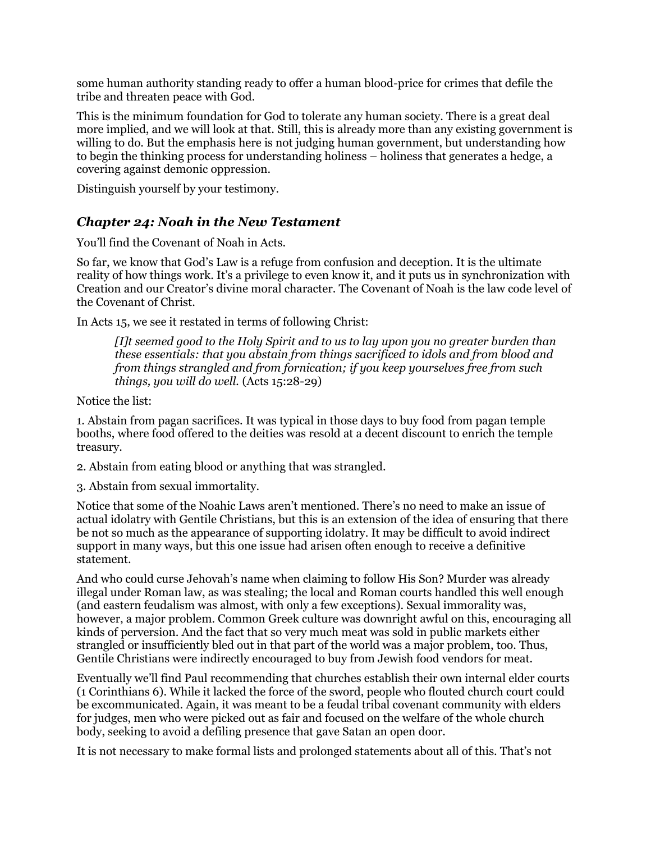some human authority standing ready to offer a human blood-price for crimes that defile the tribe and threaten peace with God.

This is the minimum foundation for God to tolerate any human society. There is a great deal more implied, and we will look at that. Still, this is already more than any existing government is willing to do. But the emphasis here is not judging human government, but understanding how to begin the thinking process for understanding holiness – holiness that generates a hedge, a covering against demonic oppression.

Distinguish yourself by your testimony.

#### *Chapter 24: Noah in the New Testament*

You'll find the Covenant of Noah in Acts.

So far, we know that God's Law is a refuge from confusion and deception. It is the ultimate reality of how things work. It's a privilege to even know it, and it puts us in synchronization with Creation and our Creator's divine moral character. The Covenant of Noah is the law code level of the Covenant of Christ.

In Acts 15, we see it restated in terms of following Christ:

*[I]t seemed good to the Holy Spirit and to us to lay upon you no greater burden than these essentials: that you abstain from things sacrificed to idols and from blood and from things strangled and from fornication; if you keep yourselves free from such things, you will do well.* (Acts 15:28-29)

Notice the list:

1. Abstain from pagan sacrifices. It was typical in those days to buy food from pagan temple booths, where food offered to the deities was resold at a decent discount to enrich the temple treasury.

2. Abstain from eating blood or anything that was strangled.

3. Abstain from sexual immortality.

Notice that some of the Noahic Laws aren't mentioned. There's no need to make an issue of actual idolatry with Gentile Christians, but this is an extension of the idea of ensuring that there be not so much as the appearance of supporting idolatry. It may be difficult to avoid indirect support in many ways, but this one issue had arisen often enough to receive a definitive statement.

And who could curse Jehovah's name when claiming to follow His Son? Murder was already illegal under Roman law, as was stealing; the local and Roman courts handled this well enough (and eastern feudalism was almost, with only a few exceptions). Sexual immorality was, however, a major problem. Common Greek culture was downright awful on this, encouraging all kinds of perversion. And the fact that so very much meat was sold in public markets either strangled or insufficiently bled out in that part of the world was a major problem, too. Thus, Gentile Christians were indirectly encouraged to buy from Jewish food vendors for meat.

Eventually we'll find Paul recommending that churches establish their own internal elder courts (1 Corinthians 6). While it lacked the force of the sword, people who flouted church court could be excommunicated. Again, it was meant to be a feudal tribal covenant community with elders for judges, men who were picked out as fair and focused on the welfare of the whole church body, seeking to avoid a defiling presence that gave Satan an open door.

It is not necessary to make formal lists and prolonged statements about all of this. That's not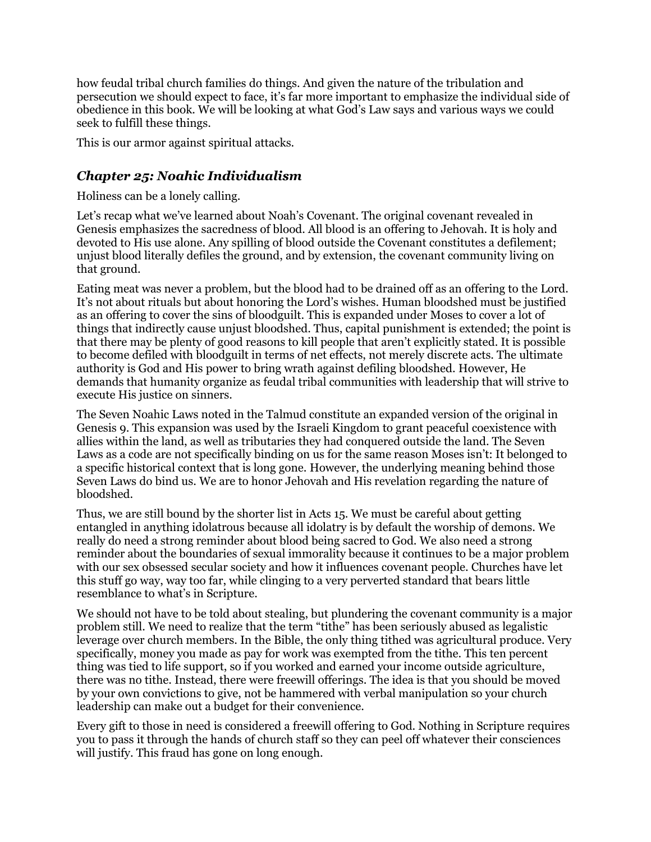how feudal tribal church families do things. And given the nature of the tribulation and persecution we should expect to face, it's far more important to emphasize the individual side of obedience in this book. We will be looking at what God's Law says and various ways we could seek to fulfill these things.

This is our armor against spiritual attacks.

#### *Chapter 25: Noahic Individualism*

Holiness can be a lonely calling.

Let's recap what we've learned about Noah's Covenant. The original covenant revealed in Genesis emphasizes the sacredness of blood. All blood is an offering to Jehovah. It is holy and devoted to His use alone. Any spilling of blood outside the Covenant constitutes a defilement; unjust blood literally defiles the ground, and by extension, the covenant community living on that ground.

Eating meat was never a problem, but the blood had to be drained off as an offering to the Lord. It's not about rituals but about honoring the Lord's wishes. Human bloodshed must be justified as an offering to cover the sins of bloodguilt. This is expanded under Moses to cover a lot of things that indirectly cause unjust bloodshed. Thus, capital punishment is extended; the point is that there may be plenty of good reasons to kill people that aren't explicitly stated. It is possible to become defiled with bloodguilt in terms of net effects, not merely discrete acts. The ultimate authority is God and His power to bring wrath against defiling bloodshed. However, He demands that humanity organize as feudal tribal communities with leadership that will strive to execute His justice on sinners.

The Seven Noahic Laws noted in the Talmud constitute an expanded version of the original in Genesis 9. This expansion was used by the Israeli Kingdom to grant peaceful coexistence with allies within the land, as well as tributaries they had conquered outside the land. The Seven Laws as a code are not specifically binding on us for the same reason Moses isn't: It belonged to a specific historical context that is long gone. However, the underlying meaning behind those Seven Laws do bind us. We are to honor Jehovah and His revelation regarding the nature of bloodshed.

Thus, we are still bound by the shorter list in Acts 15. We must be careful about getting entangled in anything idolatrous because all idolatry is by default the worship of demons. We really do need a strong reminder about blood being sacred to God. We also need a strong reminder about the boundaries of sexual immorality because it continues to be a major problem with our sex obsessed secular society and how it influences covenant people. Churches have let this stuff go way, way too far, while clinging to a very perverted standard that bears little resemblance to what's in Scripture.

We should not have to be told about stealing, but plundering the covenant community is a major problem still. We need to realize that the term "tithe" has been seriously abused as legalistic leverage over church members. In the Bible, the only thing tithed was agricultural produce. Very specifically, money you made as pay for work was exempted from the tithe. This ten percent thing was tied to life support, so if you worked and earned your income outside agriculture, there was no tithe. Instead, there were freewill offerings. The idea is that you should be moved by your own convictions to give, not be hammered with verbal manipulation so your church leadership can make out a budget for their convenience.

Every gift to those in need is considered a freewill offering to God. Nothing in Scripture requires you to pass it through the hands of church staff so they can peel off whatever their consciences will justify. This fraud has gone on long enough.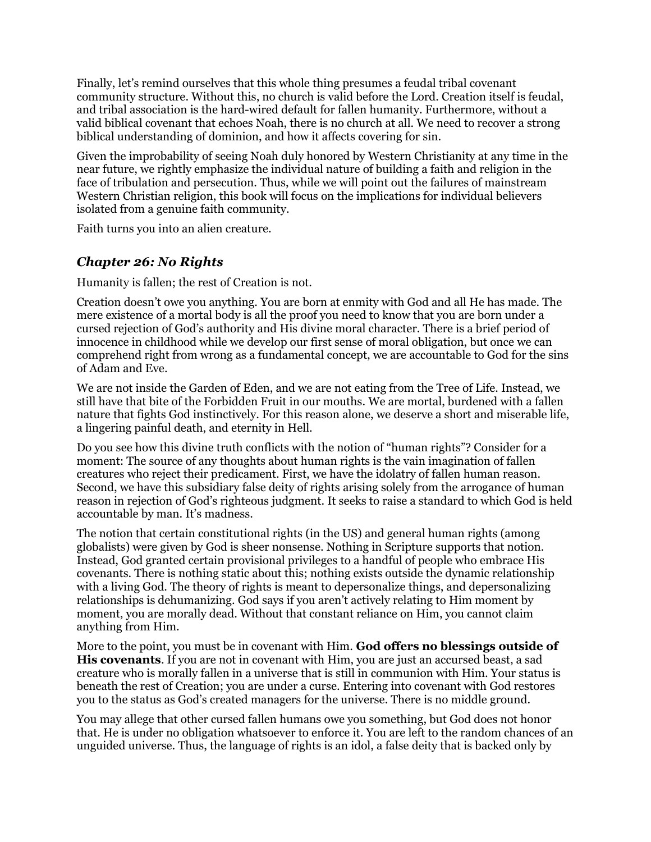Finally, let's remind ourselves that this whole thing presumes a feudal tribal covenant community structure. Without this, no church is valid before the Lord. Creation itself is feudal, and tribal association is the hard-wired default for fallen humanity. Furthermore, without a valid biblical covenant that echoes Noah, there is no church at all. We need to recover a strong biblical understanding of dominion, and how it affects covering for sin.

Given the improbability of seeing Noah duly honored by Western Christianity at any time in the near future, we rightly emphasize the individual nature of building a faith and religion in the face of tribulation and persecution. Thus, while we will point out the failures of mainstream Western Christian religion, this book will focus on the implications for individual believers isolated from a genuine faith community.

Faith turns you into an alien creature.

#### *Chapter 26: No Rights*

Humanity is fallen; the rest of Creation is not.

Creation doesn't owe you anything. You are born at enmity with God and all He has made. The mere existence of a mortal body is all the proof you need to know that you are born under a cursed rejection of God's authority and His divine moral character. There is a brief period of innocence in childhood while we develop our first sense of moral obligation, but once we can comprehend right from wrong as a fundamental concept, we are accountable to God for the sins of Adam and Eve.

We are not inside the Garden of Eden, and we are not eating from the Tree of Life. Instead, we still have that bite of the Forbidden Fruit in our mouths. We are mortal, burdened with a fallen nature that fights God instinctively. For this reason alone, we deserve a short and miserable life, a lingering painful death, and eternity in Hell.

Do you see how this divine truth conflicts with the notion of "human rights"? Consider for a moment: The source of any thoughts about human rights is the vain imagination of fallen creatures who reject their predicament. First, we have the idolatry of fallen human reason. Second, we have this subsidiary false deity of rights arising solely from the arrogance of human reason in rejection of God's righteous judgment. It seeks to raise a standard to which God is held accountable by man. It's madness.

The notion that certain constitutional rights (in the US) and general human rights (among globalists) were given by God is sheer nonsense. Nothing in Scripture supports that notion. Instead, God granted certain provisional privileges to a handful of people who embrace His covenants. There is nothing static about this; nothing exists outside the dynamic relationship with a living God. The theory of rights is meant to depersonalize things, and depersonalizing relationships is dehumanizing. God says if you aren't actively relating to Him moment by moment, you are morally dead. Without that constant reliance on Him, you cannot claim anything from Him.

More to the point, you must be in covenant with Him. **God offers no blessings outside of His covenants**. If you are not in covenant with Him, you are just an accursed beast, a sad creature who is morally fallen in a universe that is still in communion with Him. Your status is beneath the rest of Creation; you are under a curse. Entering into covenant with God restores you to the status as God's created managers for the universe. There is no middle ground.

You may allege that other cursed fallen humans owe you something, but God does not honor that. He is under no obligation whatsoever to enforce it. You are left to the random chances of an unguided universe. Thus, the language of rights is an idol, a false deity that is backed only by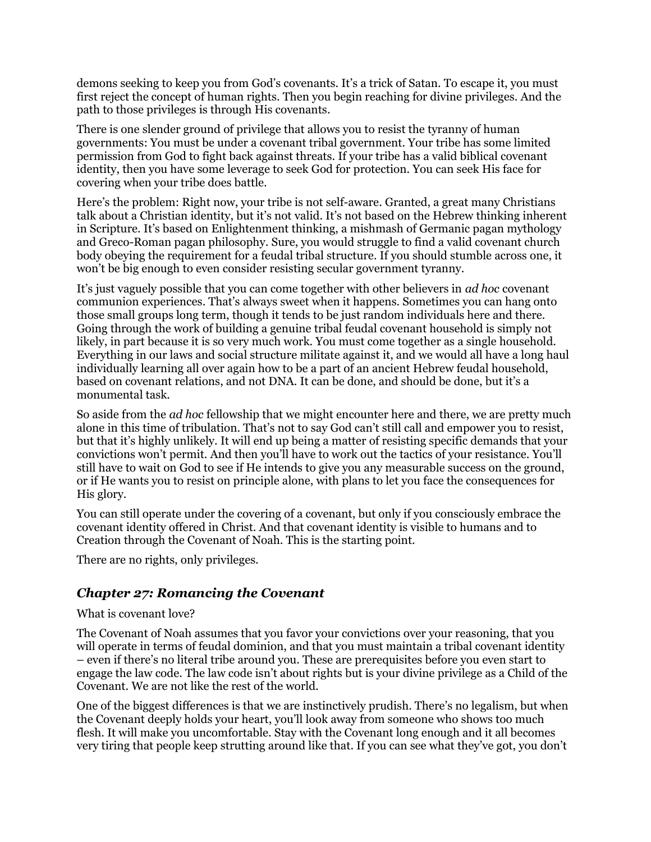demons seeking to keep you from God's covenants. It's a trick of Satan. To escape it, you must first reject the concept of human rights. Then you begin reaching for divine privileges. And the path to those privileges is through His covenants.

There is one slender ground of privilege that allows you to resist the tyranny of human governments: You must be under a covenant tribal government. Your tribe has some limited permission from God to fight back against threats. If your tribe has a valid biblical covenant identity, then you have some leverage to seek God for protection. You can seek His face for covering when your tribe does battle.

Here's the problem: Right now, your tribe is not self-aware. Granted, a great many Christians talk about a Christian identity, but it's not valid. It's not based on the Hebrew thinking inherent in Scripture. It's based on Enlightenment thinking, a mishmash of Germanic pagan mythology and Greco-Roman pagan philosophy. Sure, you would struggle to find a valid covenant church body obeying the requirement for a feudal tribal structure. If you should stumble across one, it won't be big enough to even consider resisting secular government tyranny.

It's just vaguely possible that you can come together with other believers in *ad hoc* covenant communion experiences. That's always sweet when it happens. Sometimes you can hang onto those small groups long term, though it tends to be just random individuals here and there. Going through the work of building a genuine tribal feudal covenant household is simply not likely, in part because it is so very much work. You must come together as a single household. Everything in our laws and social structure militate against it, and we would all have a long haul individually learning all over again how to be a part of an ancient Hebrew feudal household, based on covenant relations, and not DNA. It can be done, and should be done, but it's a monumental task.

So aside from the *ad hoc* fellowship that we might encounter here and there, we are pretty much alone in this time of tribulation. That's not to say God can't still call and empower you to resist, but that it's highly unlikely. It will end up being a matter of resisting specific demands that your convictions won't permit. And then you'll have to work out the tactics of your resistance. You'll still have to wait on God to see if He intends to give you any measurable success on the ground, or if He wants you to resist on principle alone, with plans to let you face the consequences for His glory.

You can still operate under the covering of a covenant, but only if you consciously embrace the covenant identity offered in Christ. And that covenant identity is visible to humans and to Creation through the Covenant of Noah. This is the starting point.

There are no rights, only privileges.

#### *Chapter 27: Romancing the Covenant*

#### What is covenant love?

The Covenant of Noah assumes that you favor your convictions over your reasoning, that you will operate in terms of feudal dominion, and that you must maintain a tribal covenant identity – even if there's no literal tribe around you. These are prerequisites before you even start to engage the law code. The law code isn't about rights but is your divine privilege as a Child of the Covenant. We are not like the rest of the world.

One of the biggest differences is that we are instinctively prudish. There's no legalism, but when the Covenant deeply holds your heart, you'll look away from someone who shows too much flesh. It will make you uncomfortable. Stay with the Covenant long enough and it all becomes very tiring that people keep strutting around like that. If you can see what they've got, you don't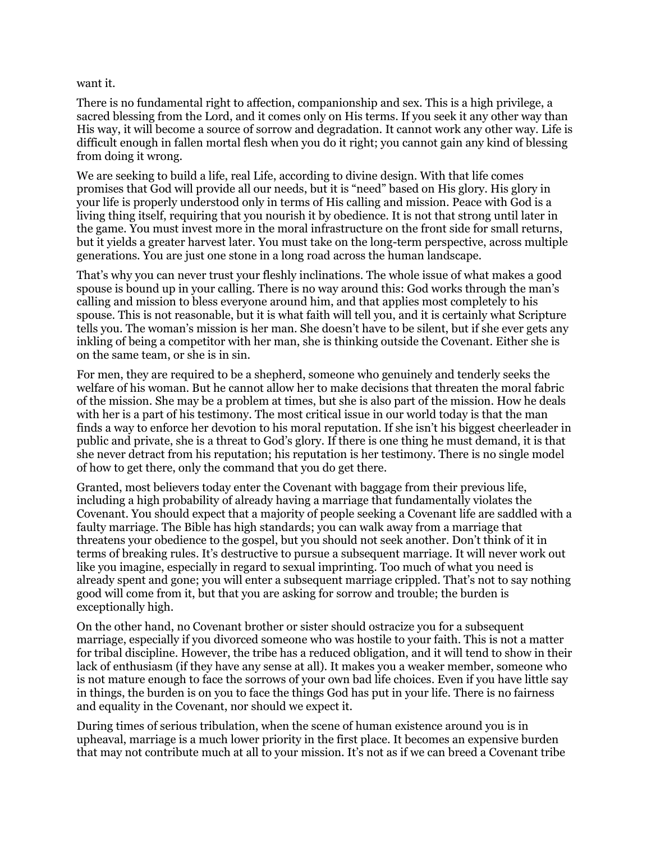#### want it.

There is no fundamental right to affection, companionship and sex. This is a high privilege, a sacred blessing from the Lord, and it comes only on His terms. If you seek it any other way than His way, it will become a source of sorrow and degradation. It cannot work any other way. Life is difficult enough in fallen mortal flesh when you do it right; you cannot gain any kind of blessing from doing it wrong.

We are seeking to build a life, real Life, according to divine design. With that life comes promises that God will provide all our needs, but it is "need" based on His glory. His glory in your life is properly understood only in terms of His calling and mission. Peace with God is a living thing itself, requiring that you nourish it by obedience. It is not that strong until later in the game. You must invest more in the moral infrastructure on the front side for small returns, but it yields a greater harvest later. You must take on the long-term perspective, across multiple generations. You are just one stone in a long road across the human landscape.

That's why you can never trust your fleshly inclinations. The whole issue of what makes a good spouse is bound up in your calling. There is no way around this: God works through the man's calling and mission to bless everyone around him, and that applies most completely to his spouse. This is not reasonable, but it is what faith will tell you, and it is certainly what Scripture tells you. The woman's mission is her man. She doesn't have to be silent, but if she ever gets any inkling of being a competitor with her man, she is thinking outside the Covenant. Either she is on the same team, or she is in sin.

For men, they are required to be a shepherd, someone who genuinely and tenderly seeks the welfare of his woman. But he cannot allow her to make decisions that threaten the moral fabric of the mission. She may be a problem at times, but she is also part of the mission. How he deals with her is a part of his testimony. The most critical issue in our world today is that the man finds a way to enforce her devotion to his moral reputation. If she isn't his biggest cheerleader in public and private, she is a threat to God's glory. If there is one thing he must demand, it is that she never detract from his reputation; his reputation is her testimony. There is no single model of how to get there, only the command that you do get there.

Granted, most believers today enter the Covenant with baggage from their previous life, including a high probability of already having a marriage that fundamentally violates the Covenant. You should expect that a majority of people seeking a Covenant life are saddled with a faulty marriage. The Bible has high standards; you can walk away from a marriage that threatens your obedience to the gospel, but you should not seek another. Don't think of it in terms of breaking rules. It's destructive to pursue a subsequent marriage. It will never work out like you imagine, especially in regard to sexual imprinting. Too much of what you need is already spent and gone; you will enter a subsequent marriage crippled. That's not to say nothing good will come from it, but that you are asking for sorrow and trouble; the burden is exceptionally high.

On the other hand, no Covenant brother or sister should ostracize you for a subsequent marriage, especially if you divorced someone who was hostile to your faith. This is not a matter for tribal discipline. However, the tribe has a reduced obligation, and it will tend to show in their lack of enthusiasm (if they have any sense at all). It makes you a weaker member, someone who is not mature enough to face the sorrows of your own bad life choices. Even if you have little say in things, the burden is on you to face the things God has put in your life. There is no fairness and equality in the Covenant, nor should we expect it.

During times of serious tribulation, when the scene of human existence around you is in upheaval, marriage is a much lower priority in the first place. It becomes an expensive burden that may not contribute much at all to your mission. It's not as if we can breed a Covenant tribe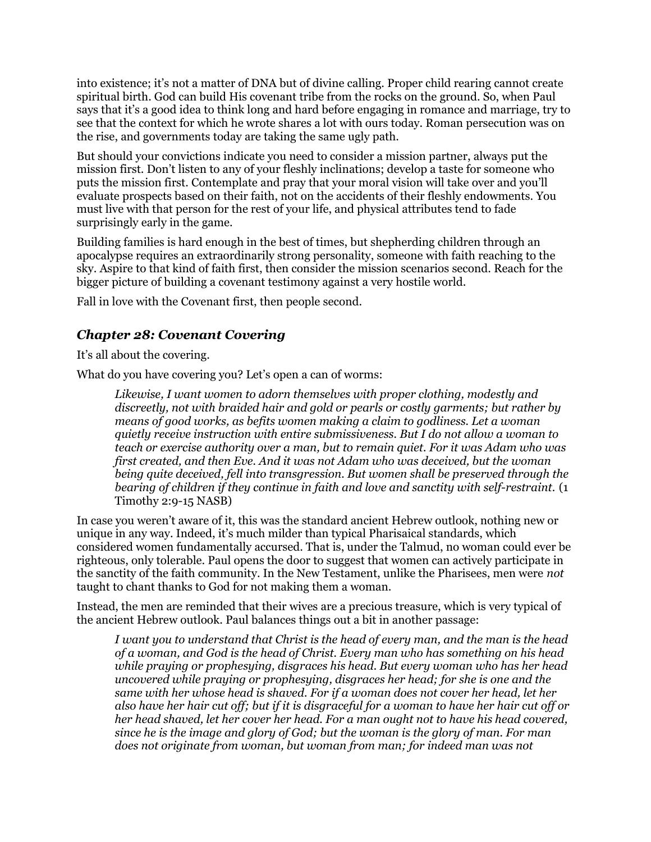into existence; it's not a matter of DNA but of divine calling. Proper child rearing cannot create spiritual birth. God can build His covenant tribe from the rocks on the ground. So, when Paul says that it's a good idea to think long and hard before engaging in romance and marriage, try to see that the context for which he wrote shares a lot with ours today. Roman persecution was on the rise, and governments today are taking the same ugly path.

But should your convictions indicate you need to consider a mission partner, always put the mission first. Don't listen to any of your fleshly inclinations; develop a taste for someone who puts the mission first. Contemplate and pray that your moral vision will take over and you'll evaluate prospects based on their faith, not on the accidents of their fleshly endowments. You must live with that person for the rest of your life, and physical attributes tend to fade surprisingly early in the game.

Building families is hard enough in the best of times, but shepherding children through an apocalypse requires an extraordinarily strong personality, someone with faith reaching to the sky. Aspire to that kind of faith first, then consider the mission scenarios second. Reach for the bigger picture of building a covenant testimony against a very hostile world.

Fall in love with the Covenant first, then people second.

### *Chapter 28: Covenant Covering*

It's all about the covering.

What do you have covering you? Let's open a can of worms:

*Likewise, I want women to adorn themselves with proper clothing, modestly and discreetly, not with braided hair and gold or pearls or costly garments; but rather by means of good works, as befits women making a claim to godliness. Let a woman quietly receive instruction with entire submissiveness. But I do not allow a woman to teach or exercise authority over a man, but to remain quiet. For it was Adam who was first created, and then Eve. And it was not Adam who was deceived, but the woman being quite deceived, fell into transgression. But women shall be preserved through the bearing of children if they continue in faith and love and sanctity with self-restraint.* (1 Timothy 2:9-15 NASB)

In case you weren't aware of it, this was the standard ancient Hebrew outlook, nothing new or unique in any way. Indeed, it's much milder than typical Pharisaical standards, which considered women fundamentally accursed. That is, under the Talmud, no woman could ever be righteous, only tolerable. Paul opens the door to suggest that women can actively participate in the sanctity of the faith community. In the New Testament, unlike the Pharisees, men were *not* taught to chant thanks to God for not making them a woman.

Instead, the men are reminded that their wives are a precious treasure, which is very typical of the ancient Hebrew outlook. Paul balances things out a bit in another passage:

*I want you to understand that Christ is the head of every man, and the man is the head of a woman, and God is the head of Christ. Every man who has something on his head while praying or prophesying, disgraces his head. But every woman who has her head uncovered while praying or prophesying, disgraces her head; for she is one and the same with her whose head is shaved. For if a woman does not cover her head, let her also have her hair cut off; but if it is disgraceful for a woman to have her hair cut off or her head shaved, let her cover her head. For a man ought not to have his head covered, since he is the image and glory of God; but the woman is the glory of man. For man does not originate from woman, but woman from man; for indeed man was not*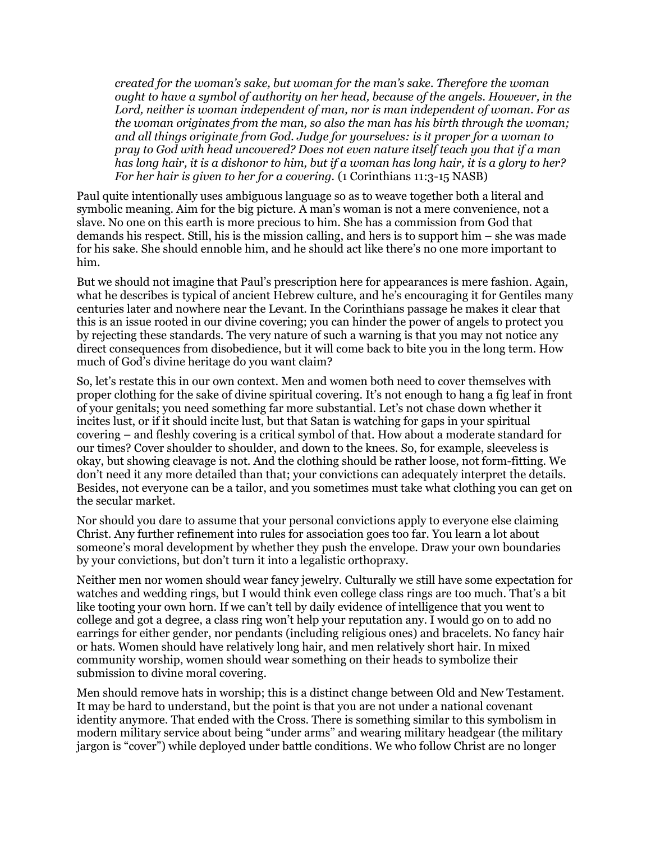*created for the woman's sake, but woman for the man's sake. Therefore the woman ought to have a symbol of authority on her head, because of the angels. However, in the Lord, neither is woman independent of man, nor is man independent of woman. For as the woman originates from the man, so also the man has his birth through the woman; and all things originate from God. Judge for yourselves: is it proper for a woman to pray to God with head uncovered? Does not even nature itself teach you that if a man has long hair, it is a dishonor to him, but if a woman has long hair, it is a glory to her? For her hair is given to her for a covering.* (1 Corinthians 11:3-15 NASB)

Paul quite intentionally uses ambiguous language so as to weave together both a literal and symbolic meaning. Aim for the big picture. A man's woman is not a mere convenience, not a slave. No one on this earth is more precious to him. She has a commission from God that demands his respect. Still, his is the mission calling, and hers is to support him – she was made for his sake. She should ennoble him, and he should act like there's no one more important to him.

But we should not imagine that Paul's prescription here for appearances is mere fashion. Again, what he describes is typical of ancient Hebrew culture, and he's encouraging it for Gentiles many centuries later and nowhere near the Levant. In the Corinthians passage he makes it clear that this is an issue rooted in our divine covering; you can hinder the power of angels to protect you by rejecting these standards. The very nature of such a warning is that you may not notice any direct consequences from disobedience, but it will come back to bite you in the long term. How much of God's divine heritage do you want claim?

So, let's restate this in our own context. Men and women both need to cover themselves with proper clothing for the sake of divine spiritual covering. It's not enough to hang a fig leaf in front of your genitals; you need something far more substantial. Let's not chase down whether it incites lust, or if it should incite lust, but that Satan is watching for gaps in your spiritual covering – and fleshly covering is a critical symbol of that. How about a moderate standard for our times? Cover shoulder to shoulder, and down to the knees. So, for example, sleeveless is okay, but showing cleavage is not. And the clothing should be rather loose, not form-fitting. We don't need it any more detailed than that; your convictions can adequately interpret the details. Besides, not everyone can be a tailor, and you sometimes must take what clothing you can get on the secular market.

Nor should you dare to assume that your personal convictions apply to everyone else claiming Christ. Any further refinement into rules for association goes too far. You learn a lot about someone's moral development by whether they push the envelope. Draw your own boundaries by your convictions, but don't turn it into a legalistic orthopraxy.

Neither men nor women should wear fancy jewelry. Culturally we still have some expectation for watches and wedding rings, but I would think even college class rings are too much. That's a bit like tooting your own horn. If we can't tell by daily evidence of intelligence that you went to college and got a degree, a class ring won't help your reputation any. I would go on to add no earrings for either gender, nor pendants (including religious ones) and bracelets. No fancy hair or hats. Women should have relatively long hair, and men relatively short hair. In mixed community worship, women should wear something on their heads to symbolize their submission to divine moral covering.

Men should remove hats in worship; this is a distinct change between Old and New Testament. It may be hard to understand, but the point is that you are not under a national covenant identity anymore. That ended with the Cross. There is something similar to this symbolism in modern military service about being "under arms" and wearing military headgear (the military jargon is "cover") while deployed under battle conditions. We who follow Christ are no longer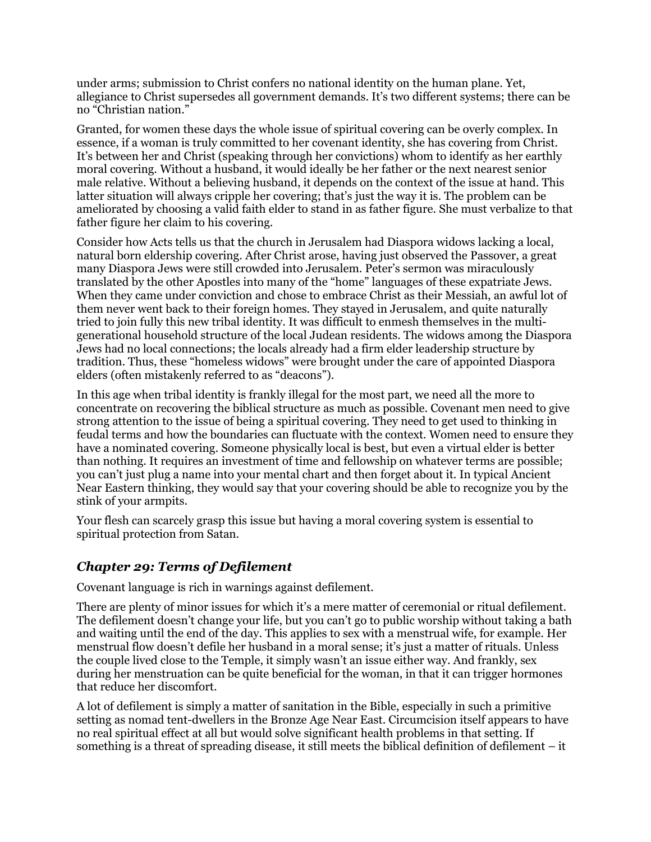under arms; submission to Christ confers no national identity on the human plane. Yet, allegiance to Christ supersedes all government demands. It's two different systems; there can be no "Christian nation."

Granted, for women these days the whole issue of spiritual covering can be overly complex. In essence, if a woman is truly committed to her covenant identity, she has covering from Christ. It's between her and Christ (speaking through her convictions) whom to identify as her earthly moral covering. Without a husband, it would ideally be her father or the next nearest senior male relative. Without a believing husband, it depends on the context of the issue at hand. This latter situation will always cripple her covering; that's just the way it is. The problem can be ameliorated by choosing a valid faith elder to stand in as father figure. She must verbalize to that father figure her claim to his covering.

Consider how Acts tells us that the church in Jerusalem had Diaspora widows lacking a local, natural born eldership covering. After Christ arose, having just observed the Passover, a great many Diaspora Jews were still crowded into Jerusalem. Peter's sermon was miraculously translated by the other Apostles into many of the "home" languages of these expatriate Jews. When they came under conviction and chose to embrace Christ as their Messiah, an awful lot of them never went back to their foreign homes. They stayed in Jerusalem, and quite naturally tried to join fully this new tribal identity. It was difficult to enmesh themselves in the multigenerational household structure of the local Judean residents. The widows among the Diaspora Jews had no local connections; the locals already had a firm elder leadership structure by tradition. Thus, these "homeless widows" were brought under the care of appointed Diaspora elders (often mistakenly referred to as "deacons").

In this age when tribal identity is frankly illegal for the most part, we need all the more to concentrate on recovering the biblical structure as much as possible. Covenant men need to give strong attention to the issue of being a spiritual covering. They need to get used to thinking in feudal terms and how the boundaries can fluctuate with the context. Women need to ensure they have a nominated covering. Someone physically local is best, but even a virtual elder is better than nothing. It requires an investment of time and fellowship on whatever terms are possible; you can't just plug a name into your mental chart and then forget about it. In typical Ancient Near Eastern thinking, they would say that your covering should be able to recognize you by the stink of your armpits.

Your flesh can scarcely grasp this issue but having a moral covering system is essential to spiritual protection from Satan.

#### *Chapter 29: Terms of Defilement*

Covenant language is rich in warnings against defilement.

There are plenty of minor issues for which it's a mere matter of ceremonial or ritual defilement. The defilement doesn't change your life, but you can't go to public worship without taking a bath and waiting until the end of the day. This applies to sex with a menstrual wife, for example. Her menstrual flow doesn't defile her husband in a moral sense; it's just a matter of rituals. Unless the couple lived close to the Temple, it simply wasn't an issue either way. And frankly, sex during her menstruation can be quite beneficial for the woman, in that it can trigger hormones that reduce her discomfort.

A lot of defilement is simply a matter of sanitation in the Bible, especially in such a primitive setting as nomad tent-dwellers in the Bronze Age Near East. Circumcision itself appears to have no real spiritual effect at all but would solve significant health problems in that setting. If something is a threat of spreading disease, it still meets the biblical definition of defilement – it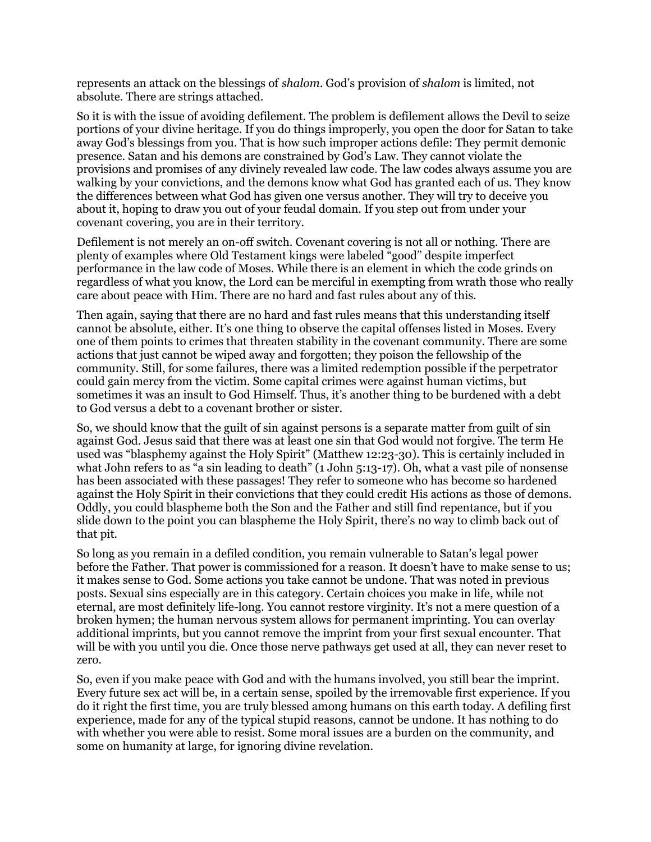represents an attack on the blessings of *shalom*. God's provision of *shalom* is limited, not absolute. There are strings attached.

So it is with the issue of avoiding defilement. The problem is defilement allows the Devil to seize portions of your divine heritage. If you do things improperly, you open the door for Satan to take away God's blessings from you. That is how such improper actions defile: They permit demonic presence. Satan and his demons are constrained by God's Law. They cannot violate the provisions and promises of any divinely revealed law code. The law codes always assume you are walking by your convictions, and the demons know what God has granted each of us. They know the differences between what God has given one versus another. They will try to deceive you about it, hoping to draw you out of your feudal domain. If you step out from under your covenant covering, you are in their territory.

Defilement is not merely an on-off switch. Covenant covering is not all or nothing. There are plenty of examples where Old Testament kings were labeled "good" despite imperfect performance in the law code of Moses. While there is an element in which the code grinds on regardless of what you know, the Lord can be merciful in exempting from wrath those who really care about peace with Him. There are no hard and fast rules about any of this.

Then again, saying that there are no hard and fast rules means that this understanding itself cannot be absolute, either. It's one thing to observe the capital offenses listed in Moses. Every one of them points to crimes that threaten stability in the covenant community. There are some actions that just cannot be wiped away and forgotten; they poison the fellowship of the community. Still, for some failures, there was a limited redemption possible if the perpetrator could gain mercy from the victim. Some capital crimes were against human victims, but sometimes it was an insult to God Himself. Thus, it's another thing to be burdened with a debt to God versus a debt to a covenant brother or sister.

So, we should know that the guilt of sin against persons is a separate matter from guilt of sin against God. Jesus said that there was at least one sin that God would not forgive. The term He used was "blasphemy against the Holy Spirit" (Matthew 12:23-30). This is certainly included in what John refers to as "a sin leading to death" (1 John 5:13-17). Oh, what a vast pile of nonsense has been associated with these passages! They refer to someone who has become so hardened against the Holy Spirit in their convictions that they could credit His actions as those of demons. Oddly, you could blaspheme both the Son and the Father and still find repentance, but if you slide down to the point you can blaspheme the Holy Spirit, there's no way to climb back out of that pit.

So long as you remain in a defiled condition, you remain vulnerable to Satan's legal power before the Father. That power is commissioned for a reason. It doesn't have to make sense to us; it makes sense to God. Some actions you take cannot be undone. That was noted in previous posts. Sexual sins especially are in this category. Certain choices you make in life, while not eternal, are most definitely life-long. You cannot restore virginity. It's not a mere question of a broken hymen; the human nervous system allows for permanent imprinting. You can overlay additional imprints, but you cannot remove the imprint from your first sexual encounter. That will be with you until you die. Once those nerve pathways get used at all, they can never reset to zero.

So, even if you make peace with God and with the humans involved, you still bear the imprint. Every future sex act will be, in a certain sense, spoiled by the irremovable first experience. If you do it right the first time, you are truly blessed among humans on this earth today. A defiling first experience, made for any of the typical stupid reasons, cannot be undone. It has nothing to do with whether you were able to resist. Some moral issues are a burden on the community, and some on humanity at large, for ignoring divine revelation.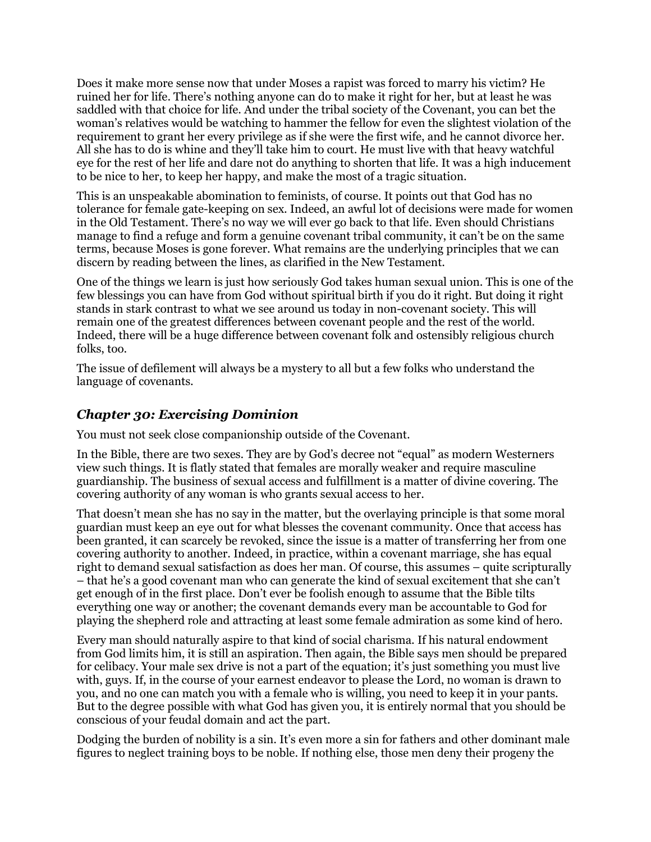Does it make more sense now that under Moses a rapist was forced to marry his victim? He ruined her for life. There's nothing anyone can do to make it right for her, but at least he was saddled with that choice for life. And under the tribal society of the Covenant, you can bet the woman's relatives would be watching to hammer the fellow for even the slightest violation of the requirement to grant her every privilege as if she were the first wife, and he cannot divorce her. All she has to do is whine and they'll take him to court. He must live with that heavy watchful eye for the rest of her life and dare not do anything to shorten that life. It was a high inducement to be nice to her, to keep her happy, and make the most of a tragic situation.

This is an unspeakable abomination to feminists, of course. It points out that God has no tolerance for female gate-keeping on sex. Indeed, an awful lot of decisions were made for women in the Old Testament. There's no way we will ever go back to that life. Even should Christians manage to find a refuge and form a genuine covenant tribal community, it can't be on the same terms, because Moses is gone forever. What remains are the underlying principles that we can discern by reading between the lines, as clarified in the New Testament.

One of the things we learn is just how seriously God takes human sexual union. This is one of the few blessings you can have from God without spiritual birth if you do it right. But doing it right stands in stark contrast to what we see around us today in non-covenant society. This will remain one of the greatest differences between covenant people and the rest of the world. Indeed, there will be a huge difference between covenant folk and ostensibly religious church folks, too.

The issue of defilement will always be a mystery to all but a few folks who understand the language of covenants.

#### *Chapter 30: Exercising Dominion*

You must not seek close companionship outside of the Covenant.

In the Bible, there are two sexes. They are by God's decree not "equal" as modern Westerners view such things. It is flatly stated that females are morally weaker and require masculine guardianship. The business of sexual access and fulfillment is a matter of divine covering. The covering authority of any woman is who grants sexual access to her.

That doesn't mean she has no say in the matter, but the overlaying principle is that some moral guardian must keep an eye out for what blesses the covenant community. Once that access has been granted, it can scarcely be revoked, since the issue is a matter of transferring her from one covering authority to another. Indeed, in practice, within a covenant marriage, she has equal right to demand sexual satisfaction as does her man. Of course, this assumes – quite scripturally – that he's a good covenant man who can generate the kind of sexual excitement that she can't get enough of in the first place. Don't ever be foolish enough to assume that the Bible tilts everything one way or another; the covenant demands every man be accountable to God for playing the shepherd role and attracting at least some female admiration as some kind of hero.

Every man should naturally aspire to that kind of social charisma. If his natural endowment from God limits him, it is still an aspiration. Then again, the Bible says men should be prepared for celibacy. Your male sex drive is not a part of the equation; it's just something you must live with, guys. If, in the course of your earnest endeavor to please the Lord, no woman is drawn to you, and no one can match you with a female who is willing, you need to keep it in your pants. But to the degree possible with what God has given you, it is entirely normal that you should be conscious of your feudal domain and act the part.

Dodging the burden of nobility is a sin. It's even more a sin for fathers and other dominant male figures to neglect training boys to be noble. If nothing else, those men deny their progeny the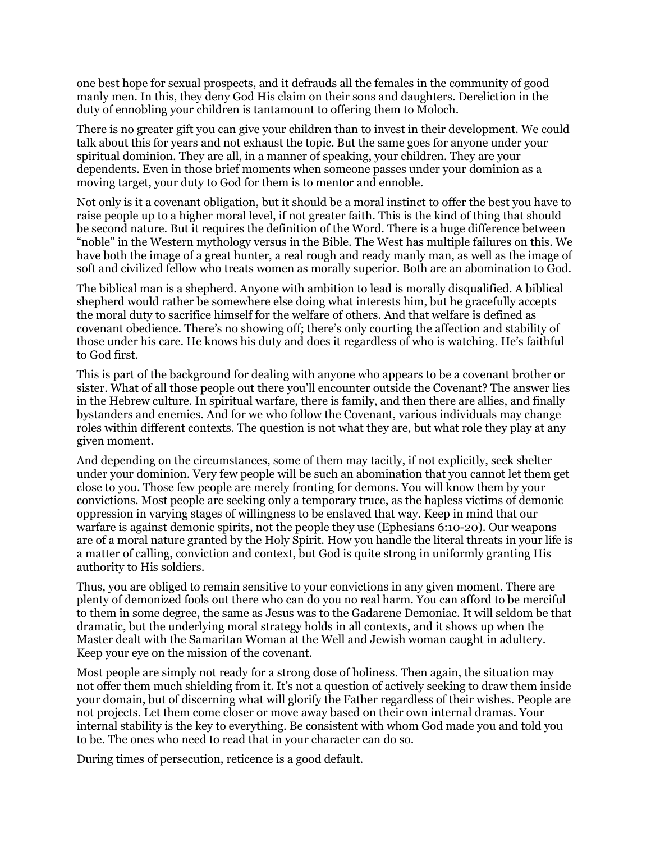one best hope for sexual prospects, and it defrauds all the females in the community of good manly men. In this, they deny God His claim on their sons and daughters. Dereliction in the duty of ennobling your children is tantamount to offering them to Moloch.

There is no greater gift you can give your children than to invest in their development. We could talk about this for years and not exhaust the topic. But the same goes for anyone under your spiritual dominion. They are all, in a manner of speaking, your children. They are your dependents. Even in those brief moments when someone passes under your dominion as a moving target, your duty to God for them is to mentor and ennoble.

Not only is it a covenant obligation, but it should be a moral instinct to offer the best you have to raise people up to a higher moral level, if not greater faith. This is the kind of thing that should be second nature. But it requires the definition of the Word. There is a huge difference between "noble" in the Western mythology versus in the Bible. The West has multiple failures on this. We have both the image of a great hunter, a real rough and ready manly man, as well as the image of soft and civilized fellow who treats women as morally superior. Both are an abomination to God.

The biblical man is a shepherd. Anyone with ambition to lead is morally disqualified. A biblical shepherd would rather be somewhere else doing what interests him, but he gracefully accepts the moral duty to sacrifice himself for the welfare of others. And that welfare is defined as covenant obedience. There's no showing off; there's only courting the affection and stability of those under his care. He knows his duty and does it regardless of who is watching. He's faithful to God first.

This is part of the background for dealing with anyone who appears to be a covenant brother or sister. What of all those people out there you'll encounter outside the Covenant? The answer lies in the Hebrew culture. In spiritual warfare, there is family, and then there are allies, and finally bystanders and enemies. And for we who follow the Covenant, various individuals may change roles within different contexts. The question is not what they are, but what role they play at any given moment.

And depending on the circumstances, some of them may tacitly, if not explicitly, seek shelter under your dominion. Very few people will be such an abomination that you cannot let them get close to you. Those few people are merely fronting for demons. You will know them by your convictions. Most people are seeking only a temporary truce, as the hapless victims of demonic oppression in varying stages of willingness to be enslaved that way. Keep in mind that our warfare is against demonic spirits, not the people they use (Ephesians 6:10-20). Our weapons are of a moral nature granted by the Holy Spirit. How you handle the literal threats in your life is a matter of calling, conviction and context, but God is quite strong in uniformly granting His authority to His soldiers.

Thus, you are obliged to remain sensitive to your convictions in any given moment. There are plenty of demonized fools out there who can do you no real harm. You can afford to be merciful to them in some degree, the same as Jesus was to the Gadarene Demoniac. It will seldom be that dramatic, but the underlying moral strategy holds in all contexts, and it shows up when the Master dealt with the Samaritan Woman at the Well and Jewish woman caught in adultery. Keep your eye on the mission of the covenant.

Most people are simply not ready for a strong dose of holiness. Then again, the situation may not offer them much shielding from it. It's not a question of actively seeking to draw them inside your domain, but of discerning what will glorify the Father regardless of their wishes. People are not projects. Let them come closer or move away based on their own internal dramas. Your internal stability is the key to everything. Be consistent with whom God made you and told you to be. The ones who need to read that in your character can do so.

During times of persecution, reticence is a good default.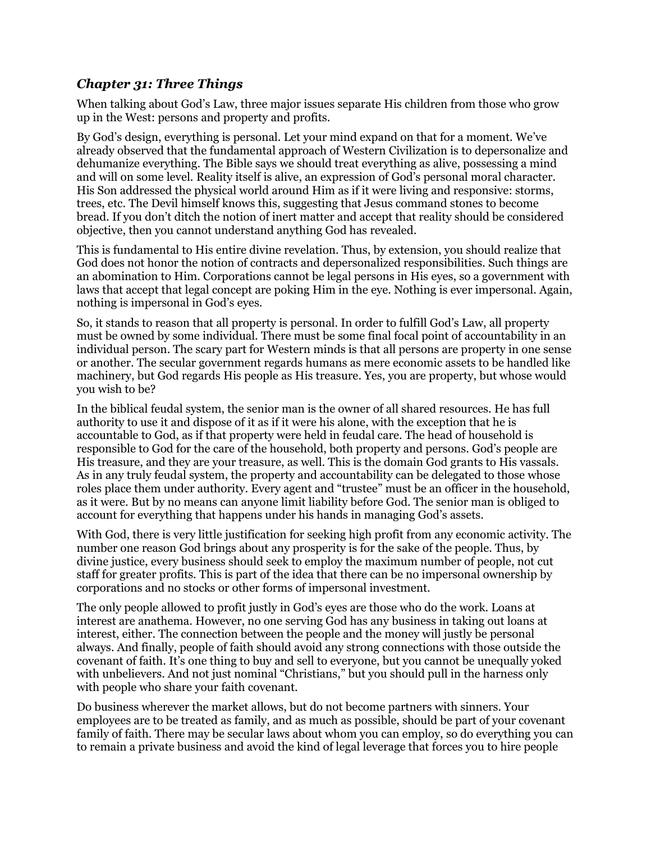#### *Chapter 31: Three Things*

When talking about God's Law, three major issues separate His children from those who grow up in the West: persons and property and profits.

By God's design, everything is personal. Let your mind expand on that for a moment. We've already observed that the fundamental approach of Western Civilization is to depersonalize and dehumanize everything. The Bible says we should treat everything as alive, possessing a mind and will on some level. Reality itself is alive, an expression of God's personal moral character. His Son addressed the physical world around Him as if it were living and responsive: storms, trees, etc. The Devil himself knows this, suggesting that Jesus command stones to become bread. If you don't ditch the notion of inert matter and accept that reality should be considered objective, then you cannot understand anything God has revealed.

This is fundamental to His entire divine revelation. Thus, by extension, you should realize that God does not honor the notion of contracts and depersonalized responsibilities. Such things are an abomination to Him. Corporations cannot be legal persons in His eyes, so a government with laws that accept that legal concept are poking Him in the eye. Nothing is ever impersonal. Again, nothing is impersonal in God's eyes.

So, it stands to reason that all property is personal. In order to fulfill God's Law, all property must be owned by some individual. There must be some final focal point of accountability in an individual person. The scary part for Western minds is that all persons are property in one sense or another. The secular government regards humans as mere economic assets to be handled like machinery, but God regards His people as His treasure. Yes, you are property, but whose would you wish to be?

In the biblical feudal system, the senior man is the owner of all shared resources. He has full authority to use it and dispose of it as if it were his alone, with the exception that he is accountable to God, as if that property were held in feudal care. The head of household is responsible to God for the care of the household, both property and persons. God's people are His treasure, and they are your treasure, as well. This is the domain God grants to His vassals. As in any truly feudal system, the property and accountability can be delegated to those whose roles place them under authority. Every agent and "trustee" must be an officer in the household, as it were. But by no means can anyone limit liability before God. The senior man is obliged to account for everything that happens under his hands in managing God's assets.

With God, there is very little justification for seeking high profit from any economic activity. The number one reason God brings about any prosperity is for the sake of the people. Thus, by divine justice, every business should seek to employ the maximum number of people, not cut staff for greater profits. This is part of the idea that there can be no impersonal ownership by corporations and no stocks or other forms of impersonal investment.

The only people allowed to profit justly in God's eyes are those who do the work. Loans at interest are anathema. However, no one serving God has any business in taking out loans at interest, either. The connection between the people and the money will justly be personal always. And finally, people of faith should avoid any strong connections with those outside the covenant of faith. It's one thing to buy and sell to everyone, but you cannot be unequally yoked with unbelievers. And not just nominal "Christians," but you should pull in the harness only with people who share your faith covenant.

Do business wherever the market allows, but do not become partners with sinners. Your employees are to be treated as family, and as much as possible, should be part of your covenant family of faith. There may be secular laws about whom you can employ, so do everything you can to remain a private business and avoid the kind of legal leverage that forces you to hire people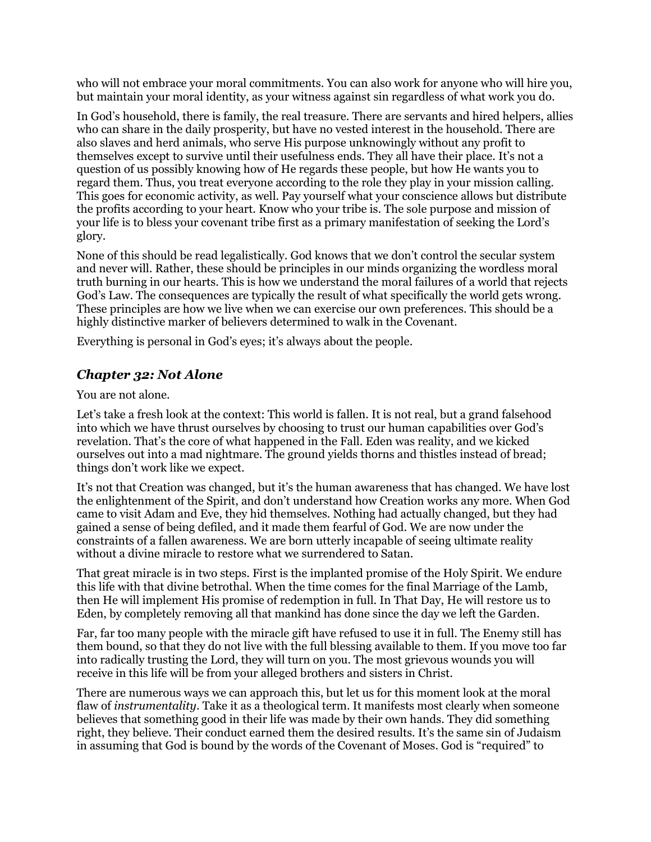who will not embrace your moral commitments. You can also work for anyone who will hire you, but maintain your moral identity, as your witness against sin regardless of what work you do.

In God's household, there is family, the real treasure. There are servants and hired helpers, allies who can share in the daily prosperity, but have no vested interest in the household. There are also slaves and herd animals, who serve His purpose unknowingly without any profit to themselves except to survive until their usefulness ends. They all have their place. It's not a question of us possibly knowing how of He regards these people, but how He wants you to regard them. Thus, you treat everyone according to the role they play in your mission calling. This goes for economic activity, as well. Pay yourself what your conscience allows but distribute the profits according to your heart. Know who your tribe is. The sole purpose and mission of your life is to bless your covenant tribe first as a primary manifestation of seeking the Lord's glory.

None of this should be read legalistically. God knows that we don't control the secular system and never will. Rather, these should be principles in our minds organizing the wordless moral truth burning in our hearts. This is how we understand the moral failures of a world that rejects God's Law. The consequences are typically the result of what specifically the world gets wrong. These principles are how we live when we can exercise our own preferences. This should be a highly distinctive marker of believers determined to walk in the Covenant.

Everything is personal in God's eyes; it's always about the people.

### *Chapter 32: Not Alone*

You are not alone.

Let's take a fresh look at the context: This world is fallen. It is not real, but a grand falsehood into which we have thrust ourselves by choosing to trust our human capabilities over God's revelation. That's the core of what happened in the Fall. Eden was reality, and we kicked ourselves out into a mad nightmare. The ground yields thorns and thistles instead of bread; things don't work like we expect.

It's not that Creation was changed, but it's the human awareness that has changed. We have lost the enlightenment of the Spirit, and don't understand how Creation works any more. When God came to visit Adam and Eve, they hid themselves. Nothing had actually changed, but they had gained a sense of being defiled, and it made them fearful of God. We are now under the constraints of a fallen awareness. We are born utterly incapable of seeing ultimate reality without a divine miracle to restore what we surrendered to Satan.

That great miracle is in two steps. First is the implanted promise of the Holy Spirit. We endure this life with that divine betrothal. When the time comes for the final Marriage of the Lamb, then He will implement His promise of redemption in full. In That Day, He will restore us to Eden, by completely removing all that mankind has done since the day we left the Garden.

Far, far too many people with the miracle gift have refused to use it in full. The Enemy still has them bound, so that they do not live with the full blessing available to them. If you move too far into radically trusting the Lord, they will turn on you. The most grievous wounds you will receive in this life will be from your alleged brothers and sisters in Christ.

There are numerous ways we can approach this, but let us for this moment look at the moral flaw of *instrumentality*. Take it as a theological term. It manifests most clearly when someone believes that something good in their life was made by their own hands. They did something right, they believe. Their conduct earned them the desired results. It's the same sin of Judaism in assuming that God is bound by the words of the Covenant of Moses. God is "required" to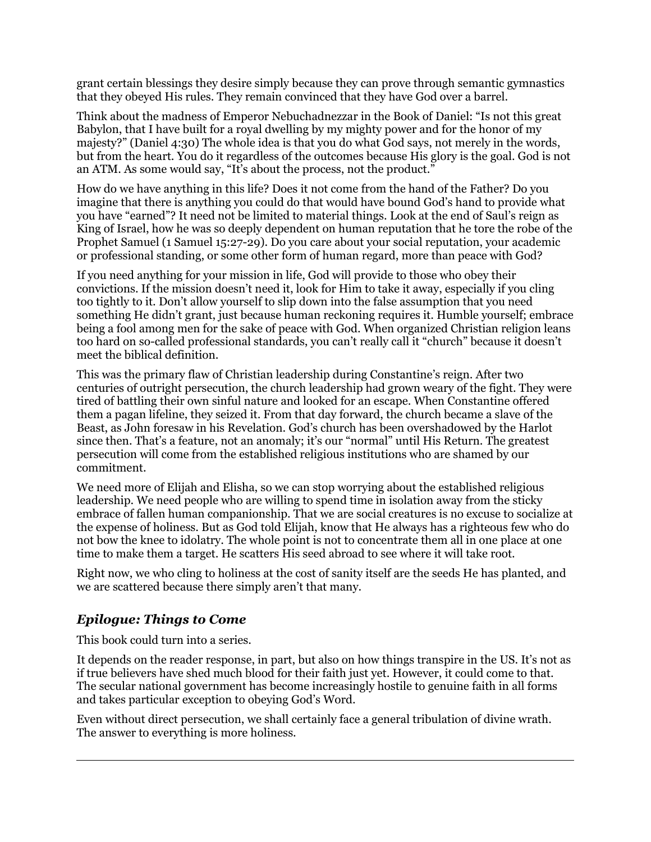grant certain blessings they desire simply because they can prove through semantic gymnastics that they obeyed His rules. They remain convinced that they have God over a barrel.

Think about the madness of Emperor Nebuchadnezzar in the Book of Daniel: "Is not this great Babylon, that I have built for a royal dwelling by my mighty power and for the honor of my majesty?" (Daniel 4:30) The whole idea is that you do what God says, not merely in the words, but from the heart. You do it regardless of the outcomes because His glory is the goal. God is not an ATM. As some would say, "It's about the process, not the product."

How do we have anything in this life? Does it not come from the hand of the Father? Do you imagine that there is anything you could do that would have bound God's hand to provide what you have "earned"? It need not be limited to material things. Look at the end of Saul's reign as King of Israel, how he was so deeply dependent on human reputation that he tore the robe of the Prophet Samuel (1 Samuel 15:27-29). Do you care about your social reputation, your academic or professional standing, or some other form of human regard, more than peace with God?

If you need anything for your mission in life, God will provide to those who obey their convictions. If the mission doesn't need it, look for Him to take it away, especially if you cling too tightly to it. Don't allow yourself to slip down into the false assumption that you need something He didn't grant, just because human reckoning requires it. Humble yourself; embrace being a fool among men for the sake of peace with God. When organized Christian religion leans too hard on so-called professional standards, you can't really call it "church" because it doesn't meet the biblical definition.

This was the primary flaw of Christian leadership during Constantine's reign. After two centuries of outright persecution, the church leadership had grown weary of the fight. They were tired of battling their own sinful nature and looked for an escape. When Constantine offered them a pagan lifeline, they seized it. From that day forward, the church became a slave of the Beast, as John foresaw in his Revelation. God's church has been overshadowed by the Harlot since then. That's a feature, not an anomaly; it's our "normal" until His Return. The greatest persecution will come from the established religious institutions who are shamed by our commitment.

We need more of Elijah and Elisha, so we can stop worrying about the established religious leadership. We need people who are willing to spend time in isolation away from the sticky embrace of fallen human companionship. That we are social creatures is no excuse to socialize at the expense of holiness. But as God told Elijah, know that He always has a righteous few who do not bow the knee to idolatry. The whole point is not to concentrate them all in one place at one time to make them a target. He scatters His seed abroad to see where it will take root.

Right now, we who cling to holiness at the cost of sanity itself are the seeds He has planted, and we are scattered because there simply aren't that many.

## *Epilogue: Things to Come*

This book could turn into a series.

It depends on the reader response, in part, but also on how things transpire in the US. It's not as if true believers have shed much blood for their faith just yet. However, it could come to that. The secular national government has become increasingly hostile to genuine faith in all forms and takes particular exception to obeying God's Word.

Even without direct persecution, we shall certainly face a general tribulation of divine wrath. The answer to everything is more holiness.